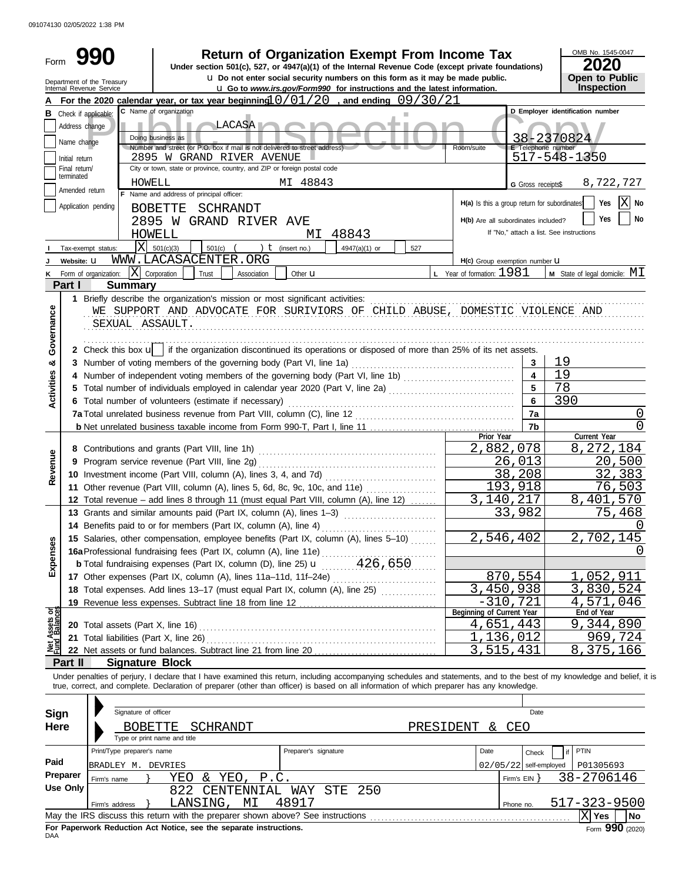091074130 02/05/2022 1:38 PM

| Form                                                                                                                                                             |                             |                                                        |                                                                                                                                            |                    | <b>Return of Organization Exempt From Income Tax</b>                                                                                                                                |     |                                    |                           | OMB No. 1545-0047<br>2020                                                                                                                                                  |  |  |
|------------------------------------------------------------------------------------------------------------------------------------------------------------------|-----------------------------|--------------------------------------------------------|--------------------------------------------------------------------------------------------------------------------------------------------|--------------------|-------------------------------------------------------------------------------------------------------------------------------------------------------------------------------------|-----|------------------------------------|---------------------------|----------------------------------------------------------------------------------------------------------------------------------------------------------------------------|--|--|
|                                                                                                                                                                  |                             |                                                        |                                                                                                                                            |                    | Under section 501(c), 527, or 4947(a)(1) of the Internal Revenue Code (except private foundations)<br>u Do not enter social security numbers on this form as it may be made public. |     |                                    |                           | Open to Public                                                                                                                                                             |  |  |
|                                                                                                                                                                  |                             | Department of the Treasury<br>Internal Revenue Service |                                                                                                                                            |                    | <b>u</b> Go to www.irs.gov/Form990 for instructions and the latest information.                                                                                                     |     |                                    |                           | Inspection                                                                                                                                                                 |  |  |
|                                                                                                                                                                  |                             |                                                        | For the 2020 calendar year, or tax year beginning $0/01/20$ , and ending 09/30/21                                                          |                    |                                                                                                                                                                                     |     |                                    |                           |                                                                                                                                                                            |  |  |
|                                                                                                                                                                  |                             | <b>B</b> Check if applicable:                          | C Name of organization                                                                                                                     |                    |                                                                                                                                                                                     | ш   |                                    |                           | D Employer identification number                                                                                                                                           |  |  |
|                                                                                                                                                                  | Address change              |                                                        | LACASA <sup>V</sup>                                                                                                                        |                    |                                                                                                                                                                                     |     |                                    |                           |                                                                                                                                                                            |  |  |
|                                                                                                                                                                  | Name change                 |                                                        | Doing business as                                                                                                                          |                    |                                                                                                                                                                                     |     |                                    |                           | 38-2370824                                                                                                                                                                 |  |  |
|                                                                                                                                                                  |                             |                                                        | Number and street (or P.O. box if mail is not delivered to street address)                                                                 |                    |                                                                                                                                                                                     |     | Room/suite                         | <b>E</b> Telephone number |                                                                                                                                                                            |  |  |
|                                                                                                                                                                  | Initial return              |                                                        | 2895 W GRAND RIVER AVENUE<br>City or town, state or province, country, and ZIP or foreign postal code                                      |                    |                                                                                                                                                                                     |     |                                    |                           | 517-548-1350                                                                                                                                                               |  |  |
|                                                                                                                                                                  | Final return/<br>terminated |                                                        |                                                                                                                                            |                    |                                                                                                                                                                                     |     |                                    |                           |                                                                                                                                                                            |  |  |
|                                                                                                                                                                  | Amended return              | HOWELL                                                 |                                                                                                                                            |                    | MI 48843                                                                                                                                                                            |     |                                    | G Gross receipts\$        | 8,722,727                                                                                                                                                                  |  |  |
| F Name and address of principal officer:<br>$ X $ No<br>Yes<br>H(a) Is this a group return for subordinates<br>Application pending<br>BOBETTE<br>SCHRANDT<br>Yes |                             |                                                        |                                                                                                                                            |                    |                                                                                                                                                                                     |     |                                    |                           |                                                                                                                                                                            |  |  |
|                                                                                                                                                                  |                             |                                                        |                                                                                                                                            |                    |                                                                                                                                                                                     |     |                                    |                           |                                                                                                                                                                            |  |  |
|                                                                                                                                                                  |                             |                                                        | HOWELL                                                                                                                                     |                    | 48843<br>МI                                                                                                                                                                         |     |                                    |                           | If "No," attach a list. See instructions                                                                                                                                   |  |  |
|                                                                                                                                                                  |                             | lxl<br>Tax-exempt status:                              | 501(c)(3)<br>501(c)                                                                                                                        | ) $t$ (insert no.) | 4947(a)(1) or                                                                                                                                                                       | 527 |                                    |                           |                                                                                                                                                                            |  |  |
|                                                                                                                                                                  | Website: U                  |                                                        | WWW.LACASACENTER.ORG                                                                                                                       |                    |                                                                                                                                                                                     |     | H(c) Group exemption number U      |                           |                                                                                                                                                                            |  |  |
| ĸ                                                                                                                                                                |                             | Form of organization:                                  | $\mathbf{X}$ Corporation<br>Trust                                                                                                          | Association        | Other <b>u</b>                                                                                                                                                                      |     | <b>L</b> Year of formation: $1981$ |                           | <b>M</b> State of legal domicile: $MI$                                                                                                                                     |  |  |
|                                                                                                                                                                  | Part I                      | <b>Summary</b>                                         |                                                                                                                                            |                    |                                                                                                                                                                                     |     |                                    |                           |                                                                                                                                                                            |  |  |
|                                                                                                                                                                  |                             |                                                        | 1 Briefly describe the organization's mission or most significant activities:                                                              |                    |                                                                                                                                                                                     |     |                                    |                           |                                                                                                                                                                            |  |  |
| Governance                                                                                                                                                       |                             |                                                        | WE SUPPORT AND ADVOCATE FOR SURIVIORS OF CHILD ABUSE, DOMESTIC VIOLENCE AND                                                                |                    |                                                                                                                                                                                     |     |                                    |                           |                                                                                                                                                                            |  |  |
|                                                                                                                                                                  |                             | SEXUAL ASSAULT.                                        |                                                                                                                                            |                    |                                                                                                                                                                                     |     |                                    |                           |                                                                                                                                                                            |  |  |
|                                                                                                                                                                  |                             |                                                        |                                                                                                                                            |                    |                                                                                                                                                                                     |     |                                    |                           |                                                                                                                                                                            |  |  |
|                                                                                                                                                                  |                             |                                                        | 2 Check this box $\mathbf{u}$   if the organization discontinued its operations or disposed of more than 25% of its net assets.            |                    |                                                                                                                                                                                     |     |                                    |                           |                                                                                                                                                                            |  |  |
| න්                                                                                                                                                               |                             |                                                        |                                                                                                                                            |                    |                                                                                                                                                                                     |     |                                    | 3                         | 19                                                                                                                                                                         |  |  |
|                                                                                                                                                                  |                             |                                                        | 4 Number of independent voting members of the governing body (Part VI, line 1b)                                                            |                    |                                                                                                                                                                                     |     |                                    | $\overline{\mathbf{4}}$   | 19                                                                                                                                                                         |  |  |
|                                                                                                                                                                  |                             |                                                        | 5 Total number of individuals employed in calendar year 2020 (Part V, line 2a) [[[[[[[[[[[[[[[[[[[[[[[[[[[[[[[                             | 78                 |                                                                                                                                                                                     |     |                                    |                           |                                                                                                                                                                            |  |  |
| Activities                                                                                                                                                       |                             |                                                        | 6 Total number of volunteers (estimate if necessary)                                                                                       |                    |                                                                                                                                                                                     |     |                                    | 6                         | 390                                                                                                                                                                        |  |  |
|                                                                                                                                                                  |                             |                                                        |                                                                                                                                            |                    |                                                                                                                                                                                     |     |                                    | 7a                        | $\Omega$                                                                                                                                                                   |  |  |
|                                                                                                                                                                  |                             |                                                        |                                                                                                                                            |                    |                                                                                                                                                                                     |     |                                    | 7 <sub>b</sub>            | $\left( \right)$                                                                                                                                                           |  |  |
|                                                                                                                                                                  |                             |                                                        |                                                                                                                                            |                    |                                                                                                                                                                                     |     | Prior Year                         |                           | Current Year                                                                                                                                                               |  |  |
|                                                                                                                                                                  |                             |                                                        |                                                                                                                                            |                    |                                                                                                                                                                                     |     | 2,882,078                          |                           | 8, 272, 184                                                                                                                                                                |  |  |
|                                                                                                                                                                  |                             |                                                        | 9 Program service revenue (Part VIII, line 2g)                                                                                             |                    |                                                                                                                                                                                     |     |                                    | 26,013                    | 20,500                                                                                                                                                                     |  |  |
| Revenue                                                                                                                                                          |                             |                                                        |                                                                                                                                            |                    |                                                                                                                                                                                     |     |                                    | 38,208                    | 32,383                                                                                                                                                                     |  |  |
|                                                                                                                                                                  |                             |                                                        | 11 Other revenue (Part VIII, column (A), lines 5, 6d, 8c, 9c, 10c, and 11e)                                                                |                    |                                                                                                                                                                                     |     |                                    | 193,918                   | 76,503                                                                                                                                                                     |  |  |
|                                                                                                                                                                  |                             |                                                        | 12 Total revenue - add lines 8 through 11 (must equal Part VIII, column (A), line 12)                                                      |                    |                                                                                                                                                                                     |     | 3,140,217                          |                           | 8,401,570                                                                                                                                                                  |  |  |
|                                                                                                                                                                  |                             |                                                        | 13 Grants and similar amounts paid (Part IX, column (A), lines 1-3)                                                                        |                    |                                                                                                                                                                                     |     | 33,                                | 982                       | 75,468                                                                                                                                                                     |  |  |
|                                                                                                                                                                  |                             |                                                        | 14 Benefits paid to or for members (Part IX, column (A), line 4)                                                                           |                    |                                                                                                                                                                                     |     |                                    |                           | $\left( \right)$                                                                                                                                                           |  |  |
|                                                                                                                                                                  |                             |                                                        | 15 Salaries, other compensation, employee benefits (Part IX, column (A), lines 5-10)                                                       |                    |                                                                                                                                                                                     |     | 2,546,402                          |                           | 2,702,145                                                                                                                                                                  |  |  |
|                                                                                                                                                                  |                             |                                                        | 16a Professional fundraising fees (Part IX, column (A), line 11e)                                                                          |                    |                                                                                                                                                                                     |     |                                    |                           |                                                                                                                                                                            |  |  |
| Expenses                                                                                                                                                         |                             |                                                        |                                                                                                                                            |                    |                                                                                                                                                                                     |     |                                    |                           |                                                                                                                                                                            |  |  |
|                                                                                                                                                                  |                             |                                                        | 17 Other expenses (Part IX, column (A), lines 11a-11d, 11f-24e)                                                                            |                    |                                                                                                                                                                                     |     |                                    | 870,554                   | 1,052,911                                                                                                                                                                  |  |  |
|                                                                                                                                                                  |                             |                                                        | 18 Total expenses. Add lines 13-17 (must equal Part IX, column (A), line 25)                                                               |                    |                                                                                                                                                                                     |     | 3,450,938                          |                           | 3,830,524                                                                                                                                                                  |  |  |
|                                                                                                                                                                  |                             |                                                        | 19 Revenue less expenses. Subtract line 18 from line 12                                                                                    |                    |                                                                                                                                                                                     |     |                                    | $-310,721$                | 4,571,046                                                                                                                                                                  |  |  |
| Assets or                                                                                                                                                        |                             |                                                        |                                                                                                                                            |                    |                                                                                                                                                                                     |     | Beginning of Current Year          |                           | End of Year                                                                                                                                                                |  |  |
|                                                                                                                                                                  |                             | 20 Total assets (Part X, line 16)                      |                                                                                                                                            |                    |                                                                                                                                                                                     |     | 4,651,443                          | ,136,012                  | 9,344,890<br>969,724                                                                                                                                                       |  |  |
| 호<br>우                                                                                                                                                           |                             | 21 Total liabilities (Part X, line 26)                 |                                                                                                                                            |                    |                                                                                                                                                                                     |     |                                    |                           |                                                                                                                                                                            |  |  |
|                                                                                                                                                                  |                             |                                                        |                                                                                                                                            |                    |                                                                                                                                                                                     |     | 3,515,431                          |                           | 8,375,166                                                                                                                                                                  |  |  |
|                                                                                                                                                                  | Part II                     | <b>Signature Block</b>                                 |                                                                                                                                            |                    |                                                                                                                                                                                     |     |                                    |                           |                                                                                                                                                                            |  |  |
|                                                                                                                                                                  |                             |                                                        | true, correct, and complete. Declaration of preparer (other than officer) is based on all information of which preparer has any knowledge. |                    |                                                                                                                                                                                     |     |                                    |                           | Under penalties of perjury, I declare that I have examined this return, including accompanying schedules and statements, and to the best of my knowledge and belief, it is |  |  |
|                                                                                                                                                                  |                             |                                                        |                                                                                                                                            |                    |                                                                                                                                                                                     |     |                                    |                           |                                                                                                                                                                            |  |  |
|                                                                                                                                                                  |                             | Signature of officer                                   |                                                                                                                                            |                    |                                                                                                                                                                                     |     |                                    |                           |                                                                                                                                                                            |  |  |
| <b>Sign</b>                                                                                                                                                      |                             |                                                        |                                                                                                                                            |                    |                                                                                                                                                                                     |     |                                    | Date                      |                                                                                                                                                                            |  |  |
| <b>Here</b>                                                                                                                                                      |                             | <b>BOBETTE</b>                                         | SCHRANDT                                                                                                                                   |                    |                                                                                                                                                                                     |     | PRESIDENT<br>&.                    | CEO                       |                                                                                                                                                                            |  |  |
|                                                                                                                                                                  |                             |                                                        | Type or print name and title                                                                                                               |                    |                                                                                                                                                                                     |     |                                    |                           |                                                                                                                                                                            |  |  |
|                                                                                                                                                                  |                             | Print/Type preparer's name                             |                                                                                                                                            |                    | Preparer's signature                                                                                                                                                                |     | Date                               | Check                     | <b>PTIN</b>                                                                                                                                                                |  |  |
| Paid                                                                                                                                                             |                             | BRADLEY M. DEVRIES                                     |                                                                                                                                            |                    |                                                                                                                                                                                     |     |                                    | $02/05/22$ self-employed  | P01305693                                                                                                                                                                  |  |  |
|                                                                                                                                                                  | Preparer                    | Firm's name                                            | & YEO, P.C.<br>YEO                                                                                                                         |                    |                                                                                                                                                                                     |     |                                    | Firm's EIN                | 38-2706146                                                                                                                                                                 |  |  |
|                                                                                                                                                                  | <b>Use Only</b>             |                                                        | 822<br>CENTENNIAL WAY                                                                                                                      |                    | STE<br>250                                                                                                                                                                          |     |                                    |                           |                                                                                                                                                                            |  |  |
|                                                                                                                                                                  |                             | Firm's address                                         | LANSING,<br>MΙ                                                                                                                             |                    | 48917                                                                                                                                                                               |     |                                    | Phone no.                 | 517-323-9500                                                                                                                                                               |  |  |
|                                                                                                                                                                  |                             |                                                        |                                                                                                                                            |                    |                                                                                                                                                                                     |     |                                    |                           | $ X $ Yes<br><b>No</b>                                                                                                                                                     |  |  |

| May the IRS discuss this return with the preparer shown above? See instructions |  |  |  |  |  |  |  |  |  |  |
|---------------------------------------------------------------------------------|--|--|--|--|--|--|--|--|--|--|
| For Paperwork Reduction Act Notice, see the separate instructions.              |  |  |  |  |  |  |  |  |  |  |
| DAA                                                                             |  |  |  |  |  |  |  |  |  |  |

Form **990** (2020)

X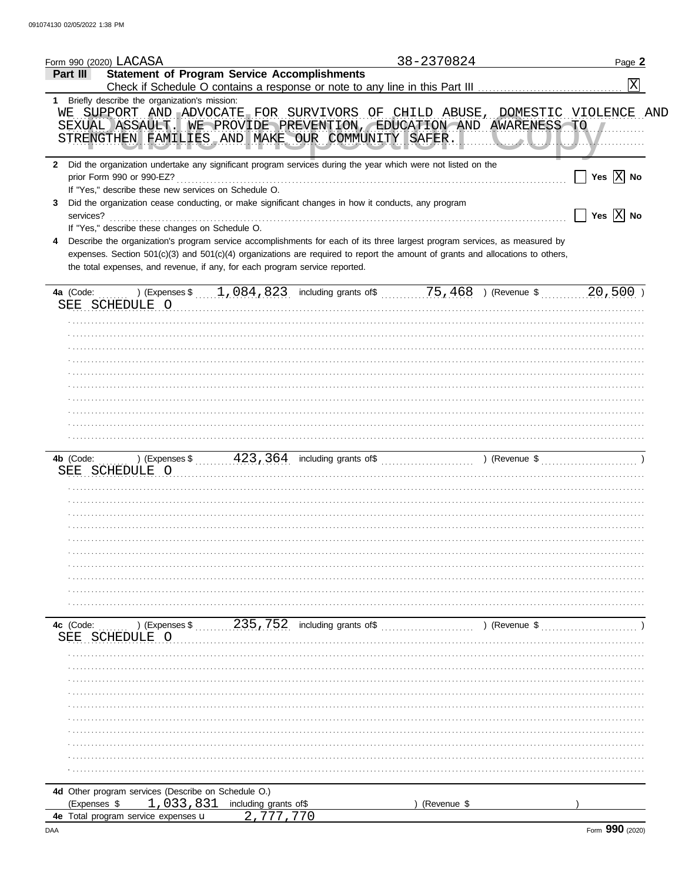|                | Form 990 (2020) LACASA                               |                                                                                                                                                                                                                                                                                                                                             | 38-2370824  |               | Page 2                                               |
|----------------|------------------------------------------------------|---------------------------------------------------------------------------------------------------------------------------------------------------------------------------------------------------------------------------------------------------------------------------------------------------------------------------------------------|-------------|---------------|------------------------------------------------------|
| Part III       |                                                      | <b>Statement of Program Service Accomplishments</b><br>Check if Schedule O contains a response or note to any line in this Part III                                                                                                                                                                                                         |             |               | X                                                    |
|                | 1 Briefly describe the organization's mission:       |                                                                                                                                                                                                                                                                                                                                             |             |               |                                                      |
|                |                                                      | WE SUPPORT AND ADVOCATE FOR SURVIVORS OF CHILD ABUSE, DOMESTIC VIOLENCE AND<br>SEXUAL ASSAULT. WE PROVIDE PREVENTION, EDUCATION AND AWARENESS TO<br>STRENGTHEN FAMILIES AND MAKE OUR COMMUNITY SAFER.                                                                                                                                       |             |               |                                                      |
|                | prior Form 990 or 990-EZ?                            | 2 Did the organization undertake any significant program services during the year which were not listed on the                                                                                                                                                                                                                              |             |               | Yes $ X $ No                                         |
|                | If "Yes," describe these new services on Schedule O. |                                                                                                                                                                                                                                                                                                                                             |             |               |                                                      |
| 3<br>services? |                                                      | Did the organization cease conducting, or make significant changes in how it conducts, any program                                                                                                                                                                                                                                          |             |               | $\overline{\mathsf{Yes}}$ $\overline{\mathbb{X}}$ No |
|                | If "Yes," describe these changes on Schedule O.      | Describe the organization's program service accomplishments for each of its three largest program services, as measured by<br>expenses. Section 501(c)(3) and 501(c)(4) organizations are required to report the amount of grants and allocations to others,<br>the total expenses, and revenue, if any, for each program service reported. |             |               |                                                      |
|                | SEE SCHEDULE O                                       |                                                                                                                                                                                                                                                                                                                                             |             |               | $20,500$ )                                           |
|                |                                                      |                                                                                                                                                                                                                                                                                                                                             |             |               |                                                      |
|                |                                                      |                                                                                                                                                                                                                                                                                                                                             |             |               |                                                      |
|                |                                                      |                                                                                                                                                                                                                                                                                                                                             |             |               |                                                      |
|                |                                                      |                                                                                                                                                                                                                                                                                                                                             |             |               |                                                      |
|                |                                                      |                                                                                                                                                                                                                                                                                                                                             |             |               |                                                      |
|                |                                                      |                                                                                                                                                                                                                                                                                                                                             |             |               |                                                      |
|                |                                                      |                                                                                                                                                                                                                                                                                                                                             |             |               |                                                      |
|                |                                                      |                                                                                                                                                                                                                                                                                                                                             |             |               |                                                      |
|                |                                                      |                                                                                                                                                                                                                                                                                                                                             |             |               |                                                      |
|                |                                                      |                                                                                                                                                                                                                                                                                                                                             |             |               |                                                      |
|                | SEE SCHEDULE O                                       |                                                                                                                                                                                                                                                                                                                                             |             |               |                                                      |
|                |                                                      |                                                                                                                                                                                                                                                                                                                                             |             |               |                                                      |
|                |                                                      |                                                                                                                                                                                                                                                                                                                                             |             |               |                                                      |
|                |                                                      |                                                                                                                                                                                                                                                                                                                                             |             |               |                                                      |
|                |                                                      |                                                                                                                                                                                                                                                                                                                                             |             |               |                                                      |
|                |                                                      |                                                                                                                                                                                                                                                                                                                                             |             |               |                                                      |
|                |                                                      |                                                                                                                                                                                                                                                                                                                                             |             |               |                                                      |
|                |                                                      |                                                                                                                                                                                                                                                                                                                                             |             |               |                                                      |
|                |                                                      |                                                                                                                                                                                                                                                                                                                                             |             |               |                                                      |
|                |                                                      |                                                                                                                                                                                                                                                                                                                                             |             |               |                                                      |
|                |                                                      |                                                                                                                                                                                                                                                                                                                                             |             |               |                                                      |
| 4c (Code:      | ) (Expenses \$                                       | 235, 752 including grants of\$                                                                                                                                                                                                                                                                                                              |             | ) (Revenue \$ |                                                      |
| SEE            | SCHEDULE O                                           |                                                                                                                                                                                                                                                                                                                                             |             |               |                                                      |
|                |                                                      |                                                                                                                                                                                                                                                                                                                                             |             |               |                                                      |
|                |                                                      |                                                                                                                                                                                                                                                                                                                                             |             |               |                                                      |
|                |                                                      |                                                                                                                                                                                                                                                                                                                                             |             |               |                                                      |
|                |                                                      |                                                                                                                                                                                                                                                                                                                                             |             |               |                                                      |
|                |                                                      |                                                                                                                                                                                                                                                                                                                                             |             |               |                                                      |
|                |                                                      |                                                                                                                                                                                                                                                                                                                                             |             |               |                                                      |
|                |                                                      |                                                                                                                                                                                                                                                                                                                                             |             |               |                                                      |
|                |                                                      |                                                                                                                                                                                                                                                                                                                                             |             |               |                                                      |
|                |                                                      |                                                                                                                                                                                                                                                                                                                                             |             |               |                                                      |
|                |                                                      |                                                                                                                                                                                                                                                                                                                                             |             |               |                                                      |
|                | 4d Other program services (Describe on Schedule O.)  |                                                                                                                                                                                                                                                                                                                                             |             |               |                                                      |
| (Expenses \$   | 1,033,831<br>4e Total program service expenses u     | including grants of\$                                                                                                                                                                                                                                                                                                                       | (Revenue \$ |               |                                                      |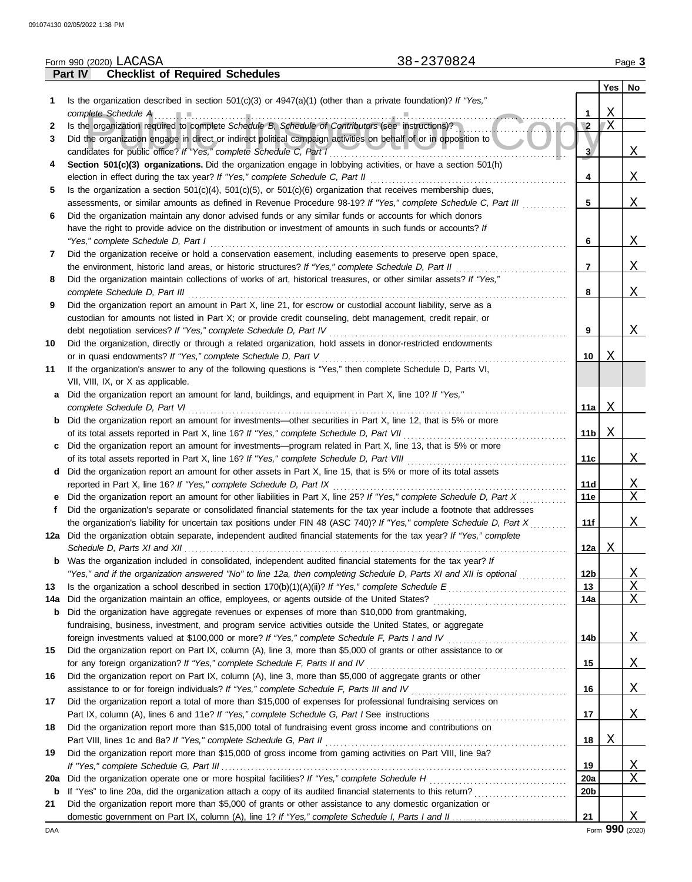|          |         | 38-2370824<br>Form 990 (2020) LACASA                                                                                                                                                            |                        |          | Page 3                            |
|----------|---------|-------------------------------------------------------------------------------------------------------------------------------------------------------------------------------------------------|------------------------|----------|-----------------------------------|
|          | Part IV | <b>Checklist of Required Schedules</b>                                                                                                                                                          |                        |          |                                   |
|          |         |                                                                                                                                                                                                 |                        | Yes      | No                                |
| 1        |         | Is the organization described in section $501(c)(3)$ or $4947(a)(1)$ (other than a private foundation)? If "Yes,"                                                                               |                        |          |                                   |
|          |         | complete Schedule A                                                                                                                                                                             | 1                      | X        |                                   |
| 2        |         | Is the organization required to complete Schedule B, Schedule of Contributors (see instructions)?                                                                                               | $\sqrt{2}$             | X        |                                   |
| 3        |         | Did the organization engage in direct or indirect political campaign activities on behalf of or in opposition to                                                                                |                        |          |                                   |
|          |         | candidates for public office? If "Yes," complete Schedule C, Part I                                                                                                                             | 3                      |          | Χ                                 |
| 4        |         | Section 501(c)(3) organizations. Did the organization engage in lobbying activities, or have a section 501(h)<br>election in effect during the tax year? If "Yes," complete Schedule C, Part II | 4                      |          | X                                 |
| 5        |         | Is the organization a section $501(c)(4)$ , $501(c)(5)$ , or $501(c)(6)$ organization that receives membership dues,                                                                            |                        |          |                                   |
|          |         | assessments, or similar amounts as defined in Revenue Procedure 98-19? If "Yes," complete Schedule C, Part III                                                                                  | 5                      |          | X                                 |
| 6        |         | Did the organization maintain any donor advised funds or any similar funds or accounts for which donors                                                                                         |                        |          |                                   |
|          |         | have the right to provide advice on the distribution or investment of amounts in such funds or accounts? If                                                                                     |                        |          |                                   |
|          |         | "Yes," complete Schedule D, Part I                                                                                                                                                              | 6                      |          | Χ                                 |
| 7        |         | Did the organization receive or hold a conservation easement, including easements to preserve open space,                                                                                       |                        |          |                                   |
|          |         | the environment, historic land areas, or historic structures? If "Yes," complete Schedule D, Part II                                                                                            | 7                      |          | Χ                                 |
| 8        |         | Did the organization maintain collections of works of art, historical treasures, or other similar assets? If "Yes,"                                                                             |                        |          |                                   |
|          |         | complete Schedule D, Part III                                                                                                                                                                   | 8                      |          | Χ                                 |
| 9        |         | Did the organization report an amount in Part X, line 21, for escrow or custodial account liability, serve as a                                                                                 |                        |          |                                   |
|          |         | custodian for amounts not listed in Part X; or provide credit counseling, debt management, credit repair, or                                                                                    |                        |          |                                   |
|          |         | debt negotiation services? If "Yes," complete Schedule D, Part IV                                                                                                                               | 9                      |          | Χ                                 |
| 10       |         | Did the organization, directly or through a related organization, hold assets in donor-restricted endowments                                                                                    |                        |          |                                   |
|          |         | or in quasi endowments? If "Yes," complete Schedule D, Part V                                                                                                                                   | 10                     | Χ        |                                   |
| 11       |         | If the organization's answer to any of the following questions is "Yes," then complete Schedule D, Parts VI,<br>VII, VIII, IX, or X as applicable.                                              |                        |          |                                   |
| a        |         | Did the organization report an amount for land, buildings, and equipment in Part X, line 10? If "Yes,"                                                                                          |                        |          |                                   |
|          |         | complete Schedule D, Part VI                                                                                                                                                                    | 11a                    | X        |                                   |
| b        |         | Did the organization report an amount for investments-other securities in Part X, line 12, that is 5% or more                                                                                   |                        |          |                                   |
|          |         | of its total assets reported in Part X, line 16? If "Yes," complete Schedule D, Part VII                                                                                                        | 11 <sub>b</sub>        | Χ        |                                   |
| c        |         | Did the organization report an amount for investments—program related in Part X, line 13, that is 5% or more                                                                                    |                        |          |                                   |
|          |         |                                                                                                                                                                                                 | 11c                    |          | X                                 |
| d        |         | Did the organization report an amount for other assets in Part X, line 15, that is 5% or more of its total assets                                                                               |                        |          |                                   |
|          |         | reported in Part X, line 16? If "Yes," complete Schedule D, Part IX                                                                                                                             | 11d                    |          | <u>X</u>                          |
|          |         | Did the organization report an amount for other liabilities in Part X, line 25? If "Yes," complete Schedule D, Part X                                                                           | 11e                    |          | X                                 |
| f        |         | Did the organization's separate or consolidated financial statements for the tax year include a footnote that addresses                                                                         |                        |          |                                   |
|          |         | the organization's liability for uncertain tax positions under FIN 48 (ASC 740)? If "Yes," complete Schedule D, Part X                                                                          | 11f                    |          | Χ                                 |
|          |         | 12a Did the organization obtain separate, independent audited financial statements for the tax year? If "Yes," complete                                                                         |                        |          |                                   |
|          |         | Schedule D, Parts XI and XII                                                                                                                                                                    | 12a                    | Χ        |                                   |
| b        |         | Was the organization included in consolidated, independent audited financial statements for the tax year? If                                                                                    |                        |          |                                   |
| 13       |         | "Yes," and if the organization answered "No" to line 12a, then completing Schedule D, Parts XI and XII is optional                                                                              | 12 <sub>b</sub><br>13  |          | <u>X</u><br>$\overline{\text{X}}$ |
| 14a      |         |                                                                                                                                                                                                 | 14a                    |          | X                                 |
| b        |         | Did the organization have aggregate revenues or expenses of more than \$10,000 from grantmaking,                                                                                                |                        |          |                                   |
|          |         | fundraising, business, investment, and program service activities outside the United States, or aggregate                                                                                       |                        |          |                                   |
|          |         |                                                                                                                                                                                                 | 14b                    |          | <u>X</u>                          |
| 15       |         | Did the organization report on Part IX, column (A), line 3, more than \$5,000 of grants or other assistance to or                                                                               |                        |          |                                   |
|          |         | for any foreign organization? If "Yes," complete Schedule F, Parts II and IV                                                                                                                    | 15                     |          | <u>X</u>                          |
| 16       |         | Did the organization report on Part IX, column (A), line 3, more than \$5,000 of aggregate grants or other                                                                                      |                        |          |                                   |
|          |         |                                                                                                                                                                                                 | 16                     |          | <u>X</u>                          |
| 17       |         | Did the organization report a total of more than \$15,000 of expenses for professional fundraising services on                                                                                  |                        |          |                                   |
|          |         |                                                                                                                                                                                                 | 17                     |          | X                                 |
| 18       |         | Did the organization report more than \$15,000 total of fundraising event gross income and contributions on                                                                                     |                        |          |                                   |
|          |         |                                                                                                                                                                                                 | 18                     | <u>X</u> |                                   |
| 19       |         | Did the organization report more than \$15,000 of gross income from gaming activities on Part VIII, line 9a?                                                                                    |                        |          |                                   |
|          |         |                                                                                                                                                                                                 | 19                     |          | <u>X</u><br>Χ                     |
| 20a<br>b |         |                                                                                                                                                                                                 | 20a<br>20 <sub>b</sub> |          |                                   |
| 21       |         | Did the organization report more than \$5,000 of grants or other assistance to any domestic organization or                                                                                     |                        |          |                                   |
|          |         |                                                                                                                                                                                                 | 21                     |          | X                                 |
|          |         |                                                                                                                                                                                                 |                        |          |                                   |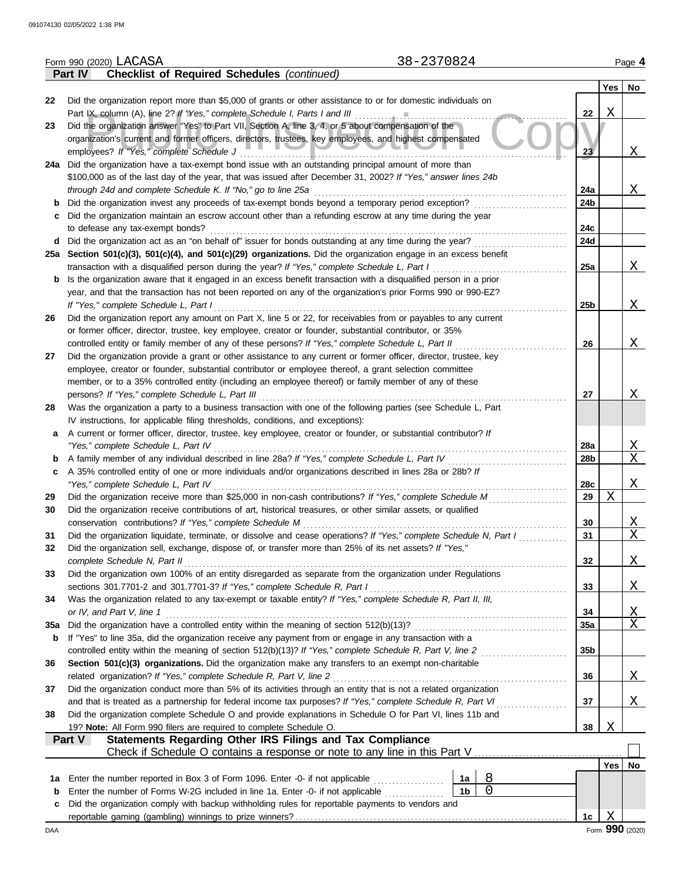|     | 38-2370824<br>Form 990 (2020) LACASA                                                                                                                                                                                       |                                                                                                                      |     | Page 4       |
|-----|----------------------------------------------------------------------------------------------------------------------------------------------------------------------------------------------------------------------------|----------------------------------------------------------------------------------------------------------------------|-----|--------------|
|     | <b>Checklist of Required Schedules (continued)</b><br>Part IV                                                                                                                                                              |                                                                                                                      |     |              |
|     |                                                                                                                                                                                                                            |                                                                                                                      | Yes | No.          |
| 22  | Did the organization report more than \$5,000 of grants or other assistance to or for domestic individuals on                                                                                                              |                                                                                                                      |     |              |
|     | Part IX, column (A), line 2? If "Yes," complete Schedule I, Parts I and III                                                                                                                                                | 22                                                                                                                   | Χ   |              |
| 23  | Did the organization answer "Yes" to Part VII, Section A, line 3, 4, or 5 about compensation of the<br>organization's current and former officers, directors, trustees, key employees, and highest compensated             |                                                                                                                      |     |              |
|     | employees? If "Yes," complete Schedule J                                                                                                                                                                                   | 23 <sub>2</sub>                                                                                                      |     | X            |
|     | 24a Did the organization have a tax-exempt bond issue with an outstanding principal amount of more than                                                                                                                    |                                                                                                                      |     |              |
|     | \$100,000 as of the last day of the year, that was issued after December 31, 2002? If "Yes," answer lines 24b                                                                                                              |                                                                                                                      |     |              |
|     | through 24d and complete Schedule K. If "No," go to line 25a                                                                                                                                                               | 24a                                                                                                                  |     | Χ            |
| b   | Did the organization invest any proceeds of tax-exempt bonds beyond a temporary period exception?                                                                                                                          | 24b                                                                                                                  |     |              |
| C   | Did the organization maintain an escrow account other than a refunding escrow at any time during the year                                                                                                                  |                                                                                                                      |     |              |
|     | to defease any tax-exempt bonds?                                                                                                                                                                                           | 24c                                                                                                                  |     |              |
|     | d Did the organization act as an "on behalf of" issuer for bonds outstanding at any time during the year?                                                                                                                  | 24d                                                                                                                  |     |              |
|     | 25a Section 501(c)(3), 501(c)(4), and 501(c)(29) organizations. Did the organization engage in an excess benefit                                                                                                           |                                                                                                                      |     |              |
|     | transaction with a disqualified person during the year? If "Yes," complete Schedule L, Part I                                                                                                                              | 25a                                                                                                                  |     | X            |
|     | Is the organization aware that it engaged in an excess benefit transaction with a disqualified person in a prior<br>b                                                                                                      |                                                                                                                      |     |              |
|     | year, and that the transaction has not been reported on any of the organization's prior Forms 990 or 990-EZ?                                                                                                               |                                                                                                                      |     |              |
| 26  | If "Yes," complete Schedule L, Part I<br>Did the organization report any amount on Part X, line 5 or 22, for receivables from or payables to any current                                                                   | 25b                                                                                                                  |     | Χ            |
|     | or former officer, director, trustee, key employee, creator or founder, substantial contributor, or 35%                                                                                                                    |                                                                                                                      |     |              |
|     | controlled entity or family member of any of these persons? If "Yes," complete Schedule L, Part II                                                                                                                         | 26                                                                                                                   |     | X            |
| 27  | Did the organization provide a grant or other assistance to any current or former officer, director, trustee, key                                                                                                          |                                                                                                                      |     |              |
|     | employee, creator or founder, substantial contributor or employee thereof, a grant selection committee                                                                                                                     |                                                                                                                      |     |              |
|     | member, or to a 35% controlled entity (including an employee thereof) or family member of any of these                                                                                                                     |                                                                                                                      |     |              |
|     | persons? If "Yes," complete Schedule L, Part III                                                                                                                                                                           | 27                                                                                                                   |     | X            |
| 28  | Was the organization a party to a business transaction with one of the following parties (see Schedule L, Part                                                                                                             |                                                                                                                      |     |              |
|     | IV instructions, for applicable filing thresholds, conditions, and exceptions):                                                                                                                                            |                                                                                                                      |     |              |
| a   | A current or former officer, director, trustee, key employee, creator or founder, or substantial contributor? If                                                                                                           |                                                                                                                      |     |              |
|     | "Yes," complete Schedule L, Part IV                                                                                                                                                                                        | 28a                                                                                                                  |     | Χ            |
| b   | A family member of any individual described in line 28a? If "Yes," complete Schedule L, Part IV                                                                                                                            | 28b                                                                                                                  |     | X            |
| c   | A 35% controlled entity of one or more individuals and/or organizations described in lines 28a or 28b? If                                                                                                                  |                                                                                                                      |     |              |
|     | "Yes," complete Schedule L, Part IV                                                                                                                                                                                        | 28c                                                                                                                  |     | X            |
| 29  | Did the organization receive more than \$25,000 in non-cash contributions? If "Yes," complete Schedule M                                                                                                                   | 29                                                                                                                   | X   |              |
| 30  | Did the organization receive contributions of art, historical treasures, or other similar assets, or qualified<br>conservation contributions? If "Yes," complete Schedule M                                                | 30                                                                                                                   |     | Χ            |
| 31  | Did the organization liquidate, terminate, or dissolve and cease operations? If "Yes," complete Schedule N, Part I                                                                                                         | 31                                                                                                                   |     | X            |
| 32  | Did the organization sell, exchange, dispose of, or transfer more than 25% of its net assets? If "Yes,"                                                                                                                    |                                                                                                                      |     |              |
|     | complete Schedule N, Part II                                                                                                                                                                                               | 32                                                                                                                   |     | $\mathbf{X}$ |
| 33  | Did the organization own 100% of an entity disregarded as separate from the organization under Regulations                                                                                                                 |                                                                                                                      |     |              |
|     | sections 301.7701-2 and 301.7701-3? If "Yes," complete Schedule R, Part I                                                                                                                                                  | 33                                                                                                                   |     | $\mathbf{X}$ |
| 34  | Was the organization related to any tax-exempt or taxable entity? If "Yes," complete Schedule R, Part II, III,                                                                                                             |                                                                                                                      |     |              |
|     | or IV, and Part V, line 1                                                                                                                                                                                                  | 34                                                                                                                   |     | Χ            |
| 35a | Did the organization have a controlled entity within the meaning of section 512(b)(13)?                                                                                                                                    | 35a                                                                                                                  |     | X            |
| b   | If "Yes" to line 35a, did the organization receive any payment from or engage in any transaction with a                                                                                                                    |                                                                                                                      |     |              |
|     |                                                                                                                                                                                                                            | 35 <sub>b</sub>                                                                                                      |     |              |
| 36  | Section 501(c)(3) organizations. Did the organization make any transfers to an exempt non-charitable                                                                                                                       |                                                                                                                      |     |              |
|     | related organization? If "Yes," complete Schedule R, Part V, line 2                                                                                                                                                        | 36                                                                                                                   |     | <u>X</u>     |
| 37  | Did the organization conduct more than 5% of its activities through an entity that is not a related organization                                                                                                           |                                                                                                                      |     | X            |
| 38  | and that is treated as a partnership for federal income tax purposes? If "Yes," complete Schedule R, Part VI<br>Did the organization complete Schedule O and provide explanations in Schedule O for Part VI, lines 11b and | 37<br>and a straightful control of the state of the state of the state of the state of the state of the state of the |     |              |
|     | 19? Note: All Form 990 filers are required to complete Schedule O.                                                                                                                                                         | 38                                                                                                                   | X   |              |
|     | Part V<br>Statements Regarding Other IRS Filings and Tax Compliance                                                                                                                                                        |                                                                                                                      |     |              |
|     |                                                                                                                                                                                                                            |                                                                                                                      |     |              |
|     |                                                                                                                                                                                                                            |                                                                                                                      | Yes | No           |
| 1а  | Enter the number reported in Box 3 of Form 1096. Enter -0- if not applicable<br>1a<br>.                                                                                                                                    | 8                                                                                                                    |     |              |
| b   | 1 <sub>b</sub><br>Enter the number of Forms W-2G included in line 1a. Enter -0- if not applicable                                                                                                                          | $\overline{0}$                                                                                                       |     |              |
| c   | Did the organization comply with backup withholding rules for reportable payments to vendors and                                                                                                                           |                                                                                                                      |     |              |
|     |                                                                                                                                                                                                                            | 1c                                                                                                                   | Χ   |              |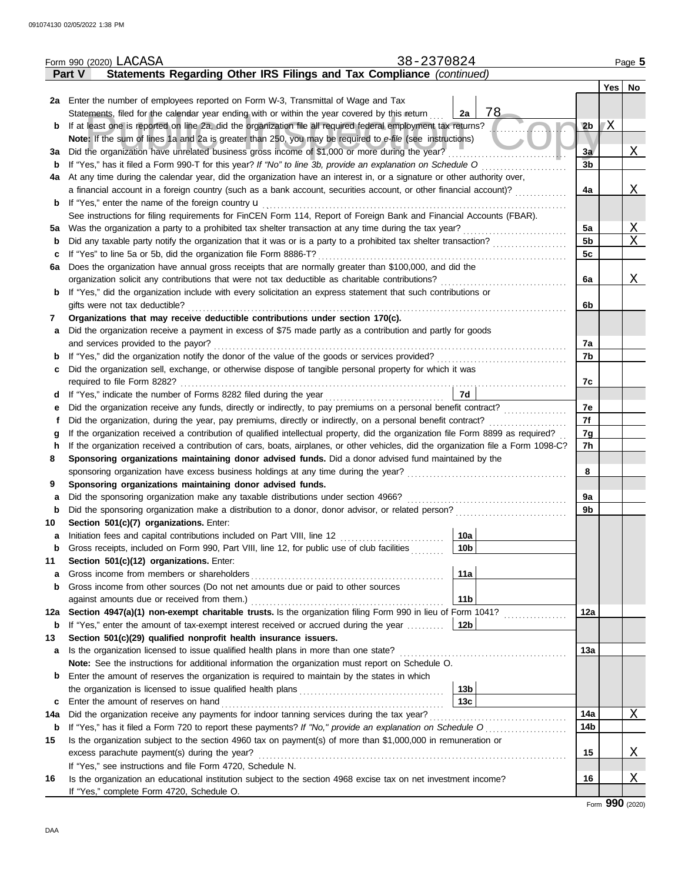|        |        | 38-2370824<br>Form 990 (2020) LACASA                                                                                                                                                    |                                                      |                             |            | Page 5 |
|--------|--------|-----------------------------------------------------------------------------------------------------------------------------------------------------------------------------------------|------------------------------------------------------|-----------------------------|------------|--------|
|        | Part V | Statements Regarding Other IRS Filings and Tax Compliance (continued)                                                                                                                   |                                                      |                             |            |        |
|        |        |                                                                                                                                                                                         |                                                      |                             | <b>Yes</b> | No     |
|        |        | 2a Enter the number of employees reported on Form W-3, Transmittal of Wage and Tax                                                                                                      |                                                      |                             |            |        |
|        |        | Statements, filed for the calendar year ending with or within the year covered by this return                                                                                           | 78<br>2a                                             |                             |            |        |
| b      |        | If at least one is reported on line 2a, did the organization file all required federal employment tax returns?                                                                          |                                                      | 2 <sub>b</sub>              | ľΧ         |        |
|        |        | Note: If the sum of lines 1a and 2a is greater than 250, you may be required to e-file (see instructions)                                                                               |                                                      |                             |            |        |
| За     |        | Did the organization have unrelated business gross income of \$1,000 or more during the year?                                                                                           |                                                      | 3a                          |            | Χ      |
| b      |        | If "Yes," has it filed a Form 990-T for this year? If "No" to line 3b, provide an explanation on Schedule O                                                                             |                                                      | $\overline{3}$ <sub>b</sub> |            |        |
| 4a     |        | At any time during the calendar year, did the organization have an interest in, or a signature or other authority over,                                                                 |                                                      |                             |            |        |
|        |        | a financial account in a foreign country (such as a bank account, securities account, or other financial account)?                                                                      |                                                      | 4a                          |            | Χ      |
| b      |        | If "Yes," enter the name of the foreign country <b>u</b><br>See instructions for filing requirements for FinCEN Form 114, Report of Foreign Bank and Financial Accounts (FBAR).         |                                                      |                             |            |        |
| 5a     |        | Was the organization a party to a prohibited tax shelter transaction at any time during the tax year?                                                                                   |                                                      | 5a                          |            | Χ      |
| b      |        | Did any taxable party notify the organization that it was or is a party to a prohibited tax shelter transaction?                                                                        |                                                      | 5 <sub>b</sub>              |            | X      |
| c      |        | If "Yes" to line 5a or 5b, did the organization file Form 8886-T?                                                                                                                       |                                                      | 5c                          |            |        |
| 6a     |        | Does the organization have annual gross receipts that are normally greater than \$100,000, and did the                                                                                  |                                                      |                             |            |        |
|        |        | organization solicit any contributions that were not tax deductible as charitable contributions?                                                                                        |                                                      | 6a                          |            | Χ      |
| b      |        | If "Yes," did the organization include with every solicitation an express statement that such contributions or                                                                          |                                                      |                             |            |        |
|        |        | gifts were not tax deductible?                                                                                                                                                          |                                                      | 6b                          |            |        |
| 7      |        | Organizations that may receive deductible contributions under section 170(c).                                                                                                           |                                                      |                             |            |        |
| a      |        | Did the organization receive a payment in excess of \$75 made partly as a contribution and partly for goods                                                                             |                                                      |                             |            |        |
|        |        | and services provided to the payor?                                                                                                                                                     |                                                      | 7a                          |            |        |
| b      |        | If "Yes," did the organization notify the donor of the value of the goods or services provided?                                                                                         |                                                      | 7b                          |            |        |
| c      |        | Did the organization sell, exchange, or otherwise dispose of tangible personal property for which it was                                                                                |                                                      |                             |            |        |
|        |        | required to file Form 8282?                                                                                                                                                             |                                                      | 7c                          |            |        |
| d      |        | If "Yes," indicate the number of Forms 8282 filed during the year                                                                                                                       | 7d                                                   |                             |            |        |
| е      |        | Did the organization receive any funds, directly or indirectly, to pay premiums on a personal benefit contract?                                                                         |                                                      | 7e                          |            |        |
| f      |        | Did the organization, during the year, pay premiums, directly or indirectly, on a personal benefit contract?                                                                            |                                                      | 7f                          |            |        |
| g      |        | If the organization received a contribution of qualified intellectual property, did the organization file Form 8899 as required?                                                        |                                                      | 7g                          |            |        |
| h      |        | If the organization received a contribution of cars, boats, airplanes, or other vehicles, did the organization file a Form 1098-C?                                                      |                                                      | 7h                          |            |        |
| 8      |        | Sponsoring organizations maintaining donor advised funds. Did a donor advised fund maintained by the                                                                                    |                                                      |                             |            |        |
|        |        | sponsoring organization have excess business holdings at any time during the year?                                                                                                      | <u> 1986 - Johann Stoff, Amerikaansk politiker (</u> | 8                           |            |        |
| 9      |        | Sponsoring organizations maintaining donor advised funds.                                                                                                                               |                                                      |                             |            |        |
| a<br>b |        | Did the sponsoring organization make any taxable distributions under section 4966?<br>Did the sponsoring organization make a distribution to a donor, donor advisor, or related person? |                                                      | 9а<br>9b                    |            |        |
| 10     |        | Section 501(c)(7) organizations. Enter:                                                                                                                                                 |                                                      |                             |            |        |
| a      |        | Initiation fees and capital contributions included on Part VIII, line 12 [11][11][11][11][11][11][11][11][11][                                                                          | 10a                                                  |                             |            |        |
| b      |        | Gross receipts, included on Form 990, Part VIII, line 12, for public use of club facilities                                                                                             | 10 <sub>b</sub>                                      |                             |            |        |
| 11     |        | Section 501(c)(12) organizations. Enter:                                                                                                                                                |                                                      |                             |            |        |
| a      |        | Gross income from members or shareholders                                                                                                                                               | 11a                                                  |                             |            |        |
| b      |        | Gross income from other sources (Do not net amounts due or paid to other sources                                                                                                        |                                                      |                             |            |        |
|        |        | against amounts due or received from them.)                                                                                                                                             | 11 <sub>b</sub>                                      |                             |            |        |
| 12a    |        | Section 4947(a)(1) non-exempt charitable trusts. Is the organization filing Form 990 in lieu of Form 1041?                                                                              |                                                      | 12a                         |            |        |
| b      |        | If "Yes," enter the amount of tax-exempt interest received or accrued during the year                                                                                                   | 12 <sub>b</sub>                                      |                             |            |        |
| 13     |        | Section 501(c)(29) qualified nonprofit health insurance issuers.                                                                                                                        |                                                      |                             |            |        |
| a      |        | Is the organization licensed to issue qualified health plans in more than one state?                                                                                                    |                                                      | 13а                         |            |        |
|        |        | Note: See the instructions for additional information the organization must report on Schedule O.                                                                                       |                                                      |                             |            |        |
| b      |        | Enter the amount of reserves the organization is required to maintain by the states in which                                                                                            |                                                      |                             |            |        |
|        |        |                                                                                                                                                                                         | 13 <sub>b</sub>                                      |                             |            |        |
| c      |        | Enter the amount of reserves on hand                                                                                                                                                    | 13 <sub>c</sub>                                      |                             |            |        |
| 14a    |        | Did the organization receive any payments for indoor tanning services during the tax year?                                                                                              |                                                      | 14a                         |            | X      |
| b      |        |                                                                                                                                                                                         |                                                      | 14b                         |            |        |
| 15     |        | Is the organization subject to the section 4960 tax on payment(s) of more than \$1,000,000 in remuneration or                                                                           |                                                      |                             |            |        |
|        |        | excess parachute payment(s) during the year?                                                                                                                                            |                                                      | 15                          |            | Χ      |
| 16     |        | If "Yes," see instructions and file Form 4720, Schedule N.<br>Is the organization an educational institution subject to the section 4968 excise tax on net investment income?           |                                                      | 16                          |            | Χ      |
|        |        | If "Yes," complete Form 4720, Schedule O.                                                                                                                                               |                                                      |                             |            |        |
|        |        |                                                                                                                                                                                         |                                                      |                             |            |        |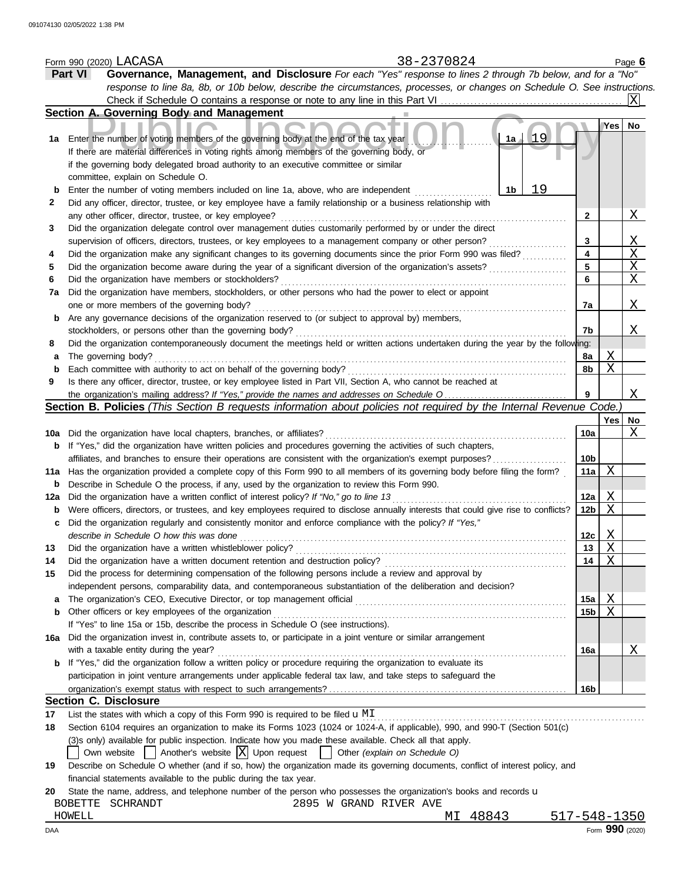|     | 38-2370824<br>Form 990 (2020) LACASA                                                                                                                                              |              |                 |                  | Page $6$        |
|-----|-----------------------------------------------------------------------------------------------------------------------------------------------------------------------------------|--------------|-----------------|------------------|-----------------|
|     | Governance, Management, and Disclosure For each "Yes" response to lines 2 through 7b below, and for a "No"<br>Part VI                                                             |              |                 |                  |                 |
|     | response to line 8a, 8b, or 10b below, describe the circumstances, processes, or changes on Schedule O. See instructions.                                                         |              |                 |                  |                 |
|     |                                                                                                                                                                                   |              |                 |                  |                 |
|     | Section A. Governing Body and Management                                                                                                                                          |              |                 |                  |                 |
| 1a  | Enter the number of voting members of the governing body at the end of the tax year<br>If there are material differences in voting rights among members of the governing body, or | 19<br>1a     |                 | Yes              | No              |
|     | if the governing body delegated broad authority to an executive committee or similar<br>committee, explain on Schedule O.                                                         |              |                 |                  |                 |
| b   | Enter the number of voting members included on line 1a, above, who are independent                                                                                                | 19<br>1b     |                 |                  |                 |
| 2   | Did any officer, director, trustee, or key employee have a family relationship or a business relationship with<br>any other officer, director, trustee, or key employee?          |              | 2               |                  | <u>X</u>        |
| 3   | Did the organization delegate control over management duties customarily performed by or under the direct                                                                         |              |                 |                  |                 |
|     | supervision of officers, directors, trustees, or key employees to a management company or other person?                                                                           |              | 3               |                  | $\overline{X}$  |
| 4   | Did the organization make any significant changes to its governing documents since the prior Form 990 was filed?                                                                  |              | 4               |                  | $\overline{X}$  |
| 5   | Did the organization become aware during the year of a significant diversion of the organization's assets?                                                                        |              | 5               |                  | $\mathbf{X}$    |
| 6   | Did the organization have members or stockholders?                                                                                                                                |              | 6               |                  | X               |
| 7a  | Did the organization have members, stockholders, or other persons who had the power to elect or appoint                                                                           |              |                 |                  |                 |
|     | one or more members of the governing body?                                                                                                                                        |              | 7a              |                  | X               |
| b   | Are any governance decisions of the organization reserved to (or subject to approval by) members,                                                                                 |              |                 |                  |                 |
|     | stockholders, or persons other than the governing body?                                                                                                                           |              | 7b              |                  | Χ               |
|     | Did the organization contemporaneously document the meetings held or written actions undertaken during the year by the following:                                                 |              |                 |                  |                 |
| 8   |                                                                                                                                                                                   |              |                 |                  |                 |
| a   | The governing body?                                                                                                                                                               |              | 8a              | Χ<br>X           |                 |
| b   | Each committee with authority to act on behalf of the governing body?                                                                                                             |              | 8b              |                  |                 |
| 9   | Is there any officer, director, trustee, or key employee listed in Part VII, Section A, who cannot be reached at                                                                  |              |                 |                  |                 |
|     | the organization's mailing address? If "Yes," provide the names and addresses on Schedule O                                                                                       |              | 9               |                  | X               |
|     | Section B. Policies (This Section B requests information about policies not required by the Internal Revenue Code.)                                                               |              |                 |                  |                 |
|     |                                                                                                                                                                                   |              |                 | Yes <sub>1</sub> | No              |
| 10a | Did the organization have local chapters, branches, or affiliates?                                                                                                                |              | 10a             |                  | X               |
| b   | If "Yes," did the organization have written policies and procedures governing the activities of such chapters,                                                                    |              |                 |                  |                 |
|     | affiliates, and branches to ensure their operations are consistent with the organization's exempt purposes?                                                                       |              | 10 <sub>b</sub> |                  |                 |
| 11a | Has the organization provided a complete copy of this Form 990 to all members of its governing body before filing the form?                                                       |              | 11a             | X                |                 |
| b   | Describe in Schedule O the process, if any, used by the organization to review this Form 990.                                                                                     |              |                 |                  |                 |
| 12a | Did the organization have a written conflict of interest policy? If "No," go to line 13                                                                                           |              | 12a             | Χ                |                 |
| b   | Were officers, directors, or trustees, and key employees required to disclose annually interests that could give rise to conflicts?                                               |              | 12 <sub>b</sub> | Χ                |                 |
| с   | Did the organization regularly and consistently monitor and enforce compliance with the policy? If "Yes,"                                                                         |              |                 |                  |                 |
|     | describe in Schedule O how this was done                                                                                                                                          |              | 12c             | X                |                 |
| 13  | Did the organization have a written whistleblower policy?                                                                                                                         |              | 13              | Χ                |                 |
| 14  | Did the organization have a written document retention and destruction policy?                                                                                                    |              | 14              | Χ                |                 |
| 15  | Did the process for determining compensation of the following persons include a review and approval by                                                                            |              |                 |                  |                 |
|     | independent persons, comparability data, and contemporaneous substantiation of the deliberation and decision?                                                                     |              |                 |                  |                 |
| a   |                                                                                                                                                                                   |              | 15a             | Χ                |                 |
| b   | Other officers or key employees of the organization                                                                                                                               |              | 15 <sub>b</sub> | X                |                 |
|     | If "Yes" to line 15a or 15b, describe the process in Schedule O (see instructions).                                                                                               |              |                 |                  |                 |
| 16а | Did the organization invest in, contribute assets to, or participate in a joint venture or similar arrangement                                                                    |              |                 |                  |                 |
|     | with a taxable entity during the year?                                                                                                                                            |              | 16a             |                  | Χ               |
| b   | If "Yes," did the organization follow a written policy or procedure requiring the organization to evaluate its                                                                    |              |                 |                  |                 |
|     | participation in joint venture arrangements under applicable federal tax law, and take steps to safeguard the                                                                     |              |                 |                  |                 |
|     |                                                                                                                                                                                   |              | <b>16b</b>      |                  |                 |
|     | <b>Section C. Disclosure</b>                                                                                                                                                      |              |                 |                  |                 |
| 17  | List the states with which a copy of this Form 990 is required to be filed $\mathbf{u}$ MI                                                                                        |              |                 |                  |                 |
| 18  | Section 6104 requires an organization to make its Forms 1023 (1024 or 1024-A, if applicable), 990, and 990-T (Section 501(c)                                                      |              |                 |                  |                 |
|     | (3)s only) available for public inspection. Indicate how you made these available. Check all that apply.                                                                          |              |                 |                  |                 |
|     | Own website $\begin{vmatrix} \end{vmatrix}$ Another's website $X$ Upon request $\begin{vmatrix} \end{vmatrix}$ Other (explain on Schedule O)                                      |              |                 |                  |                 |
| 19  | Describe on Schedule O whether (and if so, how) the organization made its governing documents, conflict of interest policy, and                                                   |              |                 |                  |                 |
|     | financial statements available to the public during the tax year.                                                                                                                 |              |                 |                  |                 |
| 20  | State the name, address, and telephone number of the person who possesses the organization's books and records u                                                                  |              |                 |                  |                 |
|     | 2895 W GRAND RIVER AVE<br>BOBETTE SCHRANDT                                                                                                                                        |              |                 |                  |                 |
|     | MI 48843<br>HOWELL                                                                                                                                                                | 517-548-1350 |                 |                  |                 |
| DAA |                                                                                                                                                                                   |              |                 |                  | Form 990 (2020) |
|     |                                                                                                                                                                                   |              |                 |                  |                 |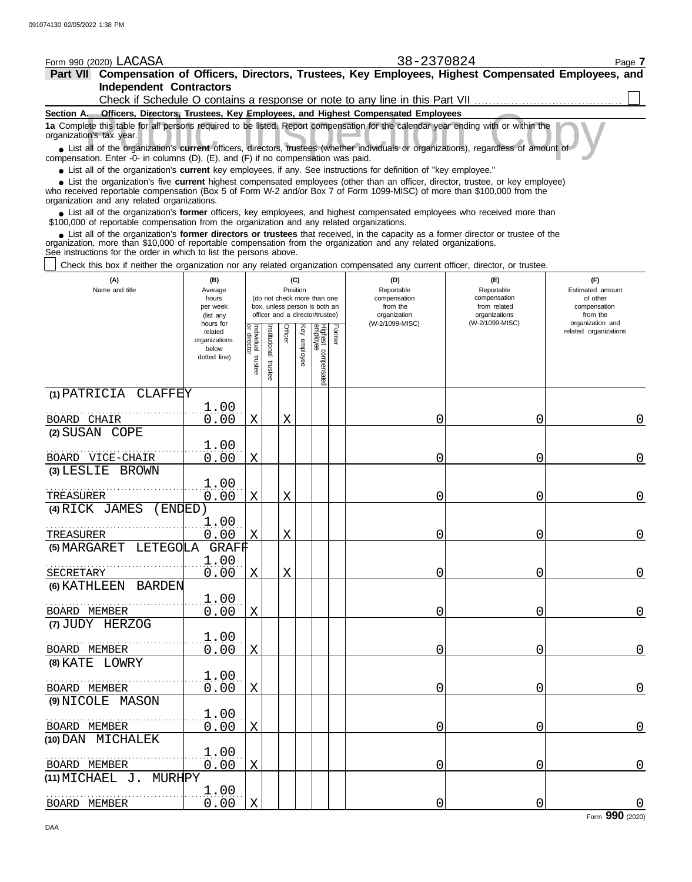| Form 990 (2020) LACASA                                                                                                                                                                                                                                                                                                        |                          |                           |              |         |                 |                                                                                                 |        | 38-2370824                                                                    |                                                   | Page 7                                              |
|-------------------------------------------------------------------------------------------------------------------------------------------------------------------------------------------------------------------------------------------------------------------------------------------------------------------------------|--------------------------|---------------------------|--------------|---------|-----------------|-------------------------------------------------------------------------------------------------|--------|-------------------------------------------------------------------------------|---------------------------------------------------|-----------------------------------------------------|
| Part VII Compensation of Officers, Directors, Trustees, Key Employees, Highest Compensated Employees, and                                                                                                                                                                                                                     |                          |                           |              |         |                 |                                                                                                 |        |                                                                               |                                                   |                                                     |
| <b>Independent Contractors</b>                                                                                                                                                                                                                                                                                                |                          |                           |              |         |                 |                                                                                                 |        |                                                                               |                                                   |                                                     |
| Section A. Officers, Directors, Trustees, Key Employees, and Highest Compensated Employees                                                                                                                                                                                                                                    |                          |                           |              |         |                 |                                                                                                 |        | Check if Schedule O contains a response or note to any line in this Part VII. |                                                   |                                                     |
| 1a Complete this table for all persons required to be listed. Report compensation for the calendar year ending with or within the                                                                                                                                                                                             |                          |                           |              |         |                 |                                                                                                 |        |                                                                               |                                                   |                                                     |
| organization's tax year.<br>• List all of the organization's current officers, directors, trustees (whether individuals or organizations), regardless of amount of                                                                                                                                                            |                          |                           |              |         |                 |                                                                                                 |        |                                                                               |                                                   |                                                     |
| compensation. Enter -0- in columns (D), (E), and (F) if no compensation was paid.<br>• List all of the organization's current key employees, if any. See instructions for definition of "key employee."                                                                                                                       |                          |                           |              |         |                 |                                                                                                 |        |                                                                               |                                                   |                                                     |
| • List the organization's five current highest compensated employees (other than an officer, director, trustee, or key employee)<br>who received reportable compensation (Box 5 of Form W-2 and/or Box 7 of Form 1099-MISC) of more than \$100,000 from the<br>organization and any related organizations.                    |                          |                           |              |         |                 |                                                                                                 |        |                                                                               |                                                   |                                                     |
| • List all of the organization's former officers, key employees, and highest compensated employees who received more than<br>\$100,000 of reportable compensation from the organization and any related organizations.                                                                                                        |                          |                           |              |         |                 |                                                                                                 |        |                                                                               |                                                   |                                                     |
| • List all of the organization's former directors or trustees that received, in the capacity as a former director or trustee of the<br>organization, more than \$10,000 of reportable compensation from the organization and any related organizations.<br>See instructions for the order in which to list the persons above. |                          |                           |              |         |                 |                                                                                                 |        |                                                                               |                                                   |                                                     |
| Check this box if neither the organization nor any related organization compensated any current officer, director, or trustee.                                                                                                                                                                                                |                          |                           |              |         |                 |                                                                                                 |        |                                                                               |                                                   |                                                     |
| (A)<br>(B)<br>Name and title<br>Average<br>hours<br>per week                                                                                                                                                                                                                                                                  |                          |                           |              |         | (C)<br>Position | (do not check more than one<br>box, unless person is both an<br>officer and a director/trustee) |        | (D)<br>Reportable<br>compensation<br>from the                                 | (E)<br>Reportable<br>compensation<br>from related | (F)<br>Estimated amount<br>of other<br>compensation |
|                                                                                                                                                                                                                                                                                                                               | (list any<br>hours for   |                           |              |         |                 |                                                                                                 |        | organization<br>(W-2/1099-MISC)                                               | organizations<br>(W-2/1099-MISC)                  | from the<br>organization and                        |
|                                                                                                                                                                                                                                                                                                                               | related<br>organizations | Individual<br>or director | nstitutional | Officer | Key employee    |                                                                                                 | Former |                                                                               |                                                   | related organizations                               |
|                                                                                                                                                                                                                                                                                                                               | below<br>dotted line)    |                           |              |         |                 |                                                                                                 |        |                                                                               |                                                   |                                                     |
|                                                                                                                                                                                                                                                                                                                               |                          | trustee                   | trustee      |         |                 | Highest compensated<br>employee                                                                 |        |                                                                               |                                                   |                                                     |
| (1) PATRICIA<br><b>CLAFFEY</b>                                                                                                                                                                                                                                                                                                |                          |                           |              |         |                 |                                                                                                 |        |                                                                               |                                                   |                                                     |
|                                                                                                                                                                                                                                                                                                                               | 1.00                     |                           |              |         |                 |                                                                                                 |        |                                                                               |                                                   |                                                     |
| BOARD CHAIR<br>(2) SUSAN COPE                                                                                                                                                                                                                                                                                                 | 0.00                     | X                         |              | X       |                 |                                                                                                 |        | Ω                                                                             | 0                                                 | 0                                                   |
|                                                                                                                                                                                                                                                                                                                               | 1.00                     |                           |              |         |                 |                                                                                                 |        |                                                                               |                                                   |                                                     |
| BOARD VICE-CHAIR                                                                                                                                                                                                                                                                                                              | 0.00                     | X                         |              |         |                 |                                                                                                 |        | 0                                                                             | 0                                                 | 0                                                   |
| $(3)$ LESLIE<br><b>BROWN</b>                                                                                                                                                                                                                                                                                                  |                          |                           |              |         |                 |                                                                                                 |        |                                                                               |                                                   |                                                     |
|                                                                                                                                                                                                                                                                                                                               | 1.00                     |                           |              |         |                 |                                                                                                 |        |                                                                               |                                                   |                                                     |
| TREASURER                                                                                                                                                                                                                                                                                                                     | 0.00                     | Χ                         |              | Χ       |                 |                                                                                                 |        | 0                                                                             | 0                                                 | 0                                                   |
| (4) RICK JAMES<br>( ENDED                                                                                                                                                                                                                                                                                                     | 1.00                     |                           |              |         |                 |                                                                                                 |        |                                                                               |                                                   |                                                     |
| TREASURER                                                                                                                                                                                                                                                                                                                     | 0.00                     | Χ                         |              | Χ       |                 |                                                                                                 |        | 0                                                                             | 0                                                 | 0                                                   |
| (5) MARGARET LETEGOLA                                                                                                                                                                                                                                                                                                         | <b>GRAF旷</b>             |                           |              |         |                 |                                                                                                 |        |                                                                               |                                                   |                                                     |
|                                                                                                                                                                                                                                                                                                                               | 1.00                     |                           |              |         |                 |                                                                                                 |        |                                                                               |                                                   |                                                     |
| SECRETARY                                                                                                                                                                                                                                                                                                                     | 0.00                     | X                         |              | X       |                 |                                                                                                 |        | 0                                                                             | 0                                                 | $\mathbf 0$                                         |
| (6) KATHLEEN BARDEN                                                                                                                                                                                                                                                                                                           | 1.00                     |                           |              |         |                 |                                                                                                 |        |                                                                               |                                                   |                                                     |
| BOARD MEMBER                                                                                                                                                                                                                                                                                                                  | 0.00                     | X                         |              |         |                 |                                                                                                 |        | 0                                                                             | 0                                                 | $\mathbf 0$                                         |
| (7) JUDY HERZOG                                                                                                                                                                                                                                                                                                               |                          |                           |              |         |                 |                                                                                                 |        |                                                                               |                                                   |                                                     |
|                                                                                                                                                                                                                                                                                                                               | 1.00                     |                           |              |         |                 |                                                                                                 |        |                                                                               |                                                   |                                                     |
| BOARD MEMBER                                                                                                                                                                                                                                                                                                                  | 0.00                     | X                         |              |         |                 |                                                                                                 |        | 0                                                                             | 0                                                 | $\mathbf 0$                                         |
| (8) KATE LOWRY                                                                                                                                                                                                                                                                                                                |                          |                           |              |         |                 |                                                                                                 |        |                                                                               |                                                   |                                                     |
| BOARD MEMBER                                                                                                                                                                                                                                                                                                                  | 1.00<br>0.00             | X                         |              |         |                 |                                                                                                 |        | 0                                                                             | 0                                                 | $\mathbf 0$                                         |
| (9) NICOLE MASON                                                                                                                                                                                                                                                                                                              |                          |                           |              |         |                 |                                                                                                 |        |                                                                               |                                                   |                                                     |
|                                                                                                                                                                                                                                                                                                                               | 1.00                     |                           |              |         |                 |                                                                                                 |        |                                                                               |                                                   |                                                     |
| BOARD MEMBER                                                                                                                                                                                                                                                                                                                  | 0.00                     | X                         |              |         |                 |                                                                                                 |        | 0                                                                             | 0                                                 | $\mathbf 0$                                         |
| (10) DAN MICHALEK                                                                                                                                                                                                                                                                                                             |                          |                           |              |         |                 |                                                                                                 |        |                                                                               |                                                   |                                                     |
| BOARD MEMBER                                                                                                                                                                                                                                                                                                                  | 1.00<br>0.00             | X                         |              |         |                 |                                                                                                 |        | 0                                                                             | 0                                                 | $\mathbf 0$                                         |
| (11) MICHAEL J.<br>MURHPY                                                                                                                                                                                                                                                                                                     |                          |                           |              |         |                 |                                                                                                 |        |                                                                               |                                                   |                                                     |
|                                                                                                                                                                                                                                                                                                                               | 1.00                     |                           |              |         |                 |                                                                                                 |        |                                                                               |                                                   |                                                     |

BOARD MEMBER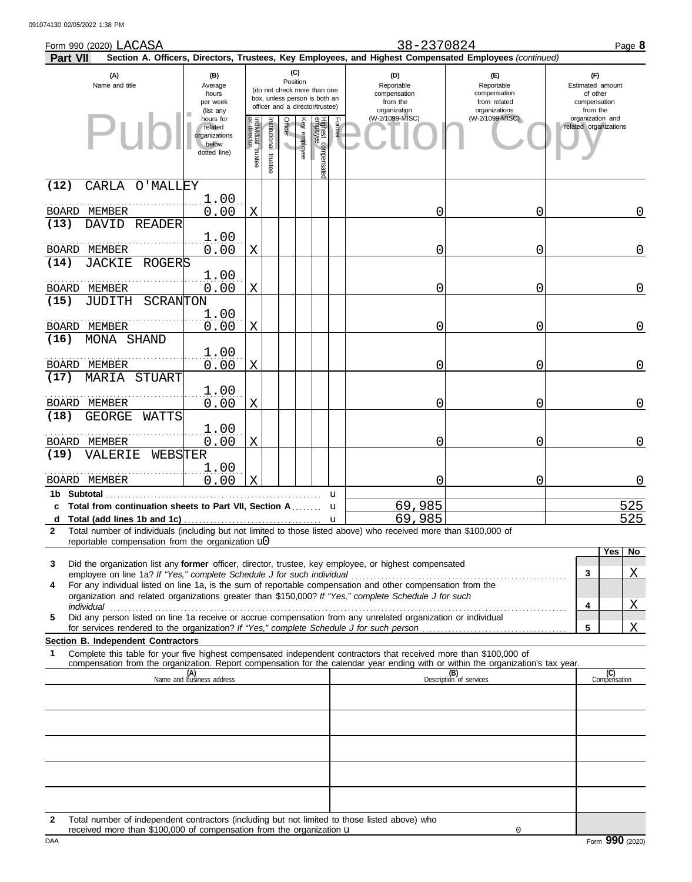| Form 990 (2020) LACASA<br>Part VII                                                                                                                                                                                                                                    |                                                                |                               |                         |                 |              |                                                                                                 |        | 38-2370824<br>Section A. Officers, Directors, Trustees, Key Employees, and Highest Compensated Employees (continued) |                                                                    |   | Page 8                                                          |
|-----------------------------------------------------------------------------------------------------------------------------------------------------------------------------------------------------------------------------------------------------------------------|----------------------------------------------------------------|-------------------------------|-------------------------|-----------------|--------------|-------------------------------------------------------------------------------------------------|--------|----------------------------------------------------------------------------------------------------------------------|--------------------------------------------------------------------|---|-----------------------------------------------------------------|
| (A)<br>Name and title                                                                                                                                                                                                                                                 | (B)<br>Average<br>hours<br>per week<br>(list any               |                               |                         | (C)<br>Position |              | (do not check more than one<br>box, unless person is both an<br>officer and a director/trustee) |        | (D)<br>Reportable<br>compensation<br>from the<br>organization                                                        | (E)<br>Reportable<br>compensation<br>from related<br>organizations |   | (F)<br>Estimated amount<br>of other<br>compensation<br>from the |
|                                                                                                                                                                                                                                                                       | hours for<br>related<br>organizations<br>below<br>dotted line) | ndividual trustee<br>director | nstitutional<br>trustee | Officer         | Key employee | Highest compensatec<br>employee                                                                 | Former | (W-2/1099-MISC)                                                                                                      | (W-2/1099-MISC)                                                    |   | organization and<br>related organizations                       |
| (12)<br>CARLA O'MALLEY                                                                                                                                                                                                                                                |                                                                |                               |                         |                 |              |                                                                                                 |        |                                                                                                                      |                                                                    |   |                                                                 |
| BOARD MEMBER                                                                                                                                                                                                                                                          | 1.00<br>0.00                                                   | Χ                             |                         |                 |              |                                                                                                 |        | Ω                                                                                                                    | 0                                                                  |   | 0                                                               |
| (13)<br>DAVID<br>READER<br>BOARD MEMBER                                                                                                                                                                                                                               | 1.00<br>0.00                                                   | Χ                             |                         |                 |              |                                                                                                 |        | 0                                                                                                                    | 0                                                                  |   | 0                                                               |
| (14)<br>JACKIE<br>ROGERS                                                                                                                                                                                                                                              |                                                                |                               |                         |                 |              |                                                                                                 |        |                                                                                                                      |                                                                    |   |                                                                 |
| BOARD MEMBER<br>(15)<br>SCRANTON<br>JUDITH                                                                                                                                                                                                                            | 1.00<br>0.00                                                   | Χ                             |                         |                 |              |                                                                                                 |        | Ω                                                                                                                    | 0                                                                  |   | 0                                                               |
| BOARD MEMBER                                                                                                                                                                                                                                                          | 1.00<br>0.00                                                   | Χ                             |                         |                 |              |                                                                                                 |        | 0                                                                                                                    | 0                                                                  |   | 0                                                               |
| (16)<br>MONA SHAND<br>BOARD MEMBER                                                                                                                                                                                                                                    | 1.00<br>0.00                                                   | Χ                             |                         |                 |              |                                                                                                 |        | 0                                                                                                                    | 0                                                                  |   | 0                                                               |
| (17)<br><b>MARIA STUART</b>                                                                                                                                                                                                                                           | 1.00                                                           |                               |                         |                 |              |                                                                                                 |        |                                                                                                                      |                                                                    |   |                                                                 |
| BOARD MEMBER<br>(18)<br><b>GEORGE</b><br>WATTS                                                                                                                                                                                                                        | 0.00                                                           | Χ                             |                         |                 |              |                                                                                                 |        | 0                                                                                                                    | 0                                                                  |   | 0                                                               |
| BOARD MEMBER<br>(19)<br>VALERIE<br>WEBSTER                                                                                                                                                                                                                            | 1.00<br>0.00                                                   | Χ                             |                         |                 |              |                                                                                                 |        | 0                                                                                                                    | 0                                                                  |   | $\overline{0}$                                                  |
| BOARD MEMBER                                                                                                                                                                                                                                                          | 1.00<br>0.00                                                   | Χ                             |                         |                 |              |                                                                                                 |        | 0                                                                                                                    | 0                                                                  |   | 0                                                               |
| 1b Subtotal<br>c Total from continuation sheets to Part VII, Section A                                                                                                                                                                                                |                                                                |                               |                         |                 |              |                                                                                                 | u<br>u | 69,985                                                                                                               |                                                                    |   | 525                                                             |
| d<br>Total number of individuals (including but not limited to those listed above) who received more than \$100,000 of<br>$\mathbf{2}$                                                                                                                                |                                                                |                               |                         |                 |              |                                                                                                 | u      | 69,985                                                                                                               |                                                                    |   | 525                                                             |
| reportable compensation from the organization $\mathbf{u}$                                                                                                                                                                                                            |                                                                |                               |                         |                 |              |                                                                                                 |        |                                                                                                                      |                                                                    |   | Yes<br>No                                                       |
| Did the organization list any <b>former</b> officer, director, trustee, key employee, or highest compensated<br>3<br>employee on line 1a? If "Yes," complete Schedule J for such individual                                                                           |                                                                |                               |                         |                 |              |                                                                                                 |        |                                                                                                                      |                                                                    | 3 | <u>X</u>                                                        |
| For any individual listed on line 1a, is the sum of reportable compensation and other compensation from the<br>4<br>organization and related organizations greater than \$150,000? If "Yes," complete Schedule J for such                                             |                                                                |                               |                         |                 |              |                                                                                                 |        |                                                                                                                      |                                                                    |   |                                                                 |
| individual<br>Did any person listed on line 1a receive or accrue compensation from any unrelated organization or individual<br>5                                                                                                                                      |                                                                |                               |                         |                 |              |                                                                                                 |        |                                                                                                                      |                                                                    | 4 | Χ                                                               |
| <b>Section B. Independent Contractors</b>                                                                                                                                                                                                                             |                                                                |                               |                         |                 |              |                                                                                                 |        |                                                                                                                      |                                                                    | 5 | $\mathbf{X}$                                                    |
| Complete this table for your five highest compensated independent contractors that received more than \$100,000 of<br>$\mathbf 1$<br>compensation from the organization. Report compensation for the calendar year ending with or within the organization's tax year. |                                                                |                               |                         |                 |              |                                                                                                 |        |                                                                                                                      |                                                                    |   |                                                                 |
|                                                                                                                                                                                                                                                                       | (A)<br>Name and business address                               |                               |                         |                 |              |                                                                                                 |        |                                                                                                                      | (B)<br>Description of services                                     |   | (C)<br>Compensation                                             |
|                                                                                                                                                                                                                                                                       |                                                                |                               |                         |                 |              |                                                                                                 |        |                                                                                                                      |                                                                    |   |                                                                 |
|                                                                                                                                                                                                                                                                       |                                                                |                               |                         |                 |              |                                                                                                 |        |                                                                                                                      |                                                                    |   |                                                                 |
|                                                                                                                                                                                                                                                                       |                                                                |                               |                         |                 |              |                                                                                                 |        |                                                                                                                      |                                                                    |   |                                                                 |
|                                                                                                                                                                                                                                                                       |                                                                |                               |                         |                 |              |                                                                                                 |        |                                                                                                                      |                                                                    |   |                                                                 |
|                                                                                                                                                                                                                                                                       |                                                                |                               |                         |                 |              |                                                                                                 |        |                                                                                                                      |                                                                    |   |                                                                 |

**2** Total number of independent contractors (including but not limited to those listed above) who received more than \$100,000 of compensation from the organization u

0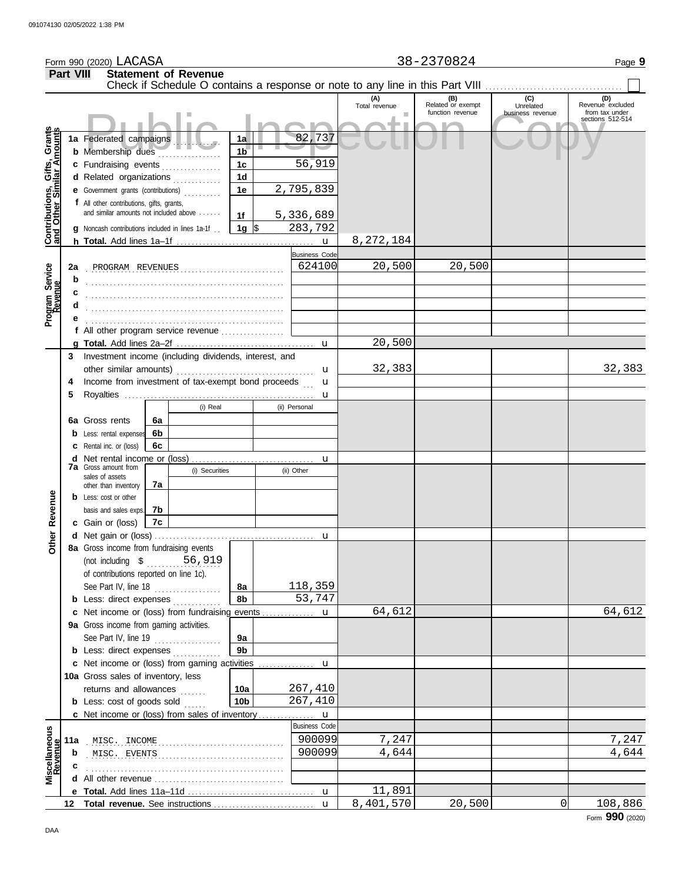|                                                           |                  | Form 990 (2020) LACASA                                                              |    |                             |                      | 38-2370824<br>Page 9 |                      |                      |                          |                                                                               |                                    |  |  |  |
|-----------------------------------------------------------|------------------|-------------------------------------------------------------------------------------|----|-----------------------------|----------------------|----------------------|----------------------|----------------------|--------------------------|-------------------------------------------------------------------------------|------------------------------------|--|--|--|
|                                                           | <b>Part VIII</b> |                                                                                     |    | <b>Statement of Revenue</b> |                      |                      |                      |                      |                          |                                                                               |                                    |  |  |  |
|                                                           |                  |                                                                                     |    |                             |                      |                      |                      |                      |                          | Check if Schedule O contains a response or note to any line in this Part VIII |                                    |  |  |  |
|                                                           |                  |                                                                                     |    |                             |                      |                      |                      | (A)<br>Total revenue | (B)<br>Related or exempt | (C)<br>Unrelated                                                              | (D)<br>Revenue excluded            |  |  |  |
|                                                           |                  |                                                                                     |    |                             |                      |                      |                      |                      | function revenue         | business revenue                                                              | from tax under<br>sections 512-514 |  |  |  |
|                                                           |                  |                                                                                     |    |                             |                      |                      | 82,737               |                      |                          |                                                                               |                                    |  |  |  |
|                                                           |                  | 1a Federated campaigns                                                              |    |                             | 1a<br>1 <sub>b</sub> |                      |                      |                      |                          |                                                                               |                                    |  |  |  |
|                                                           |                  | <b>b</b> Membership dues<br>c Fundraising events                                    |    |                             | 1 <sub>c</sub>       |                      | 56,919               |                      |                          |                                                                               |                                    |  |  |  |
|                                                           |                  | d Related organizations                                                             |    |                             | 1 <sub>d</sub>       |                      |                      |                      |                          |                                                                               |                                    |  |  |  |
|                                                           |                  | e Government grants (contributions)                                                 |    |                             | 1e                   |                      | 2,795,839            |                      |                          |                                                                               |                                    |  |  |  |
|                                                           |                  | f All other contributions, gifts, grants,                                           |    |                             |                      |                      |                      |                      |                          |                                                                               |                                    |  |  |  |
|                                                           |                  | and similar amounts not included above                                              |    |                             | 1f                   |                      | 5,336,689            |                      |                          |                                                                               |                                    |  |  |  |
| Contributions, Gifts, Grants<br>and Other Similar Amounts |                  | <b>g</b> Noncash contributions included in lines 1a-1f.                             |    |                             | 1g $\frac{1}{3}$     |                      | 283,792              |                      |                          |                                                                               |                                    |  |  |  |
|                                                           |                  |                                                                                     |    |                             |                      |                      |                      | 8,272,184            |                          |                                                                               |                                    |  |  |  |
|                                                           |                  |                                                                                     |    |                             |                      |                      | <b>Business Code</b> |                      |                          |                                                                               |                                    |  |  |  |
|                                                           | 2a               | PROGRAM REVENUES                                                                    |    |                             |                      |                      | 624100               | 20,500               | 20,500                   |                                                                               |                                    |  |  |  |
| Program Service                                           | b                |                                                                                     |    |                             |                      |                      |                      |                      |                          |                                                                               |                                    |  |  |  |
|                                                           |                  |                                                                                     |    |                             |                      |                      |                      |                      |                          |                                                                               |                                    |  |  |  |
|                                                           |                  |                                                                                     |    |                             |                      |                      |                      |                      |                          |                                                                               |                                    |  |  |  |
|                                                           |                  |                                                                                     |    |                             |                      |                      |                      |                      |                          |                                                                               |                                    |  |  |  |
|                                                           |                  | f All other program service revenue                                                 |    |                             |                      |                      |                      | 20,500               |                          |                                                                               |                                    |  |  |  |
|                                                           | 3                | Investment income (including dividends, interest, and                               |    |                             |                      |                      |                      |                      |                          |                                                                               |                                    |  |  |  |
|                                                           |                  | other similar amounts)                                                              |    |                             |                      |                      | u                    | 32,383               |                          |                                                                               | 32,383                             |  |  |  |
|                                                           | 4                | Income from investment of tax-exempt bond proceeds                                  |    |                             |                      |                      | u                    |                      |                          |                                                                               |                                    |  |  |  |
|                                                           | 5                |                                                                                     |    |                             |                      |                      | u                    |                      |                          |                                                                               |                                    |  |  |  |
|                                                           |                  |                                                                                     |    | (i) Real                    |                      |                      | (ii) Personal        |                      |                          |                                                                               |                                    |  |  |  |
|                                                           |                  | 6a Gross rents                                                                      | 6a |                             |                      |                      |                      |                      |                          |                                                                               |                                    |  |  |  |
|                                                           |                  | <b>b</b> Less: rental expenses                                                      | 6b |                             |                      |                      |                      |                      |                          |                                                                               |                                    |  |  |  |
|                                                           |                  | <b>c</b> Rental inc. or (loss)                                                      | 6с |                             |                      |                      |                      |                      |                          |                                                                               |                                    |  |  |  |
|                                                           |                  | Net rental income or (loss)<br><b>7a</b> Gross amount from                          |    |                             |                      |                      | u                    |                      |                          |                                                                               |                                    |  |  |  |
|                                                           |                  | sales of assets                                                                     |    | (i) Securities              |                      |                      | (ii) Other           |                      |                          |                                                                               |                                    |  |  |  |
|                                                           |                  | other than inventory                                                                | 7a |                             |                      |                      |                      |                      |                          |                                                                               |                                    |  |  |  |
| Revenue                                                   |                  | <b>b</b> Less: cost or other                                                        |    |                             |                      |                      |                      |                      |                          |                                                                               |                                    |  |  |  |
|                                                           |                  | basis and sales exps.                                                               | 7b |                             |                      |                      |                      |                      |                          |                                                                               |                                    |  |  |  |
|                                                           |                  | c Gain or (loss)                                                                    | 7c |                             |                      |                      |                      |                      |                          |                                                                               |                                    |  |  |  |
| Other                                                     |                  | 8a Gross income from fundraising events                                             |    |                             |                      |                      |                      |                      |                          |                                                                               |                                    |  |  |  |
|                                                           |                  | (not including \$ 56,919)                                                           |    |                             |                      |                      |                      |                      |                          |                                                                               |                                    |  |  |  |
|                                                           |                  | of contributions reported on line 1c).                                              |    |                             |                      |                      |                      |                      |                          |                                                                               |                                    |  |  |  |
|                                                           |                  | See Part IV, line 18                                                                |    |                             | 8a                   |                      | 118,359              |                      |                          |                                                                               |                                    |  |  |  |
|                                                           |                  | <b>b</b> Less: direct expenses                                                      |    |                             | 8b                   |                      | 53,747               |                      |                          |                                                                               |                                    |  |  |  |
|                                                           |                  |                                                                                     |    |                             |                      |                      |                      | 64,612               |                          |                                                                               | 64,612                             |  |  |  |
|                                                           |                  | 9a Gross income from gaming activities.                                             |    |                             |                      |                      |                      |                      |                          |                                                                               |                                    |  |  |  |
|                                                           |                  | See Part IV, line 19                                                                |    | .                           | 9a                   |                      |                      |                      |                          |                                                                               |                                    |  |  |  |
|                                                           |                  | <b>b</b> Less: direct expenses <i>minimum</i>                                       |    |                             | 9b                   |                      |                      |                      |                          |                                                                               |                                    |  |  |  |
|                                                           |                  | c Net income or (loss) from gaming activities<br>10a Gross sales of inventory, less |    |                             |                      |                      | u                    |                      |                          |                                                                               |                                    |  |  |  |
|                                                           |                  | returns and allowances                                                              |    |                             | 10a                  |                      | 267,410              |                      |                          |                                                                               |                                    |  |  |  |
|                                                           |                  | <b>b</b> Less: $cost$ of goods sold $\ldots$                                        |    |                             | 10 <sub>b</sub>      |                      | 267,410              |                      |                          |                                                                               |                                    |  |  |  |
|                                                           |                  | c Net income or (loss) from sales of inventory                                      |    |                             |                      |                      | $\mathbf u$          |                      |                          |                                                                               |                                    |  |  |  |
|                                                           |                  |                                                                                     |    |                             |                      |                      | <b>Business Code</b> |                      |                          |                                                                               |                                    |  |  |  |
|                                                           |                  |                                                                                     |    |                             |                      |                      | 900099               | 7,247                |                          |                                                                               | 7,247                              |  |  |  |
|                                                           | b                |                                                                                     |    |                             |                      |                      | 900099               | 4,644                |                          |                                                                               | 4,644                              |  |  |  |
| Miscellaneous<br>Revenue                                  | c                |                                                                                     |    |                             |                      |                      |                      |                      |                          |                                                                               |                                    |  |  |  |
|                                                           |                  |                                                                                     |    |                             |                      |                      |                      |                      |                          |                                                                               |                                    |  |  |  |
|                                                           |                  |                                                                                     |    |                             |                      |                      | u                    | 11,891               |                          |                                                                               |                                    |  |  |  |
|                                                           |                  |                                                                                     |    |                             |                      |                      | $\mathbf{u}$         | 8,401,570            | 20,500                   | 0                                                                             | 108,886                            |  |  |  |

Form **990** (2020)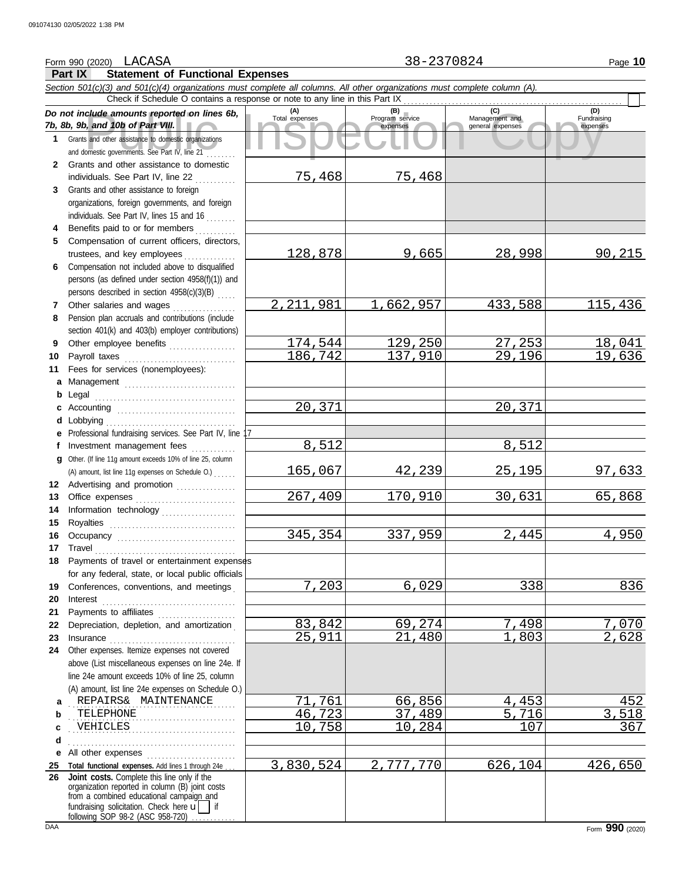# Form 990 (2020) LACASA 28-2370824 Page 10

|              | <b>Part IX</b><br><b>Statement of Functional Expenses</b>                                                                                                                                                                                                                           |                       |                                    |                                    |                         |
|--------------|-------------------------------------------------------------------------------------------------------------------------------------------------------------------------------------------------------------------------------------------------------------------------------------|-----------------------|------------------------------------|------------------------------------|-------------------------|
|              | Section 501(c)(3) and 501(c)(4) organizations must complete all columns. All other organizations must complete column (A).                                                                                                                                                          |                       |                                    |                                    |                         |
|              | Check if Schedule O contains a response or note to any line in this Part IX                                                                                                                                                                                                         |                       |                                    | (C)                                | (D)                     |
|              | Do not include amounts reported on lines 6b,<br>7b, 8b, 9b, and 10b of Part VIII.                                                                                                                                                                                                   | (A)<br>Total expenses | (B)<br>Program service<br>expenses | Management and<br>general expenses | Fundraising<br>expenses |
| 1            | Grants and other assistance to domestic organizations<br>and domestic governments. See Part IV, line 21                                                                                                                                                                             |                       |                                    |                                    |                         |
| $\mathbf{2}$ | Grants and other assistance to domestic                                                                                                                                                                                                                                             |                       |                                    |                                    |                         |
|              | individuals. See Part IV, line 22                                                                                                                                                                                                                                                   | 75,468                | 75,468                             |                                    |                         |
| 3            | Grants and other assistance to foreign                                                                                                                                                                                                                                              |                       |                                    |                                    |                         |
|              | organizations, foreign governments, and foreign                                                                                                                                                                                                                                     |                       |                                    |                                    |                         |
|              | individuals. See Part IV, lines 15 and 16                                                                                                                                                                                                                                           |                       |                                    |                                    |                         |
| 4<br>5       | Benefits paid to or for members<br>Compensation of current officers, directors,                                                                                                                                                                                                     |                       |                                    |                                    |                         |
|              | trustees, and key employees                                                                                                                                                                                                                                                         | 128,878               | 9,665                              | 28,998                             | 90,215                  |
| 6            | Compensation not included above to disqualified                                                                                                                                                                                                                                     |                       |                                    |                                    |                         |
|              | persons (as defined under section 4958(f)(1)) and                                                                                                                                                                                                                                   |                       |                                    |                                    |                         |
|              | persons described in section 4958(c)(3)(B)                                                                                                                                                                                                                                          |                       |                                    |                                    |                         |
| 7            | Other salaries and wages                                                                                                                                                                                                                                                            | 2, 211, 981           | 1,662,957                          | 433,588                            | 115,436                 |
| 8            | Pension plan accruals and contributions (include                                                                                                                                                                                                                                    |                       |                                    |                                    |                         |
|              | section 401(k) and 403(b) employer contributions)                                                                                                                                                                                                                                   |                       |                                    |                                    |                         |
| 9            | Other employee benefits                                                                                                                                                                                                                                                             | 174,544               | 129,250                            | 27,253                             | 18,041                  |
| 10           | Payroll taxes                                                                                                                                                                                                                                                                       | 186,742               | 137,910                            | 29,196                             | 19,636                  |
| 11           | Fees for services (nonemployees):                                                                                                                                                                                                                                                   |                       |                                    |                                    |                         |
| a            |                                                                                                                                                                                                                                                                                     |                       |                                    |                                    |                         |
| b<br>c       | Legal                                                                                                                                                                                                                                                                               | 20,371                |                                    | 20,371                             |                         |
| d            | Lobbying                                                                                                                                                                                                                                                                            |                       |                                    |                                    |                         |
| е            | Professional fundraising services. See Part IV, line                                                                                                                                                                                                                                |                       |                                    |                                    |                         |
| f            | Investment management fees                                                                                                                                                                                                                                                          | 8,512                 |                                    | 8,512                              |                         |
| a            | Other. (If line 11g amount exceeds 10% of line 25, column                                                                                                                                                                                                                           |                       |                                    |                                    |                         |
|              | (A) amount, list line 11g expenses on Schedule O.)                                                                                                                                                                                                                                  | <u>165,067</u>        | 42,239                             | <u>25,195</u>                      | <u>97,633</u>           |
|              | 12 Advertising and promotion                                                                                                                                                                                                                                                        |                       |                                    |                                    |                         |
| 13           |                                                                                                                                                                                                                                                                                     | 267,409               | 170,910                            | 30,631                             | 65,868                  |
| 14           | Information technology                                                                                                                                                                                                                                                              |                       |                                    |                                    |                         |
| 15<br>16     | Royalties                                                                                                                                                                                                                                                                           | 345,354               | 337,959                            | 2,445                              | 4,950                   |
|              | 17 Travel                                                                                                                                                                                                                                                                           |                       |                                    |                                    |                         |
| 18           | Payments of travel or entertainment expenses                                                                                                                                                                                                                                        |                       |                                    |                                    |                         |
|              | for any federal, state, or local public officials                                                                                                                                                                                                                                   |                       |                                    |                                    |                         |
| 19           | Conferences, conventions, and meetings                                                                                                                                                                                                                                              | 7,203                 | 6,029                              | 338                                | 836                     |
| 20           | Interest                                                                                                                                                                                                                                                                            |                       |                                    |                                    |                         |
| 21           | Payments to affiliates                                                                                                                                                                                                                                                              |                       |                                    |                                    |                         |
| 22           | Depreciation, depletion, and amortization                                                                                                                                                                                                                                           | 83,842                | 69,274                             | 7,498                              | <u>7,070</u><br>2,628   |
| 23<br>24     | Insurance <i>minimum and a series</i> and a series of the series of the series of the series of the series of the series of the series of the series of the series of the series of the series of the series of the series of the s<br>Other expenses. Itemize expenses not covered | 25,911                | 21,480                             | 1,803                              |                         |
|              | above (List miscellaneous expenses on line 24e. If                                                                                                                                                                                                                                  |                       |                                    |                                    |                         |
|              | line 24e amount exceeds 10% of line 25, column                                                                                                                                                                                                                                      |                       |                                    |                                    |                         |
|              | (A) amount, list line 24e expenses on Schedule O.)                                                                                                                                                                                                                                  |                       |                                    |                                    |                         |
| a            | REPAIRS& MAINTENANCE                                                                                                                                                                                                                                                                | 71,761                | 66,856                             | 4,453                              | 452                     |
| b            | TELEPHONE                                                                                                                                                                                                                                                                           | 46,723                | 37,489                             | 5,716                              | 3,518                   |
| c            | VEHICLES                                                                                                                                                                                                                                                                            | 10,758                | 10,284                             | 107                                | 367                     |
| d            |                                                                                                                                                                                                                                                                                     |                       |                                    |                                    |                         |
| е            | All other expenses                                                                                                                                                                                                                                                                  |                       |                                    |                                    |                         |
| 25<br>26     | Total functional expenses. Add lines 1 through 24e<br>Joint costs. Complete this line only if the                                                                                                                                                                                   | 3,830,524             | 2,777,770                          | 626,104                            | 426,650                 |
|              | organization reported in column (B) joint costs                                                                                                                                                                                                                                     |                       |                                    |                                    |                         |
|              | from a combined educational campaign and<br>fundraising solicitation. Check here $\mathbf{u}$   if                                                                                                                                                                                  |                       |                                    |                                    |                         |
|              | following SOP 98-2 (ASC 958-720)                                                                                                                                                                                                                                                    |                       |                                    |                                    |                         |

LACASA 38-2370824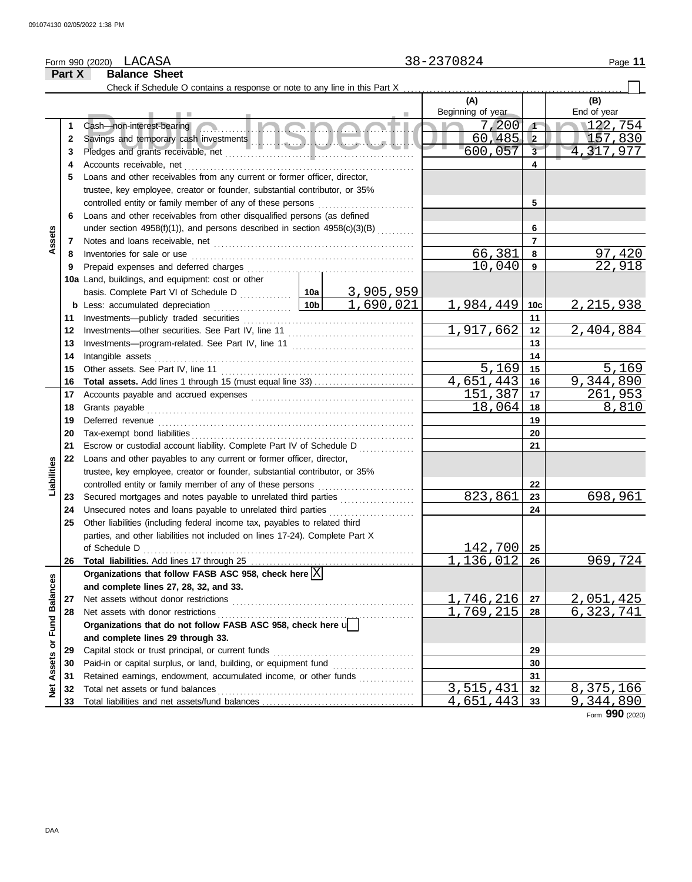#### LACASA 38-2370824 Form 990 (2020) Page **11 Part X Balance Sheet** Check if Schedule O contains a response or note to any line in this Part X **(A) (B)** Beginning of year **End of year** Example of the example of the community of the community of the contract bearing<br>Savings and temporary cash investments<br>Pledges and grants receivable, net the contract of the copy of the copy of the copy of the copy of the Cash—non-interest-bearing ................  $\begin{array}{|c|c|c|c|c|}\n\hline\n7,200 & 1 & 122,754 \\
\hline\n60,485 & 2 & 157,830\n\end{array}$ **1 1 2** 60,485 2<br>600.057 3 4.317.977 **2** Savings and temporary cash investments . . . . . . . . . . . . . . . . . . . . . . . . . . . . . . . . . . . . . . . . . . . . **3** 600,057 4,317,977 **3** Pledges and grants receivable, net . . . . . . . . . . . . . . . . . . . . . . . . . . . . . . . . . . . . . . . . . . . . . . . . . . . **4 4** Accounts receivable, net **5** Loans and other receivables from any current or former officer, director, trustee, key employee, creator or founder, substantial contributor, or 35% controlled entity or family member of any of these persons **5 6** Loans and other receivables from other disqualified persons (as defined **6** under section 4958(f)(1)), and persons described in section 4958(c)(3)(B) .......... **Assets 7 7** Notes and loans receivable, net . . . . . . . . . . . . . . . . . . . . . . . . . . . . . . . . . . . . . . . . . . . . . . . . . . . . . . Inventories for sale or use . . . . . . . . . . . . . . . . . . . . . . . . . . . . . . . . . . . . . . . . . . . . . . . . . . . . . . . . . . . .  $\begin{array}{|c|c|c|c|c|}\n 66,381 & \textbf{8} & \textbf{97,420} \\
 \hline\n 10,040 & \textbf{9} & & 22,918\n \end{array}$ **8 8** 10,040 **9 9** Prepaid expenses and deferred charges . . . . . . . . . . . . . . . . . . . . . . . . . . . . . . . . . . . . . . . . . . . . . **10a** Land, buildings, and equipment: cost or other basis. Complete Part VI of Schedule D .............. **10a** <u>3,905,959</u><br>1,690,021  $1,984,449$  | 10c | 2, 215,938 **10c b** Less: accumulated depreciation . . . . . . . . . . . . . . . . 10b **11** Investments—publicly traded securities . . . . . . . . . . . . . . . . . . . . . . . . . . . . . . . . . . . . . . . . . . . . . . **11** Investments—other securities. See Part IV, line 11 . . . . . . . . . . . . . . . . . . . . . . . . . . . . . . . . . .  $1,917,662$  12 2,404,884 **12 12** Investments—program-related. See Part IV, line 11 ............................... **13 13** Intangible assets . . . . . . . . . . . . . . . . . . . . . . . . . . . . . . . . . . . . . . . . . . . . . . . . . . . . . . . . . . . . . . . . . . . . . . **14 14** Other assets. See Part IV, line 11 . . . . . . . . . . . . . . . . . . . . . . . . . . . . . . . . . . . . . . . . . . . . . . . . . . . .  $\begin{array}{|c|c|c|c|c|}\n 5,169 & \textbf{15} & \textbf{5},169 \\
 \hline\n 1.443 & \textbf{16} & \textbf{9},344,890\n \end{array}$ **15 15** 4,651,443 16 9,344,890<br>151,387 17 261,953 **16 Total assets.** Add lines 1 through 15 (must equal line 33) . . . . . . . . . . . . . . . . . . . . . . . . . . . **16** Accounts payable and accrued expenses . . . . . . . . . . . . . . . . . . . . . . . . . . . . . . . . . . . . . . . . . . . . **17** <u>151,387</u> **17** Grants payable . . . . . . . . . . . . . . . . . . . . . . . . . . . . . . . . . . . . . . . . . . . . . . . . . . . . . . . . . . . . . . . . . . . . . . . . **18 18** 18,064 8,810 **19** Deferred revenue . . . . . . . . . . . . . . . . . . . . . . . . . . . . . . . . . . . . . . . . . . . . . . . . . . . . . . . . . . . . . . . . . . . . . **19** Tax-exempt bond liabilities . . . . . . . . . . . . . . . . . . . . . . . . . . . . . . . . . . . . . . . . . . . . . . . . . . . . . . . . . . . . **20 20 21** Escrow or custodial account liability. Complete Part IV of Schedule D **21 22** Loans and other payables to any current or former officer, director, **Liabilities** trustee, key employee, creator or founder, substantial contributor, or 35% controlled entity or family member of any of these persons . . . . . . . . . . . . . . . . . . . . . . . . . . **22** Secured mortgages and notes payable to unrelated third parties ................... 823,861 698,961 **23 23** Unsecured notes and loans payable to unrelated third parties . . . . . . . . . . . . . . . . . . . . . . . **24 24 25** Other liabilities (including federal income tax, payables to related third parties, and other liabilities not included on lines 17-24). Complete Part X 142,700 of Schedule D . . . . . . . . . . . . . . . . . . . . . . . . . . . . . . . . . . . . . . . . . . . . . . . . . . . . . . . . . . . . . . . . . . . . . . . . . **25** 1,136,012 969,724 **26 26** Total liabilities. Add lines 17 through 25 .............. Organizations that follow FASB ASC 958, check here  $\boxed{\text{X}}$ Net Assets or Fund Balances **Net Assets or Fund Balances and complete lines 27, 28, 32, and 33.** Net assets without donor restrictions . . . . . . . . . . . . . . . . . . . . . . . . . . . . . . . . . . . . . . . . . . . . . . . . . <u>1,746,216 27 2,051,425</u><br>1,769,215 28 6,323,741 **27 27** Net assets with donor restrictions . . . . . . . . . . . . . . . . . . . . . . . . . . . . . . . . . . . . . . . . . . . . . . . . . . . . . 1,769,215 **28 28 Organizations that do not follow FASB ASC 958, check here** u **and complete lines 29 through 33.** Capital stock or trust principal, or current funds . . . . . . . . . . . . . . . . . . . . . . . . . . . . . . . . . . . . . . **29 29** Paid-in or capital surplus, or land, building, or equipment fund . . . . . . . . . . . . . . . . . . . . . . **30 30** Retained earnings, endowment, accumulated income, or other funds . . . . . . . . . . . . . . . . . . **31 31**

Total net assets or fund balances . . . . . . . . . . . . . . . . . . . . . . . . . . . . . . . . . . . . . . . . . . . . . . . . . . . . . Total liabilities and net assets/fund balances . . . . . . . . . . . . . . . . . . . . . . . . . . . . . . . . . . . . . . . . .

Form **990** (2020)

9,344,890

**33 32**

 $\begin{array}{|c|c|c|c|c|c|}\n \hline\n 3,515,431 & \textbf{32} & \textbf{8},375,166 \\
 \hline\n 4,651,443 & \textbf{33} & \textbf{9},344,890\n \hline\n \end{array}$ 

**32 33**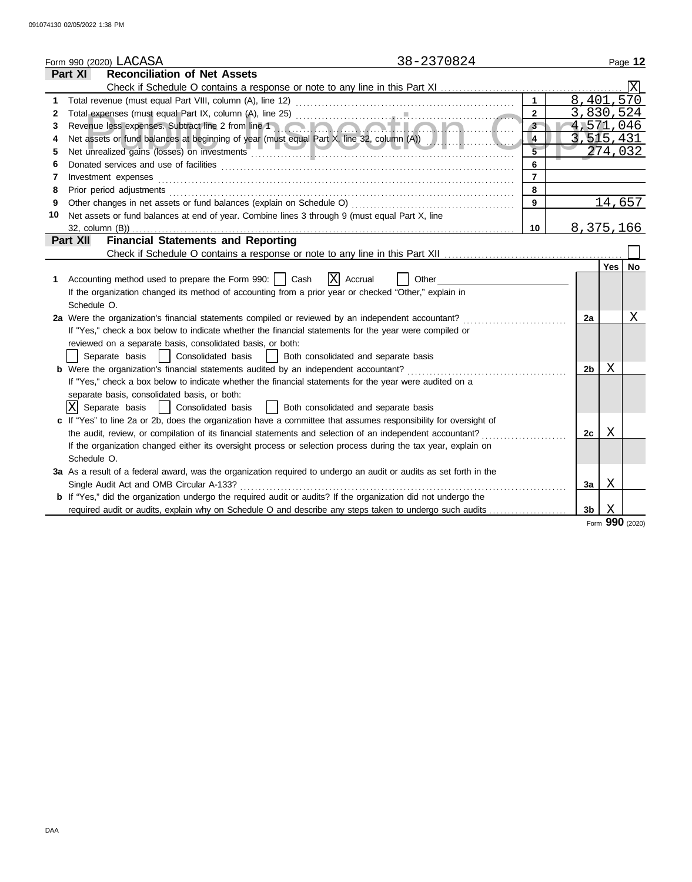|    | 38-2370824<br>Form 990 (2020) LACASA                                                                                  |                |                        |                 | Page 12 |
|----|-----------------------------------------------------------------------------------------------------------------------|----------------|------------------------|-----------------|---------|
|    | <b>Reconciliation of Net Assets</b><br>Part XI                                                                        |                |                        |                 |         |
|    |                                                                                                                       |                |                        |                 |         |
| 1  | Total revenue (must equal Part VIII, column (A), line 12)                                                             | $\mathbf{1}$   | $8,401,5\overline{70}$ |                 |         |
| 2  |                                                                                                                       | $\overline{2}$ | 3,830,524              |                 |         |
| 3  | Revenue less expenses. Subtract line 2 from line 1 and the contract of the contract of                                | 3 <sup>2</sup> | 4,571,046              |                 |         |
| 4  | Net assets or fund balances at beginning of year (must equal Part X, line 32, column (A))                             | $\overline{4}$ | 3,515,431              |                 |         |
| 5  |                                                                                                                       |                |                        | 274,032         |         |
| 6  |                                                                                                                       | 6              |                        |                 |         |
| 7  | Investment expenses                                                                                                   | $\overline{7}$ |                        |                 |         |
| 8  | Prior period adjustments                                                                                              | 8              |                        |                 |         |
| 9  | Other changes in net assets or fund balances (explain on Schedule O)                                                  | 9              |                        | 14,657          |         |
| 10 | Net assets or fund balances at end of year. Combine lines 3 through 9 (must equal Part X, line                        |                |                        |                 |         |
|    | $32$ , column $(B)$ )                                                                                                 | 10             | 8, 375, 166            |                 |         |
|    | <b>Financial Statements and Reporting</b><br>Part XII                                                                 |                |                        |                 |         |
|    |                                                                                                                       |                |                        |                 |         |
|    |                                                                                                                       |                |                        | Yes l           | No      |
| 1. | lxl<br>Accounting method used to prepare the Form 990:     Cash<br>Accrual<br>Other                                   |                |                        |                 |         |
|    | If the organization changed its method of accounting from a prior year or checked "Other," explain in                 |                |                        |                 |         |
|    | Schedule O.                                                                                                           |                |                        |                 |         |
|    | 2a Were the organization's financial statements compiled or reviewed by an independent accountant?                    |                | 2a                     |                 | Χ       |
|    | If "Yes," check a box below to indicate whether the financial statements for the year were compiled or                |                |                        |                 |         |
|    | reviewed on a separate basis, consolidated basis, or both:                                                            |                |                        |                 |         |
|    | Consolidated basis<br>Separate basis<br>Both consolidated and separate basis                                          |                |                        |                 |         |
|    | <b>b</b> Were the organization's financial statements audited by an independent accountant?                           |                | 2 <sub>b</sub>         | Χ               |         |
|    | If "Yes," check a box below to indicate whether the financial statements for the year were audited on a               |                |                        |                 |         |
|    | separate basis, consolidated basis, or both:                                                                          |                |                        |                 |         |
|    | X Separate basis<br>Both consolidated and separate basis<br>Consolidated basis                                        |                |                        |                 |         |
|    | c If "Yes" to line 2a or 2b, does the organization have a committee that assumes responsibility for oversight of      |                |                        |                 |         |
|    | the audit, review, or compilation of its financial statements and selection of an independent accountant?             |                | 2c                     | X               |         |
|    | If the organization changed either its oversight process or selection process during the tax year, explain on         |                |                        |                 |         |
|    | Schedule O.                                                                                                           |                |                        |                 |         |
|    | 3a As a result of a federal award, was the organization required to undergo an audit or audits as set forth in the    |                |                        |                 |         |
|    | Single Audit Act and OMB Circular A-133?                                                                              |                | 3a                     | X               |         |
|    | <b>b</b> If "Yes," did the organization undergo the required audit or audits? If the organization did not undergo the |                |                        |                 |         |
|    | required audit or audits, explain why on Schedule O and describe any steps taken to undergo such audits               |                | 3 <sub>b</sub>         | X               |         |
|    |                                                                                                                       |                |                        | Form 990 (2020) |         |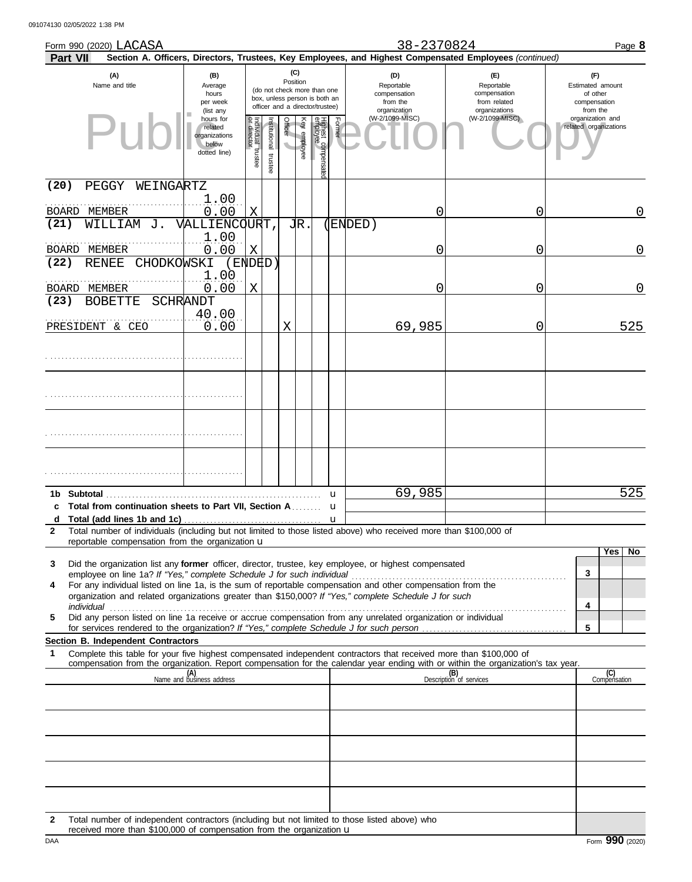|               | Form 990 (2020) LACASA                                                                                                                                                                                                                                                                                       |                                                                |                                   |                         |                                     |                 |                                                                                                 |        | 38-2370824                                                                                             | Page 8                                                             |                                                                 |
|---------------|--------------------------------------------------------------------------------------------------------------------------------------------------------------------------------------------------------------------------------------------------------------------------------------------------------------|----------------------------------------------------------------|-----------------------------------|-------------------------|-------------------------------------|-----------------|-------------------------------------------------------------------------------------------------|--------|--------------------------------------------------------------------------------------------------------|--------------------------------------------------------------------|-----------------------------------------------------------------|
|               | Part VII                                                                                                                                                                                                                                                                                                     |                                                                |                                   |                         |                                     |                 |                                                                                                 |        | Section A. Officers, Directors, Trustees, Key Employees, and Highest Compensated Employees (continued) |                                                                    |                                                                 |
|               | (A)<br>Name and title                                                                                                                                                                                                                                                                                        | (B)<br>Average<br>hours<br>per week<br>(list any               |                                   |                         |                                     | (C)<br>Position | (do not check more than one<br>box, unless person is both an<br>officer and a director/trustee) |        | (D)<br>Reportable<br>compensation<br>from the<br>organization                                          | (E)<br>Reportable<br>compensation<br>from related<br>organizations | (F)<br>Estimated amount<br>of other<br>compensation<br>from the |
|               |                                                                                                                                                                                                                                                                                                              | hours for<br>related<br>organizations<br>below<br>dotted line) | Individual trustee<br>or director | nstitutional<br>trustee | Officer<br>$\overline{\phantom{0}}$ | Key employee    | Highest compensate<br>employee                                                                  | Former | (W-2/1099-MISC)                                                                                        | (W-2/1099-MISC)                                                    | organization and<br>related organizations                       |
| (20)          | PEGGY<br>WEINGARTZ                                                                                                                                                                                                                                                                                           |                                                                |                                   |                         |                                     |                 |                                                                                                 |        |                                                                                                        |                                                                    |                                                                 |
| BOARD<br>(21) | MEMBER<br>WILLIAM<br>J.                                                                                                                                                                                                                                                                                      | 1.00<br>0.00<br>VALLIENCOURT                                   | Χ                                 |                         |                                     | JR.             |                                                                                                 |        | Ω<br>(ENDED)                                                                                           | 0                                                                  | 0                                                               |
| BOARD         | MEMBER                                                                                                                                                                                                                                                                                                       | 1.00<br>0.00                                                   | X                                 |                         |                                     |                 |                                                                                                 |        | 0                                                                                                      | 0                                                                  | $\overline{0}$                                                  |
| (22)          | CHODKOWSKI<br><b>RENEE</b>                                                                                                                                                                                                                                                                                   | (ENDED)<br>1.00                                                |                                   |                         |                                     |                 |                                                                                                 |        |                                                                                                        |                                                                    |                                                                 |
| (23)          | BOARD MEMBER<br><b>BOBETTE</b>                                                                                                                                                                                                                                                                               | 0.00<br>SCHRANDT                                               | Χ                                 |                         |                                     |                 |                                                                                                 |        | Ω                                                                                                      | 0                                                                  | $\overline{0}$                                                  |
|               | PRESIDENT & CEO                                                                                                                                                                                                                                                                                              | 40.00<br>0.00                                                  |                                   |                         | X                                   |                 |                                                                                                 |        | 69,985                                                                                                 | 0                                                                  | 525                                                             |
|               |                                                                                                                                                                                                                                                                                                              |                                                                |                                   |                         |                                     |                 |                                                                                                 |        |                                                                                                        |                                                                    |                                                                 |
|               |                                                                                                                                                                                                                                                                                                              |                                                                |                                   |                         |                                     |                 |                                                                                                 |        |                                                                                                        |                                                                    |                                                                 |
|               |                                                                                                                                                                                                                                                                                                              |                                                                |                                   |                         |                                     |                 |                                                                                                 |        |                                                                                                        |                                                                    |                                                                 |
|               |                                                                                                                                                                                                                                                                                                              |                                                                |                                   |                         |                                     |                 |                                                                                                 |        |                                                                                                        |                                                                    |                                                                 |
|               | 1b Subtotal                                                                                                                                                                                                                                                                                                  |                                                                |                                   |                         |                                     |                 |                                                                                                 | u      | 69,985                                                                                                 |                                                                    | 525                                                             |
| c<br>d        | Total from continuation sheets to Part VII, Section A                                                                                                                                                                                                                                                        |                                                                |                                   |                         |                                     |                 |                                                                                                 | u<br>u |                                                                                                        |                                                                    |                                                                 |
| $\mathbf{2}$  | Total number of individuals (including but not limited to those listed above) who received more than \$100,000 of                                                                                                                                                                                            |                                                                |                                   |                         |                                     |                 |                                                                                                 |        |                                                                                                        |                                                                    |                                                                 |
|               | reportable compensation from the organization $\mathbf u$                                                                                                                                                                                                                                                    |                                                                |                                   |                         |                                     |                 |                                                                                                 |        |                                                                                                        |                                                                    | Yes<br>No                                                       |
| 3             | Did the organization list any former officer, director, trustee, key employee, or highest compensated                                                                                                                                                                                                        |                                                                |                                   |                         |                                     |                 |                                                                                                 |        |                                                                                                        |                                                                    |                                                                 |
| 4             | employee on line 1a? If "Yes," complete Schedule J for such individual<br>For any individual listed on line 1a, is the sum of reportable compensation and other compensation from the<br>organization and related organizations greater than \$150,000? If "Yes," complete Schedule J for such<br>individual |                                                                |                                   |                         |                                     |                 |                                                                                                 |        |                                                                                                        |                                                                    | 3<br>4                                                          |
| 5             | Did any person listed on line 1a receive or accrue compensation from any unrelated organization or individual                                                                                                                                                                                                |                                                                |                                   |                         |                                     |                 |                                                                                                 |        |                                                                                                        |                                                                    | 5                                                               |
|               | Section B. Independent Contractors                                                                                                                                                                                                                                                                           |                                                                |                                   |                         |                                     |                 |                                                                                                 |        |                                                                                                        |                                                                    |                                                                 |
| 1             | Complete this table for your five highest compensated independent contractors that received more than \$100,000 of<br>compensation from the organization. Report compensation for the calendar year ending with or within the organization's tax year.                                                       |                                                                |                                   |                         |                                     |                 |                                                                                                 |        |                                                                                                        |                                                                    |                                                                 |
|               |                                                                                                                                                                                                                                                                                                              | (A)<br>Name and business address                               |                                   |                         |                                     |                 |                                                                                                 |        |                                                                                                        | (B)<br>Description of services                                     | (C)<br>Compensation                                             |
|               |                                                                                                                                                                                                                                                                                                              |                                                                |                                   |                         |                                     |                 |                                                                                                 |        |                                                                                                        |                                                                    |                                                                 |
|               |                                                                                                                                                                                                                                                                                                              |                                                                |                                   |                         |                                     |                 |                                                                                                 |        |                                                                                                        |                                                                    |                                                                 |
|               |                                                                                                                                                                                                                                                                                                              |                                                                |                                   |                         |                                     |                 |                                                                                                 |        |                                                                                                        |                                                                    |                                                                 |
|               |                                                                                                                                                                                                                                                                                                              |                                                                |                                   |                         |                                     |                 |                                                                                                 |        |                                                                                                        |                                                                    |                                                                 |
| 2             | Total number of independent contractors (including but not limited to those listed above) who                                                                                                                                                                                                                |                                                                |                                   |                         |                                     |                 |                                                                                                 |        |                                                                                                        |                                                                    |                                                                 |

DAA Form 990 (2020) **Example 19 and 20 and 20 and 20 and 20 and 20 and 20 and 20 and 20 and 20 and 20 and 20 and 20 and 20 and 20 and 20 and 20 and 20 and 20 and 20 and 20 and 20 and 20 and 20 and 20 and 20 and 20 and 20 a** received more than \$100,000 of compensation from the organization u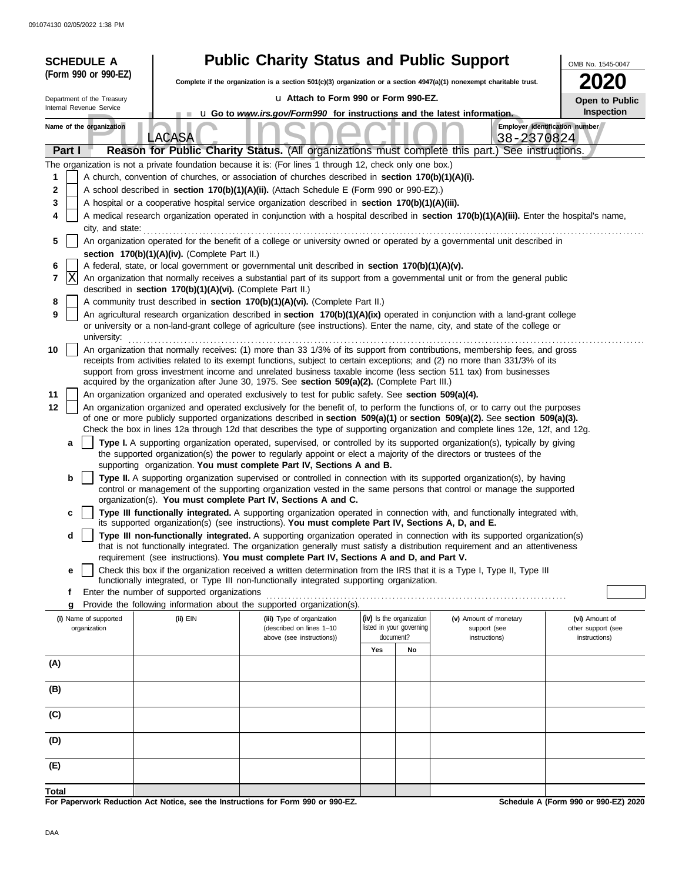| <b>SCHEDULE A</b>          |                                                            | <b>Public Charity Status and Public Support</b>                                                                          |                                       |                                                                                                                                                                                                                                                                                                                                                                                 | OMB No. 1545-0047                    |
|----------------------------|------------------------------------------------------------|--------------------------------------------------------------------------------------------------------------------------|---------------------------------------|---------------------------------------------------------------------------------------------------------------------------------------------------------------------------------------------------------------------------------------------------------------------------------------------------------------------------------------------------------------------------------|--------------------------------------|
| (Form 990 or 990-EZ)       |                                                            | Complete if the organization is a section $501(c)(3)$ organization or a section $4947(a)(1)$ nonexempt charitable trust. |                                       |                                                                                                                                                                                                                                                                                                                                                                                 |                                      |
| Department of the Treasury |                                                            | La Attach to Form 990 or Form 990-EZ.                                                                                    |                                       |                                                                                                                                                                                                                                                                                                                                                                                 |                                      |
| Internal Revenue Service   |                                                            | <b>u</b> Go to <i>www.irs.gov/Form990</i> for instructions and the latest information.                                   |                                       |                                                                                                                                                                                                                                                                                                                                                                                 | Open to Public<br>Inspection         |
| Name of the organization   |                                                            |                                                                                                                          |                                       |                                                                                                                                                                                                                                                                                                                                                                                 | Employer identification number       |
|                            | LACASA                                                     |                                                                                                                          |                                       | 38-2370824                                                                                                                                                                                                                                                                                                                                                                      |                                      |
| Part I                     |                                                            |                                                                                                                          |                                       | Reason for Public Charity Status. (All organizations must complete this part.) See instructions.                                                                                                                                                                                                                                                                                |                                      |
|                            |                                                            | The organization is not a private foundation because it is: (For lines 1 through 12, check only one box.)                |                                       |                                                                                                                                                                                                                                                                                                                                                                                 |                                      |
| 1                          |                                                            | A church, convention of churches, or association of churches described in section 170(b)(1)(A)(i).                       |                                       |                                                                                                                                                                                                                                                                                                                                                                                 |                                      |
| 2                          |                                                            | A school described in section 170(b)(1)(A)(ii). (Attach Schedule E (Form 990 or 990-EZ).)                                |                                       |                                                                                                                                                                                                                                                                                                                                                                                 |                                      |
| 3<br>4                     |                                                            | A hospital or a cooperative hospital service organization described in section 170(b)(1)(A)(iii).                        |                                       | A medical research organization operated in conjunction with a hospital described in section 170(b)(1)(A)(iii). Enter the hospital's name,                                                                                                                                                                                                                                      |                                      |
| city, and state:           |                                                            |                                                                                                                          |                                       |                                                                                                                                                                                                                                                                                                                                                                                 |                                      |
| 5                          |                                                            |                                                                                                                          |                                       | An organization operated for the benefit of a college or university owned or operated by a governmental unit described in                                                                                                                                                                                                                                                       |                                      |
|                            | section 170(b)(1)(A)(iv). (Complete Part II.)              |                                                                                                                          |                                       |                                                                                                                                                                                                                                                                                                                                                                                 |                                      |
| 6                          |                                                            | A federal, state, or local government or governmental unit described in section 170(b)(1)(A)(v).                         |                                       |                                                                                                                                                                                                                                                                                                                                                                                 |                                      |
| X<br>7                     | described in section 170(b)(1)(A)(vi). (Complete Part II.) |                                                                                                                          |                                       | An organization that normally receives a substantial part of its support from a governmental unit or from the general public                                                                                                                                                                                                                                                    |                                      |
| 8                          |                                                            | A community trust described in section 170(b)(1)(A)(vi). (Complete Part II.)                                             |                                       |                                                                                                                                                                                                                                                                                                                                                                                 |                                      |
| 9<br>university:           |                                                            |                                                                                                                          |                                       | An agricultural research organization described in section 170(b)(1)(A)(ix) operated in conjunction with a land-grant college<br>or university or a non-land-grant college of agriculture (see instructions). Enter the name, city, and state of the college or                                                                                                                 |                                      |
| 10                         |                                                            |                                                                                                                          |                                       | An organization that normally receives: (1) more than 33 1/3% of its support from contributions, membership fees, and gross<br>receipts from activities related to its exempt functions, subject to certain exceptions; and (2) no more than 331/3% of its<br>support from gross investment income and unrelated business taxable income (less section 511 tax) from businesses |                                      |
|                            |                                                            | acquired by the organization after June 30, 1975. See section 509(a)(2). (Complete Part III.)                            |                                       |                                                                                                                                                                                                                                                                                                                                                                                 |                                      |
| 11                         |                                                            | An organization organized and operated exclusively to test for public safety. See section 509(a)(4).                     |                                       |                                                                                                                                                                                                                                                                                                                                                                                 |                                      |
| 12                         |                                                            |                                                                                                                          |                                       | An organization organized and operated exclusively for the benefit of, to perform the functions of, or to carry out the purposes<br>of one or more publicly supported organizations described in section 509(a)(1) or section 509(a)(2). See section 509(a)(3).                                                                                                                 |                                      |
|                            |                                                            |                                                                                                                          |                                       | Check the box in lines 12a through 12d that describes the type of supporting organization and complete lines 12e, 12f, and 12g.                                                                                                                                                                                                                                                 |                                      |
| a                          |                                                            |                                                                                                                          |                                       | Type I. A supporting organization operated, supervised, or controlled by its supported organization(s), typically by giving                                                                                                                                                                                                                                                     |                                      |
|                            |                                                            | the supported organization(s) the power to regularly appoint or elect a majority of the directors or trustees of the     |                                       |                                                                                                                                                                                                                                                                                                                                                                                 |                                      |
| b                          |                                                            | supporting organization. You must complete Part IV, Sections A and B.                                                    |                                       | Type II. A supporting organization supervised or controlled in connection with its supported organization(s), by having                                                                                                                                                                                                                                                         |                                      |
|                            |                                                            |                                                                                                                          |                                       | control or management of the supporting organization vested in the same persons that control or manage the supported                                                                                                                                                                                                                                                            |                                      |
|                            |                                                            | organization(s). You must complete Part IV, Sections A and C.                                                            |                                       |                                                                                                                                                                                                                                                                                                                                                                                 |                                      |
| c                          |                                                            | its supported organization(s) (see instructions). You must complete Part IV, Sections A, D, and E.                       |                                       | Type III functionally integrated. A supporting organization operated in connection with, and functionally integrated with,                                                                                                                                                                                                                                                      |                                      |
| d                          |                                                            |                                                                                                                          |                                       | Type III non-functionally integrated. A supporting organization operated in connection with its supported organization(s)<br>that is not functionally integrated. The organization generally must satisfy a distribution requirement and an attentiveness                                                                                                                       |                                      |
|                            |                                                            | requirement (see instructions). You must complete Part IV, Sections A and D, and Part V.                                 |                                       |                                                                                                                                                                                                                                                                                                                                                                                 |                                      |
| e                          |                                                            |                                                                                                                          |                                       | Check this box if the organization received a written determination from the IRS that it is a Type I, Type II, Type III                                                                                                                                                                                                                                                         |                                      |
| f                          | Enter the number of supported organizations                | functionally integrated, or Type III non-functionally integrated supporting organization.                                |                                       |                                                                                                                                                                                                                                                                                                                                                                                 |                                      |
| g                          |                                                            | Provide the following information about the supported organization(s).                                                   |                                       |                                                                                                                                                                                                                                                                                                                                                                                 |                                      |
| (i) Name of supported      | $(ii)$ EIN                                                 | (iii) Type of organization                                                                                               | (iv) Is the organization              | (v) Amount of monetary                                                                                                                                                                                                                                                                                                                                                          | (vi) Amount of                       |
| organization               |                                                            | (described on lines 1-10<br>above (see instructions))                                                                    | listed in your governing<br>document? | support (see<br>instructions)                                                                                                                                                                                                                                                                                                                                                   | other support (see<br>instructions)  |
|                            |                                                            |                                                                                                                          | Yes<br>No                             |                                                                                                                                                                                                                                                                                                                                                                                 |                                      |
| (A)                        |                                                            |                                                                                                                          |                                       |                                                                                                                                                                                                                                                                                                                                                                                 |                                      |
|                            |                                                            |                                                                                                                          |                                       |                                                                                                                                                                                                                                                                                                                                                                                 |                                      |
| (B)                        |                                                            |                                                                                                                          |                                       |                                                                                                                                                                                                                                                                                                                                                                                 |                                      |
| (C)                        |                                                            |                                                                                                                          |                                       |                                                                                                                                                                                                                                                                                                                                                                                 |                                      |
| (D)                        |                                                            |                                                                                                                          |                                       |                                                                                                                                                                                                                                                                                                                                                                                 |                                      |
| (E)                        |                                                            |                                                                                                                          |                                       |                                                                                                                                                                                                                                                                                                                                                                                 |                                      |
| Total                      |                                                            |                                                                                                                          |                                       |                                                                                                                                                                                                                                                                                                                                                                                 |                                      |
|                            |                                                            | For Bonerwork Boduction, Act Notice, can the Instructions for Ferm 000 or 000 FZ                                         |                                       |                                                                                                                                                                                                                                                                                                                                                                                 | Schodule A (Form 000 or 000 FZ) 2020 |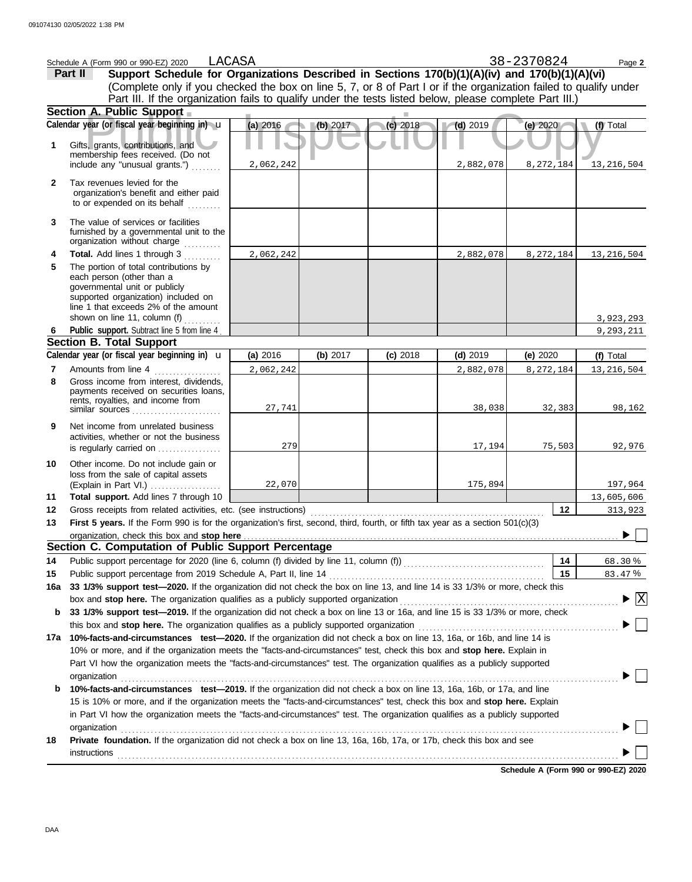|              | Schedule A (Form 990 or 990-EZ) 2020                                                                                                                                               | LACASA    |          |            |            | 38-2370824 | Page 2            |
|--------------|------------------------------------------------------------------------------------------------------------------------------------------------------------------------------------|-----------|----------|------------|------------|------------|-------------------|
|              | Support Schedule for Organizations Described in Sections 170(b)(1)(A)(iv) and 170(b)(1)(A)(vi)<br>Part II                                                                          |           |          |            |            |            |                   |
|              | (Complete only if you checked the box on line 5, 7, or 8 of Part I or if the organization failed to qualify under                                                                  |           |          |            |            |            |                   |
|              | Part III. If the organization fails to qualify under the tests listed below, please complete Part III.)                                                                            |           |          |            |            |            |                   |
|              | Section A. Public Support                                                                                                                                                          |           |          |            |            |            |                   |
|              | Calendar year (or fiscal year beginning in) u                                                                                                                                      | (a) 2016  | (b) 2017 | (c) 2018   | $(d)$ 2019 | (e) $2020$ | (f) Total         |
| 1            | Gifts, grants, contributions, and<br>membership fees received. (Do not                                                                                                             |           |          |            |            |            |                   |
|              | include any "unusual grants.")                                                                                                                                                     | 2,062,242 |          |            | 2,882,078  | 8,272,184  | 13,216,504        |
| $\mathbf{2}$ | Tax revenues levied for the<br>organization's benefit and either paid<br>to or expended on its behalf                                                                              |           |          |            |            |            |                   |
| 3            | The value of services or facilities<br>furnished by a governmental unit to the<br>organization without charge with an area with an area or an area or and area or an               |           |          |            |            |            |                   |
| 4            | Total. Add lines 1 through 3                                                                                                                                                       | 2,062,242 |          |            | 2,882,078  | 8,272,184  | 13,216,504        |
| 5            | The portion of total contributions by<br>each person (other than a<br>governmental unit or publicly<br>supported organization) included on<br>line 1 that exceeds 2% of the amount |           |          |            |            |            |                   |
|              | shown on line 11, column (f) $\ldots$                                                                                                                                              |           |          |            |            |            | 3,923,293         |
| 6.           | Public support. Subtract line 5 from line 4<br><b>Section B. Total Support</b>                                                                                                     |           |          |            |            |            | 9,293,211         |
|              | Calendar year (or fiscal year beginning in) $\mathbf u$                                                                                                                            | (a) 2016  | (b) 2017 | $(c)$ 2018 | $(d)$ 2019 | (e) 2020   | (f) Total         |
| 7            | Amounts from line 4                                                                                                                                                                | 2,062,242 |          |            | 2,882,078  | 8,272,184  | 13, 216, 504      |
| 8            | Gross income from interest, dividends,<br>payments received on securities loans,<br>rents, royalties, and income from<br>similar sources                                           | 27,741    |          |            | 38,038     | 32,383     | 98,162            |
| 9            | Net income from unrelated business<br>activities, whether or not the business<br>is regularly carried on                                                                           | 279       |          |            | 17,194     | 75,503     | 92,976            |
| 10           | Other income. Do not include gain or<br>loss from the sale of capital assets<br>(Explain in Part VI.)                                                                              | 22,070    |          |            | 175,894    |            | 197,964           |
| 11           | Total support. Add lines 7 through 10                                                                                                                                              |           |          |            |            |            | 13,605,606        |
| 12           |                                                                                                                                                                                    |           |          |            |            | 12         | 313,923           |
| 13           | First 5 years. If the Form 990 is for the organization's first, second, third, fourth, or fifth tax year as a section 501(c)(3)                                                    |           |          |            |            |            |                   |
|              | organization, check this box and stop here                                                                                                                                         |           |          |            |            |            |                   |
|              | Section C. Computation of Public Support Percentage                                                                                                                                |           |          |            |            |            |                   |
| 14           |                                                                                                                                                                                    |           |          |            |            | 14         | 68.30%            |
| 15           | Public support percentage from 2019 Schedule A, Part II, line 14                                                                                                                   |           |          |            |            | 15         | 83.47%            |
| 16a          | 33 1/3% support test-2020. If the organization did not check the box on line 13, and line 14 is 33 1/3% or more, check this                                                        |           |          |            |            |            | $\vert$ X $\vert$ |
| b            | 33 1/3% support test-2019. If the organization did not check a box on line 13 or 16a, and line 15 is 33 1/3% or more, check                                                        |           |          |            |            |            |                   |
|              |                                                                                                                                                                                    |           |          |            |            |            |                   |
| 17a          | 10%-facts-and-circumstances test-2020. If the organization did not check a box on line 13, 16a, or 16b, and line 14 is                                                             |           |          |            |            |            |                   |
|              | 10% or more, and if the organization meets the "facts-and-circumstances" test, check this box and stop here. Explain in                                                            |           |          |            |            |            |                   |
|              | Part VI how the organization meets the "facts-and-circumstances" test. The organization qualifies as a publicly supported                                                          |           |          |            |            |            |                   |
|              | organization                                                                                                                                                                       |           |          |            |            |            |                   |
| b            | 10%-facts-and-circumstances test-2019. If the organization did not check a box on line 13, 16a, 16b, or 17a, and line                                                              |           |          |            |            |            |                   |
|              | 15 is 10% or more, and if the organization meets the "facts-and-circumstances" test, check this box and stop here. Explain                                                         |           |          |            |            |            |                   |
|              | in Part VI how the organization meets the "facts-and-circumstances" test. The organization qualifies as a publicly supported                                                       |           |          |            |            |            |                   |
|              | organization                                                                                                                                                                       |           |          |            |            |            |                   |
| 18           | Private foundation. If the organization did not check a box on line 13, 16a, 16b, 17a, or 17b, check this box and see                                                              |           |          |            |            |            |                   |
|              |                                                                                                                                                                                    |           |          |            |            |            |                   |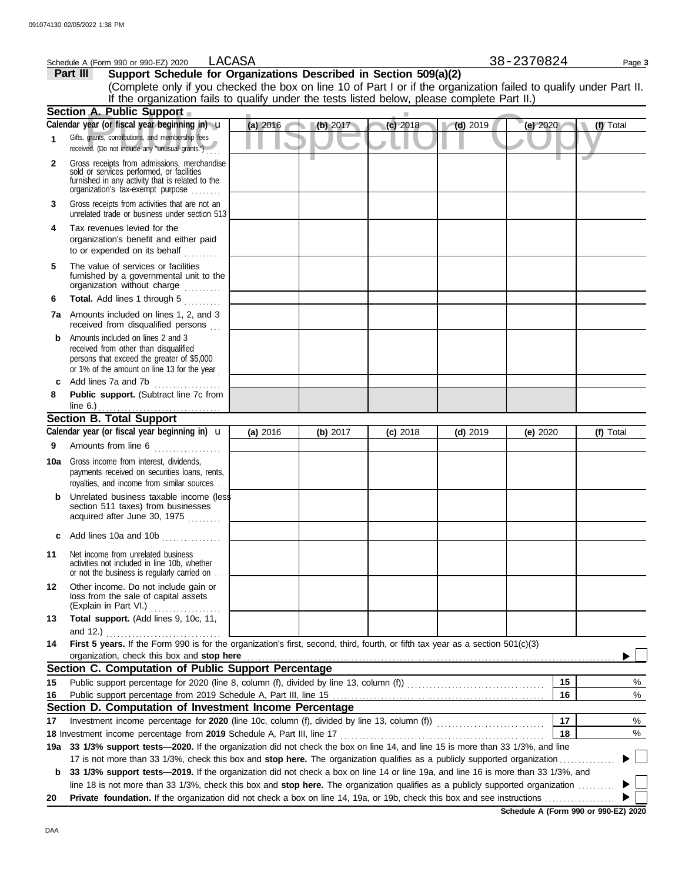|              | LACASA<br>Schedule A (Form 990 or 990-EZ) 2020                                                                                                                                                                                                                       |          |          |            |            | 38-2370824 |    | Page 3    |
|--------------|----------------------------------------------------------------------------------------------------------------------------------------------------------------------------------------------------------------------------------------------------------------------|----------|----------|------------|------------|------------|----|-----------|
|              | Support Schedule for Organizations Described in Section 509(a)(2)<br>Part III                                                                                                                                                                                        |          |          |            |            |            |    |           |
|              | (Complete only if you checked the box on line 10 of Part I or if the organization failed to qualify under Part II.                                                                                                                                                   |          |          |            |            |            |    |           |
|              | If the organization fails to qualify under the tests listed below, please complete Part II.)                                                                                                                                                                         |          |          |            |            |            |    |           |
|              | Section A. Public Support                                                                                                                                                                                                                                            |          |          |            |            |            |    |           |
|              | Calendar year (or fiscal year beginning in) u                                                                                                                                                                                                                        | (a) 2016 | (b) 2017 | $(c)$ 2018 | $(d)$ 2019 | (e) 2020   |    | (f) Total |
| 1            | Gifts, grants, contributions, and membership fees<br>received. (Do not include any "unusual grants.")                                                                                                                                                                |          |          |            |            |            |    |           |
| $\mathbf{2}$ | Gross receipts from admissions, merchandise<br>sold or services performed, or facilities<br>furnished in any activity that is related to the<br>organization's tax-exempt purpose                                                                                    |          |          |            |            |            |    |           |
| 3            | Gross receipts from activities that are not an<br>unrelated trade or business under section 513                                                                                                                                                                      |          |          |            |            |            |    |           |
| 4            | Tax revenues levied for the<br>organization's benefit and either paid<br>to or expended on its behalf                                                                                                                                                                |          |          |            |            |            |    |           |
| 5            | The value of services or facilities<br>furnished by a governmental unit to the<br>organization without charge                                                                                                                                                        |          |          |            |            |            |    |           |
| 6            | Total. Add lines 1 through 5                                                                                                                                                                                                                                         |          |          |            |            |            |    |           |
|              | <b>7a</b> Amounts included on lines 1, 2, and 3<br>received from disqualified persons                                                                                                                                                                                |          |          |            |            |            |    |           |
| b            | Amounts included on lines 2 and 3<br>received from other than disqualified<br>persons that exceed the greater of \$5,000<br>or 1% of the amount on line 13 for the year                                                                                              |          |          |            |            |            |    |           |
|              | Add lines 7a and 7b<br>.                                                                                                                                                                                                                                             |          |          |            |            |            |    |           |
| 8            | Public support. (Subtract line 7c from<br>line 6.) $\ldots$ $\ldots$ $\ldots$ $\ldots$ $\ldots$ $\ldots$ $\ldots$                                                                                                                                                    |          |          |            |            |            |    |           |
|              | <b>Section B. Total Support</b>                                                                                                                                                                                                                                      |          |          |            |            |            |    |           |
|              | Calendar year (or fiscal year beginning in) $\mathbf u$                                                                                                                                                                                                              | (a) 2016 | (b) 2017 | $(c)$ 2018 | $(d)$ 2019 | (e) $2020$ |    | (f) Total |
| 9            | Amounts from line 6                                                                                                                                                                                                                                                  |          |          |            |            |            |    |           |
| 10a          | Gross income from interest, dividends,<br>payments received on securities loans, rents,<br>royalties, and income from similar sources.                                                                                                                               |          |          |            |            |            |    |           |
|              | Unrelated business taxable income (less<br>section 511 taxes) from businesses<br>acquired after June 30, 1975                                                                                                                                                        |          |          |            |            |            |    |           |
|              | c Add lines 10a and 10b                                                                                                                                                                                                                                              |          |          |            |            |            |    |           |
| 11           | Net income from unrelated business<br>activities not included in line 10b, whether<br>or not the business is regularly carried on                                                                                                                                    |          |          |            |            |            |    |           |
| 12           | Other income. Do not include gain or<br>loss from the sale of capital assets<br>(Explain in Part VI.)<br>.                                                                                                                                                           |          |          |            |            |            |    |           |
| 13           | Total support. (Add lines 9, 10c, 11,<br>and 12.)                                                                                                                                                                                                                    |          |          |            |            |            |    |           |
| 14           | First 5 years. If the Form 990 is for the organization's first, second, third, fourth, or fifth tax year as a section 501(c)(3)<br>organization, check this box and stop here                                                                                        |          |          |            |            |            |    |           |
|              | Section C. Computation of Public Support Percentage                                                                                                                                                                                                                  |          |          |            |            |            |    |           |
| 15           |                                                                                                                                                                                                                                                                      |          |          |            |            |            | 15 | ℅         |
| 16           |                                                                                                                                                                                                                                                                      |          |          |            |            |            | 16 | %         |
|              | Section D. Computation of Investment Income Percentage                                                                                                                                                                                                               |          |          |            |            |            |    |           |
| 17           |                                                                                                                                                                                                                                                                      |          |          |            |            |            | 17 | %         |
|              |                                                                                                                                                                                                                                                                      |          |          |            |            |            | 18 | %         |
| 19а          | 33 1/3% support tests-2020. If the organization did not check the box on line 14, and line 15 is more than 33 1/3%, and line                                                                                                                                         |          |          |            |            |            |    |           |
|              | 17 is not more than 33 1/3%, check this box and stop here. The organization qualifies as a publicly supported organization                                                                                                                                           |          |          |            |            |            |    |           |
| b            | 33 1/3% support tests-2019. If the organization did not check a box on line 14 or line 19a, and line 16 is more than 33 1/3%, and<br>line 18 is not more than 33 1/3%, check this box and stop here. The organization qualifies as a publicly supported organization |          |          |            |            |            |    |           |
| 20           |                                                                                                                                                                                                                                                                      |          |          |            |            |            |    |           |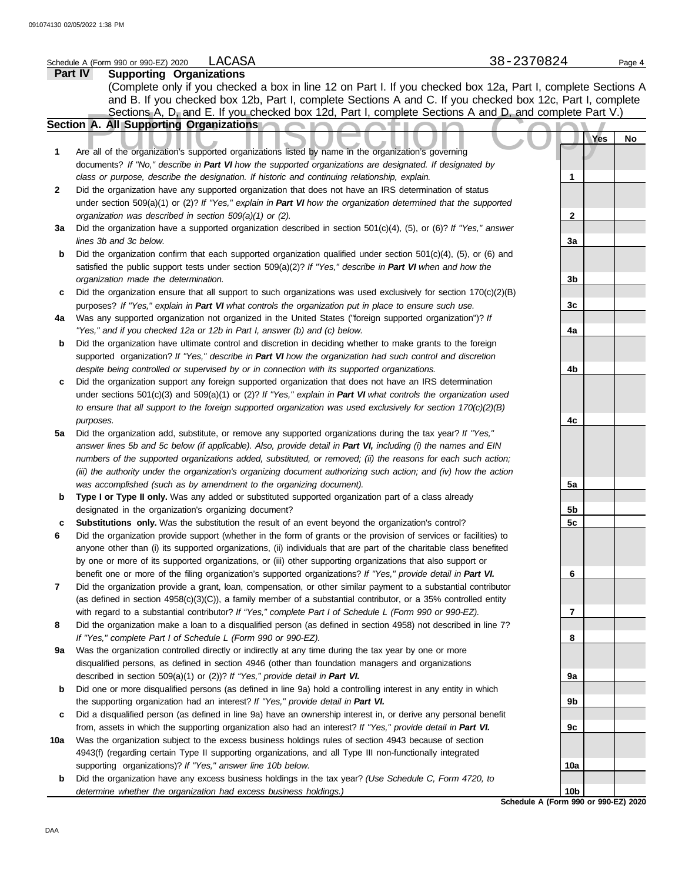| 2020<br>Schedule<br>990 or<br>$\ldots$ or 990-F <sup>-1</sup><br>(Form | $\sim$<br>$\sim$ $-$<br>- -<br>$\mathbf{v}$<br>$\mathbf{v}$ | <u>لى ر</u> | Page |
|------------------------------------------------------------------------|-------------------------------------------------------------|-------------|------|
| $-$<br>.                                                               |                                                             |             |      |

|              | Part IV<br><b>Supporting Organizations</b>                                                                          |                |     |    |
|--------------|---------------------------------------------------------------------------------------------------------------------|----------------|-----|----|
|              | (Complete only if you checked a box in line 12 on Part I. If you checked box 12a, Part I, complete Sections A       |                |     |    |
|              | and B. If you checked box 12b, Part I, complete Sections A and C. If you checked box 12c, Part I, complete          |                |     |    |
|              | Sections A, D, and E. If you checked box 12d, Part I, complete Sections A and D, and complete Part V.)              |                |     |    |
|              | Section A. All Supporting Organizations                                                                             |                |     |    |
|              |                                                                                                                     |                | Yes | No |
| 1            | Are all of the organization's supported organizations listed by name in the organization's governing                |                |     |    |
|              | documents? If "No," describe in Part VI how the supported organizations are designated. If designated by            |                |     |    |
|              | class or purpose, describe the designation. If historic and continuing relationship, explain.                       | 1              |     |    |
| $\mathbf{2}$ | Did the organization have any supported organization that does not have an IRS determination of status              |                |     |    |
|              | under section 509(a)(1) or (2)? If "Yes," explain in Part VI how the organization determined that the supported     |                |     |    |
|              | organization was described in section 509(a)(1) or (2).                                                             | $\mathbf{2}$   |     |    |
| За           | Did the organization have a supported organization described in section 501(c)(4), (5), or (6)? If "Yes," answer    |                |     |    |
|              | lines 3b and 3c below.                                                                                              | 3a             |     |    |
| b            | Did the organization confirm that each supported organization qualified under section $501(c)(4)$ , (5), or (6) and |                |     |    |
|              | satisfied the public support tests under section 509(a)(2)? If "Yes," describe in Part VI when and how the          |                |     |    |
|              | organization made the determination.                                                                                | 3 <sub>b</sub> |     |    |
| c            | Did the organization ensure that all support to such organizations was used exclusively for section $170(c)(2)(B)$  |                |     |    |
|              | purposes? If "Yes," explain in Part VI what controls the organization put in place to ensure such use.              | 3 <sub>c</sub> |     |    |
| 4a           | Was any supported organization not organized in the United States ("foreign supported organization")? If            |                |     |    |
|              | "Yes," and if you checked 12a or 12b in Part I, answer (b) and (c) below.                                           | 4a             |     |    |
| b            | Did the organization have ultimate control and discretion in deciding whether to make grants to the foreign         |                |     |    |
|              | supported organization? If "Yes," describe in Part VI how the organization had such control and discretion          |                |     |    |
|              | despite being controlled or supervised by or in connection with its supported organizations.                        | 4b             |     |    |
| c            | Did the organization support any foreign supported organization that does not have an IRS determination             |                |     |    |
|              | under sections $501(c)(3)$ and $509(a)(1)$ or (2)? If "Yes," explain in Part VI what controls the organization used |                |     |    |
|              | to ensure that all support to the foreign supported organization was used exclusively for section $170(c)(2)(B)$    |                |     |    |
|              | purposes.                                                                                                           | 4с             |     |    |
| 5a           | Did the organization add, substitute, or remove any supported organizations during the tax year? If "Yes,"          |                |     |    |
|              | answer lines 5b and 5c below (if applicable). Also, provide detail in Part VI, including (i) the names and EIN      |                |     |    |
|              | numbers of the supported organizations added, substituted, or removed; (ii) the reasons for each such action;       |                |     |    |
|              | (iii) the authority under the organization's organizing document authorizing such action; and (iv) how the action   |                |     |    |
|              | was accomplished (such as by amendment to the organizing document).                                                 | 5a             |     |    |
| b            | Type I or Type II only. Was any added or substituted supported organization part of a class already                 |                |     |    |
|              | designated in the organization's organizing document?                                                               | 5b             |     |    |
| c            | Substitutions only. Was the substitution the result of an event beyond the organization's control?                  | 5c             |     |    |
| 6            | Did the organization provide support (whether in the form of grants or the provision of services or facilities) to  |                |     |    |
|              | anyone other than (i) its supported organizations, (ii) individuals that are part of the charitable class benefited |                |     |    |
|              | by one or more of its supported organizations, or (iii) other supporting organizations that also support or         |                |     |    |
|              | benefit one or more of the filing organization's supported organizations? If "Yes," provide detail in Part VI.      | 6              |     |    |
| 7            | Did the organization provide a grant, loan, compensation, or other similar payment to a substantial contributor     |                |     |    |
|              | (as defined in section 4958(c)(3)(C)), a family member of a substantial contributor, or a 35% controlled entity     |                |     |    |
|              | with regard to a substantial contributor? If "Yes," complete Part I of Schedule L (Form 990 or 990-EZ).             | 7              |     |    |
| 8            | Did the organization make a loan to a disqualified person (as defined in section 4958) not described in line 7?     |                |     |    |
|              | If "Yes," complete Part I of Schedule L (Form 990 or 990-EZ).                                                       | 8              |     |    |
| 9а           | Was the organization controlled directly or indirectly at any time during the tax year by one or more               |                |     |    |
|              | disqualified persons, as defined in section 4946 (other than foundation managers and organizations                  |                |     |    |
|              | described in section 509(a)(1) or (2))? If "Yes," provide detail in Part VI.                                        | 9а             |     |    |
| b            | Did one or more disqualified persons (as defined in line 9a) hold a controlling interest in any entity in which     |                |     |    |
|              | the supporting organization had an interest? If "Yes," provide detail in Part VI.                                   | 9b             |     |    |
| c            | Did a disqualified person (as defined in line 9a) have an ownership interest in, or derive any personal benefit     |                |     |    |
|              | from, assets in which the supporting organization also had an interest? If "Yes," provide detail in Part VI.        | 9с             |     |    |
| 10a          | Was the organization subject to the excess business holdings rules of section 4943 because of section               |                |     |    |
|              | 4943(f) (regarding certain Type II supporting organizations, and all Type III non-functionally integrated           |                |     |    |
|              | supporting organizations)? If "Yes," answer line 10b below.                                                         | 10a            |     |    |
| b            | Did the organization have any excess business holdings in the tax year? (Use Schedule C, Form 4720, to              |                |     |    |
|              | determine whether the organization had excess business holdings.)                                                   | 10b            |     |    |
|              | Schedule A (Form 990 or 990-EZ) 2020                                                                                |                |     |    |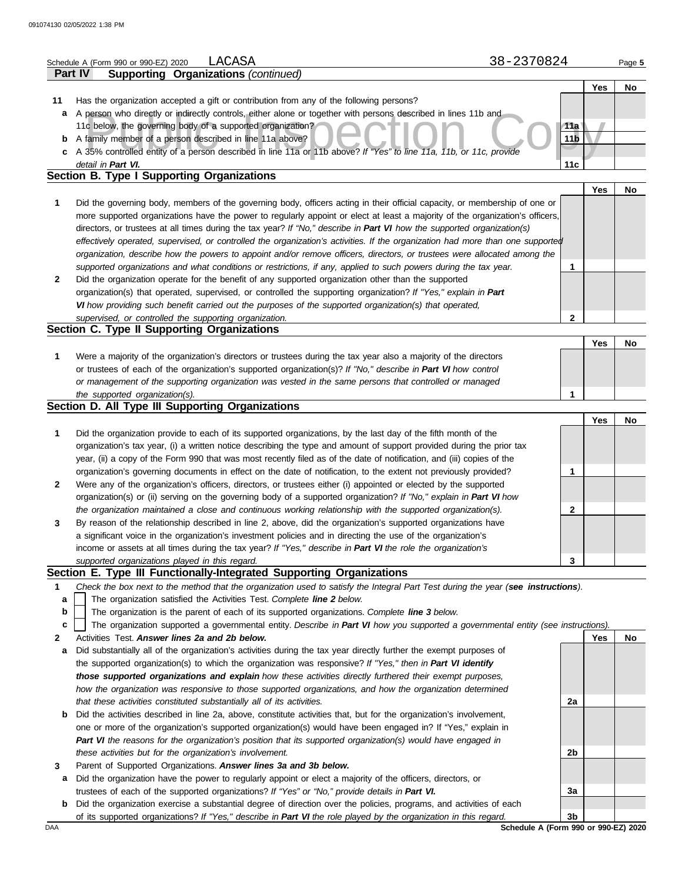|              | LACASA<br>Schedule A (Form 990 or 990-EZ) 2020                                                                                    | 38-2370824                           | Page 5 |
|--------------|-----------------------------------------------------------------------------------------------------------------------------------|--------------------------------------|--------|
|              | <b>Supporting Organizations (continued)</b><br>Part IV                                                                            |                                      |        |
|              |                                                                                                                                   | Yes                                  | No     |
| 11           | Has the organization accepted a gift or contribution from any of the following persons?                                           |                                      |        |
| а            | A person who directly or indirectly controls, either alone or together with persons described in lines 11b and                    |                                      |        |
|              | 11c below, the governing body of a supported organization?                                                                        | 11a                                  |        |
| b            | A family member of a person described in line 11a above?                                                                          | 11 <sub>b</sub>                      |        |
| c            | A 35% controlled entity of a person described in line 11a or 11b above? If "Yes" to line 11a, 11b, or 11c, provide                |                                      |        |
|              | detail in Part VI.                                                                                                                | 11c                                  |        |
|              | Section B. Type I Supporting Organizations                                                                                        |                                      |        |
|              |                                                                                                                                   | Yes                                  | No     |
| 1            | Did the governing body, members of the governing body, officers acting in their official capacity, or membership of one or        |                                      |        |
|              | more supported organizations have the power to regularly appoint or elect at least a majority of the organization's officers,     |                                      |        |
|              | directors, or trustees at all times during the tax year? If "No," describe in Part VI how the supported organization(s)           |                                      |        |
|              | effectively operated, supervised, or controlled the organization's activities. If the organization had more than one supported    |                                      |        |
|              | organization, describe how the powers to appoint and/or remove officers, directors, or trustees were allocated among the          |                                      |        |
|              | supported organizations and what conditions or restrictions, if any, applied to such powers during the tax year.                  | 1                                    |        |
|              | Did the organization operate for the benefit of any supported organization other than the supported                               |                                      |        |
| $\mathbf{2}$ | organization(s) that operated, supervised, or controlled the supporting organization? If "Yes," explain in Part                   |                                      |        |
|              |                                                                                                                                   |                                      |        |
|              | VI how providing such benefit carried out the purposes of the supported organization(s) that operated,                            |                                      |        |
|              | supervised, or controlled the supporting organization.                                                                            | 2                                    |        |
|              | Section C. Type II Supporting Organizations                                                                                       |                                      |        |
|              |                                                                                                                                   | Yes                                  | No     |
| 1            | Were a majority of the organization's directors or trustees during the tax year also a majority of the directors                  |                                      |        |
|              | or trustees of each of the organization's supported organization(s)? If "No," describe in Part VI how control                     |                                      |        |
|              | or management of the supporting organization was vested in the same persons that controlled or managed                            |                                      |        |
|              | the supported organization(s).                                                                                                    | 1                                    |        |
|              | Section D. All Type III Supporting Organizations                                                                                  |                                      |        |
|              |                                                                                                                                   | Yes                                  | No     |
| 1            | Did the organization provide to each of its supported organizations, by the last day of the fifth month of the                    |                                      |        |
|              | organization's tax year, (i) a written notice describing the type and amount of support provided during the prior tax             |                                      |        |
|              | year, (ii) a copy of the Form 990 that was most recently filed as of the date of notification, and (iii) copies of the            |                                      |        |
|              | organization's governing documents in effect on the date of notification, to the extent not previously provided?                  | 1                                    |        |
| $\mathbf{2}$ | Were any of the organization's officers, directors, or trustees either (i) appointed or elected by the supported                  |                                      |        |
|              | organization(s) or (ii) serving on the governing body of a supported organization? If "No," explain in Part VI how                |                                      |        |
|              | the organization maintained a close and continuous working relationship with the supported organization(s).                       | 2                                    |        |
| 3            | By reason of the relationship described in line 2, above, did the organization's supported organizations have                     |                                      |        |
|              | a significant voice in the organization's investment policies and in directing the use of the organization's                      |                                      |        |
|              | income or assets at all times during the tax year? If "Yes," describe in Part VI the role the organization's                      |                                      |        |
|              | supported organizations played in this regard.                                                                                    | 3                                    |        |
|              | Section E. Type III Functionally-Integrated Supporting Organizations                                                              |                                      |        |
| 1            | Check the box next to the method that the organization used to satisfy the Integral Part Test during the year (see instructions). |                                      |        |
| a            | The organization satisfied the Activities Test. Complete line 2 below.                                                            |                                      |        |
| b            | The organization is the parent of each of its supported organizations. Complete line 3 below.                                     |                                      |        |
| c            | The organization supported a governmental entity. Describe in Part VI how you supported a governmental entity (see instructions). |                                      |        |
| 2            | Activities Test. Answer lines 2a and 2b below.                                                                                    | Yes                                  | No     |
| а            | Did substantially all of the organization's activities during the tax year directly further the exempt purposes of                |                                      |        |
|              | the supported organization(s) to which the organization was responsive? If "Yes," then in Part VI identify                        |                                      |        |
|              | those supported organizations and explain how these activities directly furthered their exempt purposes,                          |                                      |        |
|              | how the organization was responsive to those supported organizations, and how the organization determined                         |                                      |        |
|              | that these activities constituted substantially all of its activities.                                                            | 2a                                   |        |
| b            | Did the activities described in line 2a, above, constitute activities that, but for the organization's involvement,               |                                      |        |
|              | one or more of the organization's supported organization(s) would have been engaged in? If "Yes," explain in                      |                                      |        |
|              | Part VI the reasons for the organization's position that its supported organization(s) would have engaged in                      |                                      |        |
|              | these activities but for the organization's involvement.                                                                          | 2b                                   |        |
| 3            | Parent of Supported Organizations. Answer lines 3a and 3b below.                                                                  |                                      |        |
| а            | Did the organization have the power to regularly appoint or elect a majority of the officers, directors, or                       |                                      |        |
|              | trustees of each of the supported organizations? If "Yes" or "No," provide details in Part VI.                                    | За                                   |        |
| b            | Did the organization exercise a substantial degree of direction over the policies, programs, and activities of each               |                                      |        |
|              | of its supported organizations? If "Yes," describe in Part VI the role played by the organization in this regard.                 | 3b                                   |        |
| DAA          |                                                                                                                                   | Schedule A (Form 990 or 990-EZ) 2020 |        |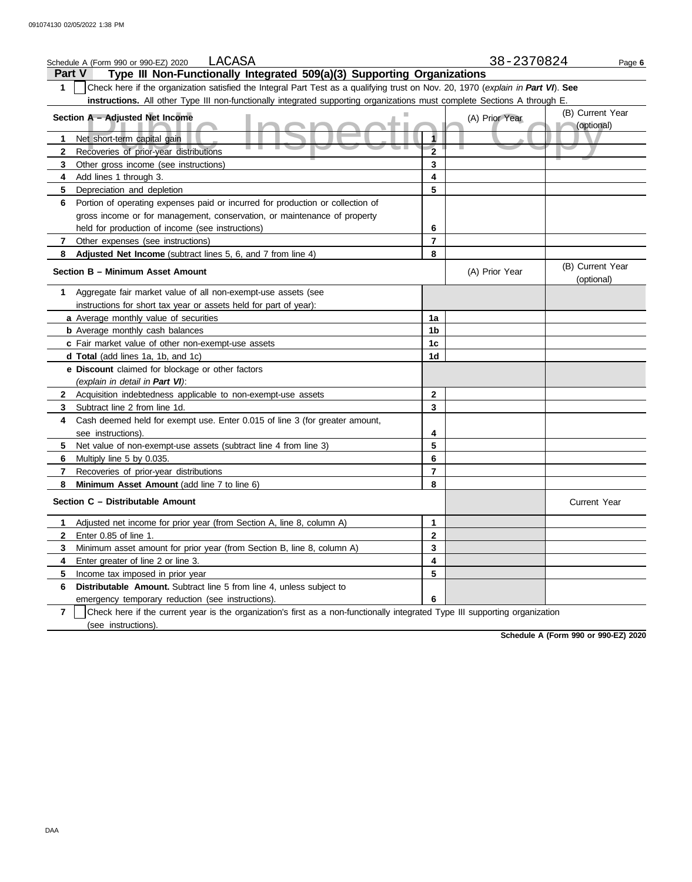|                | LACASA<br>Schedule A (Form 990 or 990-EZ) 2020                                                                                   |                         | 38-2370824     | Page 6                         |
|----------------|----------------------------------------------------------------------------------------------------------------------------------|-------------------------|----------------|--------------------------------|
| <b>Part V</b>  | Type III Non-Functionally Integrated 509(a)(3) Supporting Organizations                                                          |                         |                |                                |
| $\mathbf 1$    | Check here if the organization satisfied the Integral Part Test as a qualifying trust on Nov. 20, 1970 (explain in Part VI). See |                         |                |                                |
|                | instructions. All other Type III non-functionally integrated supporting organizations must complete Sections A through E         |                         |                |                                |
|                | Section A - Adjusted Net Income                                                                                                  |                         | (A) Prior Year | (B) Current Year<br>(optional) |
| 1              | Net short-term capital gain                                                                                                      | 1                       |                |                                |
| $\mathbf{2}$   | Recoveries of prior-year distributions                                                                                           | $\overline{\mathbf{2}}$ |                |                                |
| 3              | Other gross income (see instructions)                                                                                            | 3                       |                |                                |
| 4              | Add lines 1 through 3.                                                                                                           | 4                       |                |                                |
| 5              | Depreciation and depletion                                                                                                       | 5                       |                |                                |
| 6              | Portion of operating expenses paid or incurred for production or collection of                                                   |                         |                |                                |
|                | gross income or for management, conservation, or maintenance of property                                                         |                         |                |                                |
|                | held for production of income (see instructions)                                                                                 | 6                       |                |                                |
| $\mathbf{7}$   | Other expenses (see instructions)                                                                                                | 7                       |                |                                |
| 8              | Adjusted Net Income (subtract lines 5, 6, and 7 from line 4)                                                                     | 8                       |                |                                |
|                | Section B - Minimum Asset Amount                                                                                                 |                         | (A) Prior Year | (B) Current Year<br>(optional) |
| 1              | Aggregate fair market value of all non-exempt-use assets (see                                                                    |                         |                |                                |
|                | instructions for short tax year or assets held for part of year):                                                                |                         |                |                                |
|                | a Average monthly value of securities                                                                                            | 1a                      |                |                                |
|                | <b>b</b> Average monthly cash balances                                                                                           | 1b                      |                |                                |
|                | c Fair market value of other non-exempt-use assets                                                                               | 1 <sub>c</sub>          |                |                                |
|                | d Total (add lines 1a, 1b, and 1c)                                                                                               | 1d                      |                |                                |
|                | e Discount claimed for blockage or other factors                                                                                 |                         |                |                                |
|                | (explain in detail in Part VI):                                                                                                  |                         |                |                                |
| $\mathbf{2}$   | Acquisition indebtedness applicable to non-exempt-use assets                                                                     | $\mathbf{2}$            |                |                                |
| 3              | Subtract line 2 from line 1d.                                                                                                    | 3                       |                |                                |
| 4              | Cash deemed held for exempt use. Enter 0.015 of line 3 (for greater amount,                                                      |                         |                |                                |
|                | see instructions).                                                                                                               | 4                       |                |                                |
| 5              | Net value of non-exempt-use assets (subtract line 4 from line 3)                                                                 | 5                       |                |                                |
| 6              | Multiply line 5 by 0.035.                                                                                                        | 6                       |                |                                |
| $\mathbf{7}$   | Recoveries of prior-year distributions                                                                                           | 7                       |                |                                |
| 8              | Minimum Asset Amount (add line 7 to line 6)                                                                                      | 8                       |                |                                |
|                | Section C - Distributable Amount                                                                                                 |                         |                | <b>Current Year</b>            |
| 1.             | Adjusted net income for prior year (from Section A, line 8, column A)                                                            | 1                       |                |                                |
| $\mathbf{2}$   | Enter 0.85 of line 1.                                                                                                            | $\mathbf{2}$            |                |                                |
| 3              | Minimum asset amount for prior year (from Section B, line 8, column A)                                                           | 3                       |                |                                |
| 4              | Enter greater of line 2 or line 3.                                                                                               | 4                       |                |                                |
| 5              | Income tax imposed in prior year                                                                                                 | 5                       |                |                                |
| 6              | Distributable Amount. Subtract line 5 from line 4, unless subject to                                                             |                         |                |                                |
|                | emergency temporary reduction (see instructions)                                                                                 | 6                       |                |                                |
| $\overline{7}$ | Check here if the current year is the organization's first as a non-functionally integrated Type III supporting organization     |                         |                |                                |
|                | (see instructions).                                                                                                              |                         |                |                                |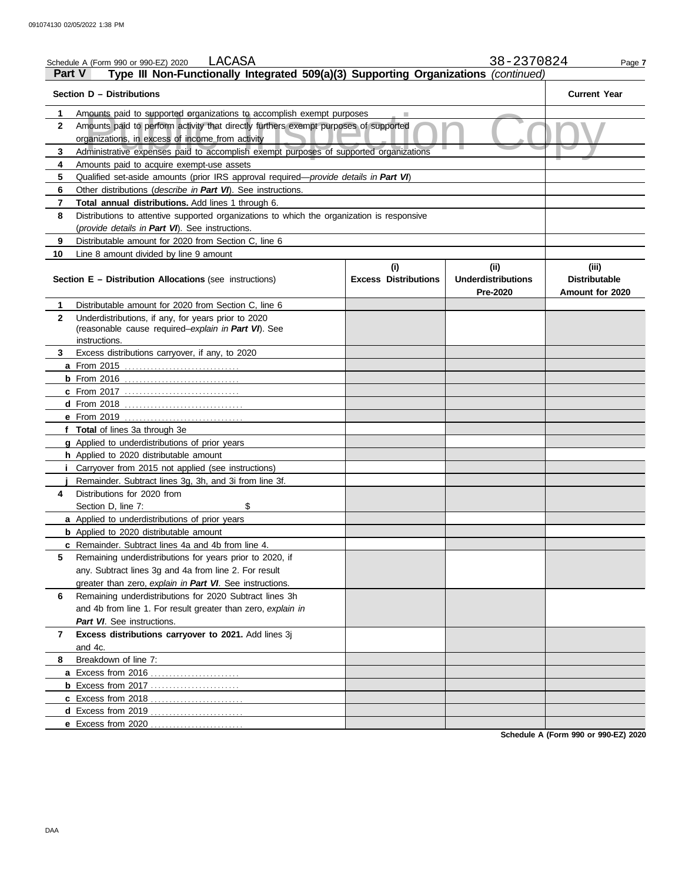|              | LACASA<br>Schedule A (Form 990 or 990-EZ) 2020                                                                                           |                                    | 38-2370824                                    | Page 7                                           |
|--------------|------------------------------------------------------------------------------------------------------------------------------------------|------------------------------------|-----------------------------------------------|--------------------------------------------------|
|              | Type III Non-Functionally Integrated 509(a)(3) Supporting Organizations (continued)<br>Part V                                            |                                    |                                               |                                                  |
|              | Section D - Distributions                                                                                                                |                                    |                                               | <b>Current Year</b>                              |
| 1.           | Amounts paid to supported organizations to accomplish exempt purposes                                                                    |                                    |                                               |                                                  |
| $\mathbf{2}$ | Amounts paid to perform activity that directly furthers exempt purposes of supported<br>organizations, in excess of income from activity |                                    |                                               |                                                  |
| 3            | Administrative expenses paid to accomplish exempt purposes of supported organizations                                                    |                                    |                                               |                                                  |
| 4            | Amounts paid to acquire exempt-use assets                                                                                                |                                    |                                               |                                                  |
| 5            | Qualified set-aside amounts (prior IRS approval required-provide details in Part VI)                                                     |                                    |                                               |                                                  |
| 6            | Other distributions (describe in Part VI). See instructions.                                                                             |                                    |                                               |                                                  |
| 7            | <b>Total annual distributions.</b> Add lines 1 through 6.                                                                                |                                    |                                               |                                                  |
| 8            | Distributions to attentive supported organizations to which the organization is responsive                                               |                                    |                                               |                                                  |
|              | (provide details in Part VI). See instructions.                                                                                          |                                    |                                               |                                                  |
| 9            | Distributable amount for 2020 from Section C, line 6                                                                                     |                                    |                                               |                                                  |
| 10           | Line 8 amount divided by line 9 amount                                                                                                   |                                    |                                               |                                                  |
|              | Section E - Distribution Allocations (see instructions)                                                                                  | (i)<br><b>Excess Distributions</b> | (ii)<br><b>Underdistributions</b><br>Pre-2020 | (iii)<br><b>Distributable</b><br>Amount for 2020 |
| 1            | Distributable amount for 2020 from Section C, line 6                                                                                     |                                    |                                               |                                                  |
| $\mathbf{2}$ | Underdistributions, if any, for years prior to 2020<br>(reasonable cause required-explain in Part VI). See<br>instructions.              |                                    |                                               |                                                  |
| 3            | Excess distributions carryover, if any, to 2020                                                                                          |                                    |                                               |                                                  |
|              |                                                                                                                                          |                                    |                                               |                                                  |
|              |                                                                                                                                          |                                    |                                               |                                                  |
|              | <b>c</b> From 2017                                                                                                                       |                                    |                                               |                                                  |
|              |                                                                                                                                          |                                    |                                               |                                                  |
|              | <b>e</b> From 2019                                                                                                                       |                                    |                                               |                                                  |
|              | f Total of lines 3a through 3e                                                                                                           |                                    |                                               |                                                  |
|              | g Applied to underdistributions of prior years                                                                                           |                                    |                                               |                                                  |
|              | h Applied to 2020 distributable amount                                                                                                   |                                    |                                               |                                                  |
|              | Carryover from 2015 not applied (see instructions)                                                                                       |                                    |                                               |                                                  |
|              | Remainder. Subtract lines 3g, 3h, and 3i from line 3f.                                                                                   |                                    |                                               |                                                  |
| 4            | Distributions for 2020 from                                                                                                              |                                    |                                               |                                                  |
|              | \$<br>Section D. line 7:                                                                                                                 |                                    |                                               |                                                  |
|              | a Applied to underdistributions of prior years                                                                                           |                                    |                                               |                                                  |
|              | <b>b</b> Applied to 2020 distributable amount                                                                                            |                                    |                                               |                                                  |
|              | <b>c</b> Remainder. Subtract lines 4a and 4b from line 4.                                                                                |                                    |                                               |                                                  |
| 5            | Remaining underdistributions for years prior to 2020, if                                                                                 |                                    |                                               |                                                  |
|              | any. Subtract lines 3g and 4a from line 2. For result                                                                                    |                                    |                                               |                                                  |
|              | greater than zero, explain in Part VI. See instructions.                                                                                 |                                    |                                               |                                                  |
| 6            | Remaining underdistributions for 2020 Subtract lines 3h                                                                                  |                                    |                                               |                                                  |
|              | and 4b from line 1. For result greater than zero, explain in                                                                             |                                    |                                               |                                                  |
|              | Part VI. See instructions.                                                                                                               |                                    |                                               |                                                  |
| 7            | Excess distributions carryover to 2021. Add lines 3j<br>and 4c.                                                                          |                                    |                                               |                                                  |
| 8            | Breakdown of line 7:                                                                                                                     |                                    |                                               |                                                  |
|              |                                                                                                                                          |                                    |                                               |                                                  |
|              | <b>b</b> Excess from 2017                                                                                                                |                                    |                                               |                                                  |
|              | c Excess from 2018                                                                                                                       |                                    |                                               |                                                  |
|              | d Excess from 2019                                                                                                                       |                                    |                                               |                                                  |
|              | e Excess from 2020                                                                                                                       |                                    |                                               |                                                  |
|              |                                                                                                                                          |                                    |                                               |                                                  |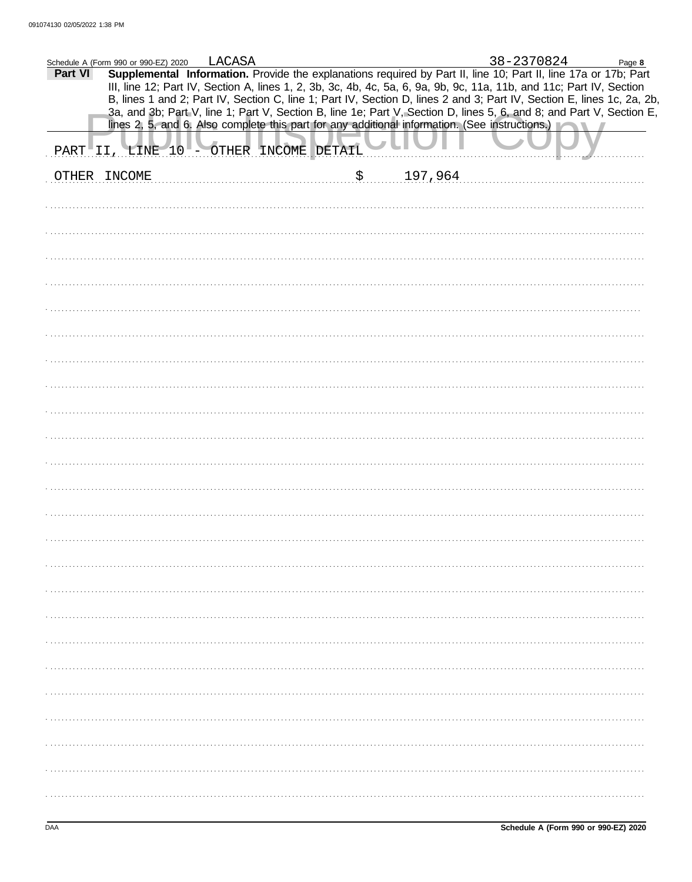|         | Schedule A (Form 990 or 990-EZ) 2020                                                                                                                                                                                                           | LACASA |                     |    |         | 38-2370824 | Page 8 |
|---------|------------------------------------------------------------------------------------------------------------------------------------------------------------------------------------------------------------------------------------------------|--------|---------------------|----|---------|------------|--------|
| Part VI | Supplemental Information. Provide the explanations required by Part II, line 10; Part II, line 17a or 17b; Part                                                                                                                                |        |                     |    |         |            |        |
|         | III, line 12; Part IV, Section A, lines 1, 2, 3b, 3c, 4b, 4c, 5a, 6, 9a, 9b, 9c, 11a, 11b, and 11c; Part IV, Section<br>B, lines 1 and 2; Part IV, Section C, line 1; Part IV, Section D, lines 2 and 3; Part IV, Section E, lines 1c, 2a, 2b, |        |                     |    |         |            |        |
|         | 3a, and 3b; Part V, line 1; Part V, Section B, line 1e; Part V, Section D, lines 5, 6, and 8; and Part V, Section E,                                                                                                                           |        |                     |    |         |            |        |
|         | lines 2, 5, and 6. Also complete this part for any additional information. (See instructions.)                                                                                                                                                 |        |                     |    |         |            |        |
| PART    | "II, LINE 10                                                                                                                                                                                                                                   |        | OTHER INCOME DETAIL |    |         |            |        |
|         | OTHER INCOME                                                                                                                                                                                                                                   |        |                     | \$ | 197,964 |            |        |
|         |                                                                                                                                                                                                                                                |        |                     |    |         |            |        |
|         |                                                                                                                                                                                                                                                |        |                     |    |         |            |        |
|         |                                                                                                                                                                                                                                                |        |                     |    |         |            |        |
|         |                                                                                                                                                                                                                                                |        |                     |    |         |            |        |
|         |                                                                                                                                                                                                                                                |        |                     |    |         |            |        |
|         |                                                                                                                                                                                                                                                |        |                     |    |         |            |        |
|         |                                                                                                                                                                                                                                                |        |                     |    |         |            |        |
|         |                                                                                                                                                                                                                                                |        |                     |    |         |            |        |
|         |                                                                                                                                                                                                                                                |        |                     |    |         |            |        |
|         |                                                                                                                                                                                                                                                |        |                     |    |         |            |        |
|         |                                                                                                                                                                                                                                                |        |                     |    |         |            |        |
|         |                                                                                                                                                                                                                                                |        |                     |    |         |            |        |
|         |                                                                                                                                                                                                                                                |        |                     |    |         |            |        |
|         |                                                                                                                                                                                                                                                |        |                     |    |         |            |        |
|         |                                                                                                                                                                                                                                                |        |                     |    |         |            |        |
|         |                                                                                                                                                                                                                                                |        |                     |    |         |            |        |
|         |                                                                                                                                                                                                                                                |        |                     |    |         |            |        |
|         |                                                                                                                                                                                                                                                |        |                     |    |         |            |        |
|         |                                                                                                                                                                                                                                                |        |                     |    |         |            |        |
|         |                                                                                                                                                                                                                                                |        |                     |    |         |            |        |
|         |                                                                                                                                                                                                                                                |        |                     |    |         |            |        |
|         |                                                                                                                                                                                                                                                |        |                     |    |         |            |        |
|         |                                                                                                                                                                                                                                                |        |                     |    |         |            |        |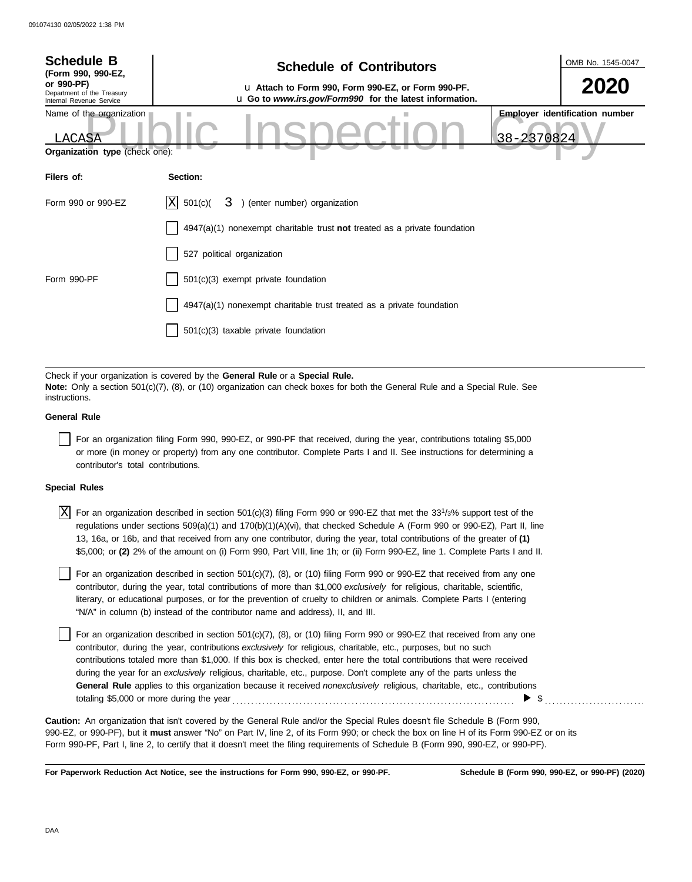| <b>Schedule B</b><br>(Form 990, 990-EZ,<br>or 990-PF)<br>Department of the Treasury              | <b>Schedule of Contributors</b><br>La Attach to Form 990, Form 990-EZ, or Form 990-PF.                                                                                                                   | OMB No. 1545-0047<br>2020                           |
|--------------------------------------------------------------------------------------------------|----------------------------------------------------------------------------------------------------------------------------------------------------------------------------------------------------------|-----------------------------------------------------|
| Internal Revenue Service<br>Name of the organization<br>LACASA<br>Organization type (check one): | u Go to www.irs.gov/Form990 for the latest information.                                                                                                                                                  | <b>Employer identification number</b><br>38-2370824 |
| Filers of:                                                                                       | Section:                                                                                                                                                                                                 |                                                     |
| Form 990 or 990-EZ                                                                               | ΙXΙ<br>501(c)<br>3 ) (enter number) organization                                                                                                                                                         |                                                     |
|                                                                                                  | 4947(a)(1) nonexempt charitable trust not treated as a private foundation                                                                                                                                |                                                     |
|                                                                                                  | 527 political organization                                                                                                                                                                               |                                                     |
| Form 990-PF                                                                                      | 501(c)(3) exempt private foundation                                                                                                                                                                      |                                                     |
|                                                                                                  | $4947(a)(1)$ nonexempt charitable trust treated as a private foundation                                                                                                                                  |                                                     |
|                                                                                                  | 501(c)(3) taxable private foundation                                                                                                                                                                     |                                                     |
|                                                                                                  |                                                                                                                                                                                                          |                                                     |
|                                                                                                  | Check if your organization is covered by the General Rule or a Special Rule.<br>Note: Only a section 501(c)(7) (8) or (10) organization can check hoves for both the General Rule and a Special Rule See |                                                     |

**Note:** Only a section 501(c)(7), (8), or (10) organization can check boxes for both the General Rule and a Special Rule. See **instructions** 

### **General Rule**

For an organization filing Form 990, 990-EZ, or 990-PF that received, during the year, contributions totaling \$5,000 or more (in money or property) from any one contributor. Complete Parts I and II. See instructions for determining a contributor's total contributions.

### **Special Rules**

 $\overline{X}$  For an organization described in section 501(c)(3) filing Form 990 or 990-EZ that met the 33<sup>1</sup>/3% support test of the regulations under sections 509(a)(1) and 170(b)(1)(A)(vi), that checked Schedule A (Form 990 or 990-EZ), Part II, line 13, 16a, or 16b, and that received from any one contributor, during the year, total contributions of the greater of **(1)** \$5,000; or **(2)** 2% of the amount on (i) Form 990, Part VIII, line 1h; or (ii) Form 990-EZ, line 1. Complete Parts I and II.

literary, or educational purposes, or for the prevention of cruelty to children or animals. Complete Parts I (entering For an organization described in section  $501(c)(7)$ ,  $(8)$ , or  $(10)$  filing Form 990 or 990-EZ that received from any one contributor, during the year, total contributions of more than \$1,000 *exclusively* for religious, charitable, scientific, "N/A" in column (b) instead of the contributor name and address), II, and III.

For an organization described in section 501(c)(7), (8), or (10) filing Form 990 or 990-EZ that received from any one contributor, during the year, contributions *exclusively* for religious, charitable, etc., purposes, but no such contributions totaled more than \$1,000. If this box is checked, enter here the total contributions that were received during the year for an *exclusively* religious, charitable, etc., purpose. Don't complete any of the parts unless the **General Rule** applies to this organization because it received *nonexclusively* religious, charitable, etc., contributions totaling \$5,000 or more during the year . . . . . . . . . . . . . . . . . . . . . . . . . . . . . . . . . . . . . . . . . . . . . . . . . . . . . . . . . . . . . . . . . . . . . . . . . . . .  $\triangleright$  \$

990-EZ, or 990-PF), but it **must** answer "No" on Part IV, line 2, of its Form 990; or check the box on line H of its Form 990-EZ or on its Form 990-PF, Part I, line 2, to certify that it doesn't meet the filing requirements of Schedule B (Form 990, 990-EZ, or 990-PF). **Caution:** An organization that isn't covered by the General Rule and/or the Special Rules doesn't file Schedule B (Form 990,

**For Paperwork Reduction Act Notice, see the instructions for Form 990, 990-EZ, or 990-PF.**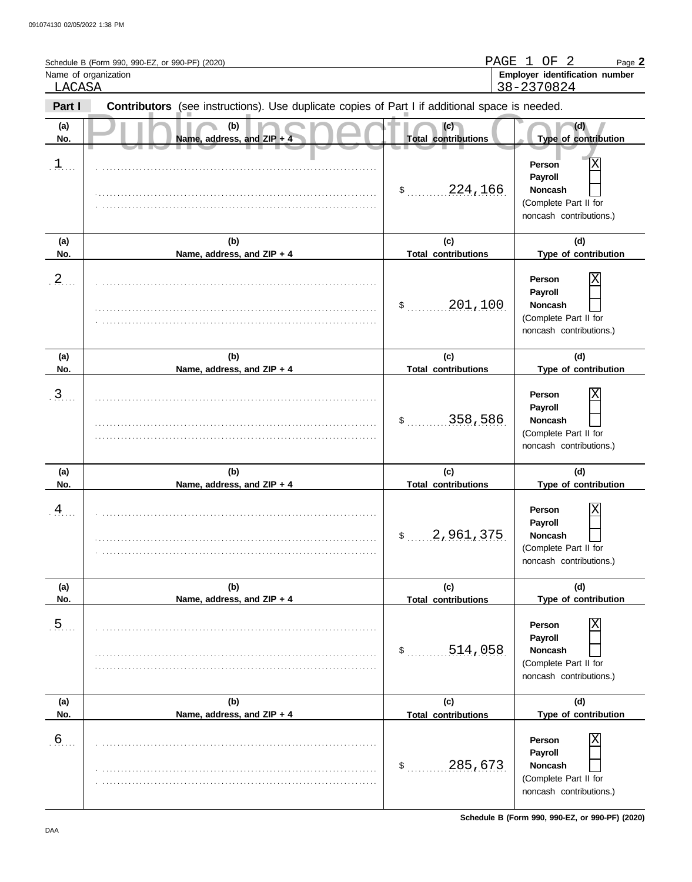| LACASA           | Schedule B (Form 990, 990-EZ, or 990-PF) (2020)<br>Name of organization                        | PAGE 1                            | - 2<br>ΟF<br>Page 2<br>Employer identification number<br>38-2370824                          |
|------------------|------------------------------------------------------------------------------------------------|-----------------------------------|----------------------------------------------------------------------------------------------|
| Part I           | Contributors (see instructions). Use duplicate copies of Part I if additional space is needed. |                                   |                                                                                              |
| (a)<br>No.       | (b)<br>Name, address, and ZIP + 4                                                              | (c)<br><b>Total contributions</b> | (d)<br>Type of contribution                                                                  |
| $\perp$          |                                                                                                | \$324,166                         | Χ<br>Person<br>Payroll<br><b>Noncash</b><br>(Complete Part II for<br>noncash contributions.) |
| (a)<br>No.       | (b)<br>Name, address, and ZIP + 4                                                              | (c)<br><b>Total contributions</b> | (d)<br>Type of contribution                                                                  |
| $\frac{2}{2}$    |                                                                                                | 201,100<br>$\sim$                 | Χ<br>Person<br>Payroll<br><b>Noncash</b><br>(Complete Part II for<br>noncash contributions.) |
| (a)<br>No.       | (b)<br>Name, address, and ZIP + 4                                                              | (c)<br><b>Total contributions</b> | (d)<br>Type of contribution                                                                  |
| $\overline{3}$ . |                                                                                                | 358,586<br>$\sim$                 | X<br>Person<br>Payroll<br><b>Noncash</b><br>(Complete Part II for<br>noncash contributions.) |
| (a)<br>No.       | (b)<br>Name, address, and ZIP + 4                                                              | (c)<br><b>Total contributions</b> | (d)<br>Type of contribution                                                                  |
| $\overline{4}$   |                                                                                                | 2,961,375<br>\$                   | Χ<br>Person<br>Payroll<br>Noncash<br>(Complete Part II for<br>noncash contributions.)        |
| (a)<br>No.       | (b)<br>Name, address, and ZIP + 4                                                              | (c)<br><b>Total contributions</b> | (d)<br>Type of contribution                                                                  |
| .5               |                                                                                                | 514,058<br>\$                     | Χ<br>Person<br>Payroll<br>Noncash<br>(Complete Part II for<br>noncash contributions.)        |
| (a)<br>No.       | (b)<br>Name, address, and ZIP + 4                                                              | (c)<br><b>Total contributions</b> | (d)<br>Type of contribution                                                                  |
| .6               |                                                                                                | 285,673<br>$\mathsf{S}_{\perp}$   | Χ<br>Person<br>Payroll<br>Noncash<br>(Complete Part II for<br>noncash contributions.)        |

**Schedule B (Form 990, 990-EZ, or 990-PF) (2020)**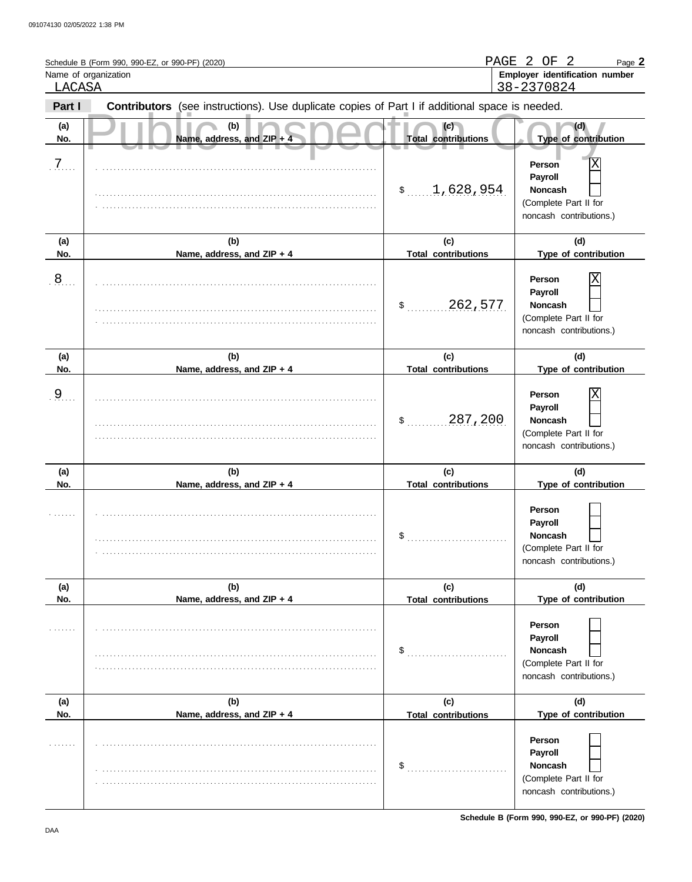| LACASA         | Schedule B (Form 990, 990-EZ, or 990-PF) (2020)<br>Name of organization                        |                                   | PAGE 2 OF<br>- 2<br>Page 2<br>Employer identification number<br>38-2370824                   |  |  |
|----------------|------------------------------------------------------------------------------------------------|-----------------------------------|----------------------------------------------------------------------------------------------|--|--|
| Part I         | Contributors (see instructions). Use duplicate copies of Part I if additional space is needed. |                                   |                                                                                              |  |  |
| (a)<br>No.     | (b)<br>Name, address, and ZIP + 4                                                              | (c)<br><b>Total contributions</b> | (d)<br>Type of contribution                                                                  |  |  |
| 7 <sub>1</sub> |                                                                                                | \$1,628,954                       | Χ<br>Person<br>Payroll<br><b>Noncash</b><br>(Complete Part II for<br>noncash contributions.) |  |  |
| (a)<br>No.     | (b)<br>Name, address, and ZIP + 4                                                              | (c)<br><b>Total contributions</b> | (d)<br>Type of contribution                                                                  |  |  |
| $\frac{8}{2}$  |                                                                                                | 262,577<br>$\sim$                 | Χ<br>Person<br>Payroll<br><b>Noncash</b><br>(Complete Part II for<br>noncash contributions.) |  |  |
| (a)<br>No.     | (b)<br>Name, address, and ZIP + 4                                                              | (c)<br><b>Total contributions</b> | (d)<br>Type of contribution                                                                  |  |  |
| $\overline{9}$ |                                                                                                | 287,200<br>$\sim$                 | X<br>Person<br>Payroll<br><b>Noncash</b><br>(Complete Part II for<br>noncash contributions.) |  |  |
| (a)<br>No.     | (b)<br>Name, address, and ZIP + 4                                                              | (c)<br><b>Total contributions</b> | (d)<br>Type of contribution                                                                  |  |  |
|                |                                                                                                | \$                                | Person<br>Payroll<br>Noncash<br>(Complete Part II for<br>noncash contributions.)             |  |  |
| (a)<br>No.     | (b)<br>Name, address, and ZIP + 4                                                              | (c)<br><b>Total contributions</b> | (d)<br>Type of contribution                                                                  |  |  |
|                |                                                                                                | \$                                | Person<br>Payroll<br>Noncash<br>(Complete Part II for<br>noncash contributions.)             |  |  |
| (a)<br>No.     | (b)<br>Name, address, and ZIP + 4                                                              | (c)<br><b>Total contributions</b> | (d)<br>Type of contribution                                                                  |  |  |
|                |                                                                                                | \$                                | Person<br>Payroll<br>Noncash<br>(Complete Part II for<br>noncash contributions.)             |  |  |

**Schedule B (Form 990, 990-EZ, or 990-PF) (2020)**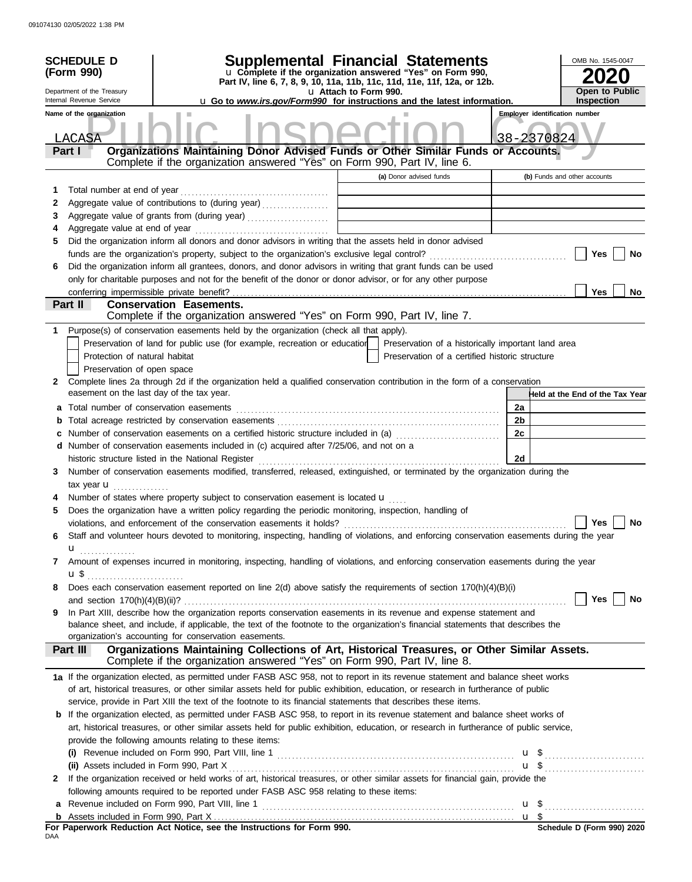|     | <b>SCHEDULE D</b>                                      | Supplemental Financial Statements                                                                                                         |                       |                                                    |    |                                       | OMB No. 1545-0047                          |
|-----|--------------------------------------------------------|-------------------------------------------------------------------------------------------------------------------------------------------|-----------------------|----------------------------------------------------|----|---------------------------------------|--------------------------------------------|
|     | (Form 990)                                             | u Complete if the organization answered "Yes" on Form 990,                                                                                |                       |                                                    |    |                                       |                                            |
|     |                                                        | Part IV, line 6, 7, 8, 9, 10, 11a, 11b, 11c, 11d, 11e, 11f, 12a, or 12b.                                                                  |                       |                                                    |    |                                       |                                            |
|     | Department of the Treasury<br>Internal Revenue Service | <b>u</b> Go to <i>www.irs.gov/Form990</i> for instructions and the latest information.                                                    | u Attach to Form 990. |                                                    |    |                                       | <b>Open to Public</b><br><b>Inspection</b> |
|     | Name of the organization                               |                                                                                                                                           |                       |                                                    |    | <b>Employer identification number</b> |                                            |
|     |                                                        |                                                                                                                                           |                       |                                                    |    |                                       |                                            |
|     | LACASA                                                 |                                                                                                                                           |                       |                                                    |    | 38-2370824                            |                                            |
|     | Part I                                                 | Organizations Maintaining Donor Advised Funds or Other Similar Funds or Accounts.                                                         |                       |                                                    |    |                                       |                                            |
|     |                                                        | Complete if the organization answered "Yes" on Form 990, Part IV, line 6.                                                                 |                       |                                                    |    |                                       |                                            |
|     |                                                        |                                                                                                                                           |                       | (a) Donor advised funds                            |    | (b) Funds and other accounts          |                                            |
| 1   | Total number at end of year                            |                                                                                                                                           |                       |                                                    |    |                                       |                                            |
| 2   |                                                        | Aggregate value of contributions to (during year)                                                                                         |                       |                                                    |    |                                       |                                            |
| 3   |                                                        | Aggregate value of grants from (during year)                                                                                              |                       |                                                    |    |                                       |                                            |
| 4   |                                                        |                                                                                                                                           |                       |                                                    |    |                                       |                                            |
| 5   |                                                        | Did the organization inform all donors and donor advisors in writing that the assets held in donor advised                                |                       |                                                    |    |                                       |                                            |
|     |                                                        |                                                                                                                                           |                       |                                                    |    |                                       | Yes<br>No                                  |
| 6   |                                                        | Did the organization inform all grantees, donors, and donor advisors in writing that grant funds can be used                              |                       |                                                    |    |                                       |                                            |
|     |                                                        | only for charitable purposes and not for the benefit of the donor or donor advisor, or for any other purpose                              |                       |                                                    |    |                                       |                                            |
|     | conferring impermissible private benefit?<br>Part II   | <b>Conservation Easements.</b>                                                                                                            |                       |                                                    |    |                                       | <b>Yes</b><br><b>No</b>                    |
|     |                                                        | Complete if the organization answered "Yes" on Form 990, Part IV, line 7.                                                                 |                       |                                                    |    |                                       |                                            |
| 1.  |                                                        | Purpose(s) of conservation easements held by the organization (check all that apply).                                                     |                       |                                                    |    |                                       |                                            |
|     |                                                        | Preservation of land for public use (for example, recreation or education                                                                 |                       | Preservation of a historically important land area |    |                                       |                                            |
|     | Protection of natural habitat                          |                                                                                                                                           |                       | Preservation of a certified historic structure     |    |                                       |                                            |
|     | Preservation of open space                             |                                                                                                                                           |                       |                                                    |    |                                       |                                            |
| 2   |                                                        | Complete lines 2a through 2d if the organization held a qualified conservation contribution in the form of a conservation                 |                       |                                                    |    |                                       |                                            |
|     | easement on the last day of the tax year.              |                                                                                                                                           |                       |                                                    |    |                                       | Held at the End of the Tax Year            |
|     |                                                        |                                                                                                                                           |                       |                                                    | 2a |                                       |                                            |
| b   |                                                        |                                                                                                                                           |                       |                                                    | 2b |                                       |                                            |
|     |                                                        |                                                                                                                                           |                       |                                                    | 2c |                                       |                                            |
|     |                                                        | d Number of conservation easements included in (c) acquired after 7/25/06, and not on a                                                   |                       |                                                    |    |                                       |                                            |
|     |                                                        | historic structure listed in the National Register                                                                                        |                       |                                                    | 2d |                                       |                                            |
| 3   |                                                        | Number of conservation easements modified, transferred, released, extinguished, or terminated by the organization during the              |                       |                                                    |    |                                       |                                            |
|     | tax year $\mathbf{u}$                                  |                                                                                                                                           |                       |                                                    |    |                                       |                                            |
|     |                                                        | Number of states where property subject to conservation easement is located $\mathbf u$                                                   |                       |                                                    |    |                                       |                                            |
| 5   |                                                        | Does the organization have a written policy regarding the periodic monitoring, inspection, handling of                                    |                       |                                                    |    |                                       |                                            |
|     |                                                        |                                                                                                                                           |                       |                                                    |    |                                       | Yes $\boxed{\phantom{a}}$<br>No            |
| 6   |                                                        | Staff and volunteer hours devoted to monitoring, inspecting, handling of violations, and enforcing conservation easements during the year |                       |                                                    |    |                                       |                                            |
|     | u                                                      |                                                                                                                                           |                       |                                                    |    |                                       |                                            |
| 7   |                                                        | Amount of expenses incurred in monitoring, inspecting, handling of violations, and enforcing conservation easements during the year       |                       |                                                    |    |                                       |                                            |
|     |                                                        |                                                                                                                                           |                       |                                                    |    |                                       |                                            |
| 8   |                                                        | Does each conservation easement reported on line 2(d) above satisfy the requirements of section 170(h)(4)(B)(i)                           |                       |                                                    |    |                                       |                                            |
|     |                                                        |                                                                                                                                           |                       |                                                    |    |                                       | Yes  <br>No                                |
| 9   |                                                        | In Part XIII, describe how the organization reports conservation easements in its revenue and expense statement and                       |                       |                                                    |    |                                       |                                            |
|     |                                                        | balance sheet, and include, if applicable, the text of the footnote to the organization's financial statements that describes the         |                       |                                                    |    |                                       |                                            |
|     |                                                        | organization's accounting for conservation easements.                                                                                     |                       |                                                    |    |                                       |                                            |
|     | Part III                                               | Organizations Maintaining Collections of Art, Historical Treasures, or Other Similar Assets.                                              |                       |                                                    |    |                                       |                                            |
|     |                                                        | Complete if the organization answered "Yes" on Form 990, Part IV, line 8.                                                                 |                       |                                                    |    |                                       |                                            |
|     |                                                        | 1a If the organization elected, as permitted under FASB ASC 958, not to report in its revenue statement and balance sheet works           |                       |                                                    |    |                                       |                                            |
|     |                                                        | of art, historical treasures, or other similar assets held for public exhibition, education, or research in furtherance of public         |                       |                                                    |    |                                       |                                            |
|     |                                                        | service, provide in Part XIII the text of the footnote to its financial statements that describes these items.                            |                       |                                                    |    |                                       |                                            |
|     |                                                        | <b>b</b> If the organization elected, as permitted under FASB ASC 958, to report in its revenue statement and balance sheet works of      |                       |                                                    |    |                                       |                                            |
|     |                                                        | art, historical treasures, or other similar assets held for public exhibition, education, or research in furtherance of public service,   |                       |                                                    |    |                                       |                                            |
|     |                                                        | provide the following amounts relating to these items:                                                                                    |                       |                                                    |    |                                       |                                            |
|     |                                                        |                                                                                                                                           |                       |                                                    |    |                                       |                                            |
|     |                                                        | If the organization received or held works of art, historical treasures, or other similar assets for financial gain, provide the          |                       |                                                    |    |                                       | $\mathbf{u}$ \$                            |
| 2   |                                                        |                                                                                                                                           |                       |                                                    |    |                                       |                                            |
|     |                                                        | following amounts required to be reported under FASB ASC 958 relating to these items:                                                     |                       |                                                    |    |                                       |                                            |
| a   |                                                        |                                                                                                                                           |                       |                                                    |    |                                       |                                            |
|     |                                                        | For Paperwork Reduction Act Notice, see the Instructions for Form 990.                                                                    |                       |                                                    |    |                                       | Schedule D (Form 990) 2020                 |
| DAA |                                                        |                                                                                                                                           |                       |                                                    |    |                                       |                                            |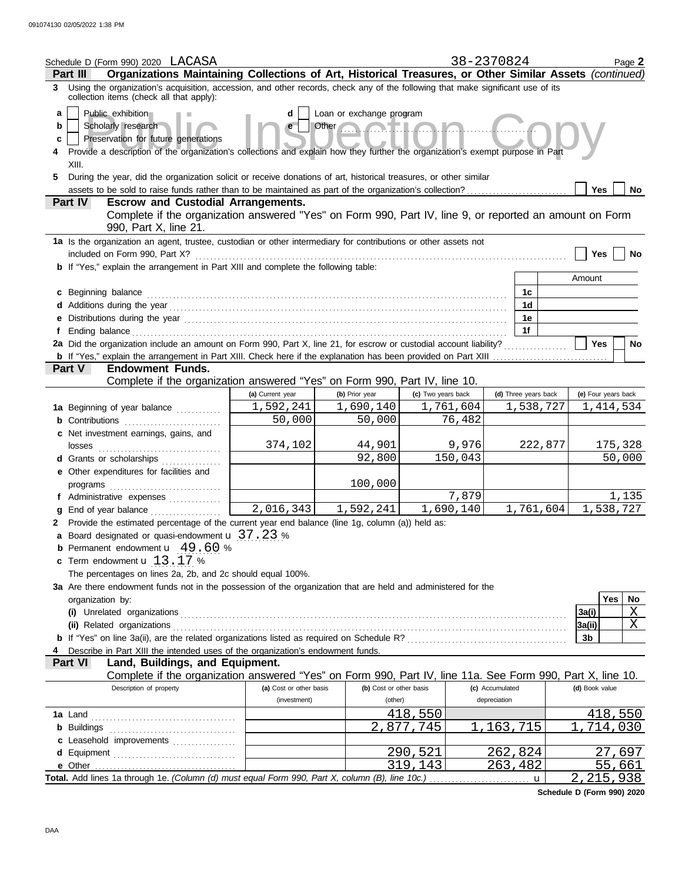|                   | Schedule D (Form 990) 2020 LACASA                                                                                                                                                                                                                                                                                                              |                         |                                                  |                    | 38-2370824 |                 |                      |                | Page 2              |
|-------------------|------------------------------------------------------------------------------------------------------------------------------------------------------------------------------------------------------------------------------------------------------------------------------------------------------------------------------------------------|-------------------------|--------------------------------------------------|--------------------|------------|-----------------|----------------------|----------------|---------------------|
|                   | Organizations Maintaining Collections of Art, Historical Treasures, or Other Similar Assets (continued)<br>Part III                                                                                                                                                                                                                            |                         |                                                  |                    |            |                 |                      |                |                     |
|                   | 3 Using the organization's acquisition, accession, and other records, check any of the following that make significant use of its<br>collection items (check all that apply):                                                                                                                                                                  |                         |                                                  |                    |            |                 |                      |                |                     |
| a<br>b<br>c<br>5. | Public exhibition<br>Scholarly research<br>Preservation for future generations<br>Provide a description of the organization's collections and explain how they further the organization's exempt purpose in Part<br>XIII.<br>During the year, did the organization solicit or receive donations of art, historical treasures, or other similar | d<br>e                  | Loan or exchange program<br><b>NHLC</b><br>Other |                    |            |                 |                      |                |                     |
|                   | assets to be sold to raise funds rather than to be maintained as part of the organization's collection?                                                                                                                                                                                                                                        |                         |                                                  |                    |            |                 |                      | Yes            | No.                 |
|                   | Part IV<br><b>Escrow and Custodial Arrangements.</b>                                                                                                                                                                                                                                                                                           |                         |                                                  |                    |            |                 |                      |                |                     |
|                   | Complete if the organization answered "Yes" on Form 990, Part IV, line 9, or reported an amount on Form<br>990, Part X, line 21.                                                                                                                                                                                                               |                         |                                                  |                    |            |                 |                      |                |                     |
|                   | 1a Is the organization an agent, trustee, custodian or other intermediary for contributions or other assets not<br>included on Form 990, Part X?                                                                                                                                                                                               |                         |                                                  |                    |            |                 |                      | Yes            | No                  |
|                   | b If "Yes," explain the arrangement in Part XIII and complete the following table:                                                                                                                                                                                                                                                             |                         |                                                  |                    |            |                 |                      |                |                     |
|                   |                                                                                                                                                                                                                                                                                                                                                |                         |                                                  |                    |            |                 |                      | Amount         |                     |
|                   | c Beginning balance                                                                                                                                                                                                                                                                                                                            |                         |                                                  |                    |            |                 | 1c<br>1d             |                |                     |
|                   |                                                                                                                                                                                                                                                                                                                                                |                         |                                                  |                    |            |                 | 1e                   |                |                     |
|                   |                                                                                                                                                                                                                                                                                                                                                |                         |                                                  |                    |            |                 | 1f                   |                |                     |
|                   | 2a Did the organization include an amount on Form 990, Part X, line 21, for escrow or custodial account liability?                                                                                                                                                                                                                             |                         |                                                  |                    |            |                 |                      | <b>Yes</b>     | No                  |
|                   |                                                                                                                                                                                                                                                                                                                                                |                         |                                                  |                    |            |                 |                      |                |                     |
|                   | <b>Part V</b><br><b>Endowment Funds.</b>                                                                                                                                                                                                                                                                                                       |                         |                                                  |                    |            |                 |                      |                |                     |
|                   | Complete if the organization answered "Yes" on Form 990, Part IV, line 10.                                                                                                                                                                                                                                                                     |                         |                                                  |                    |            |                 |                      |                |                     |
|                   |                                                                                                                                                                                                                                                                                                                                                | (a) Current year        | (b) Prior year                                   | (c) Two years back |            |                 | (d) Three years back |                | (e) Four years back |
|                   | 1a Beginning of year balance                                                                                                                                                                                                                                                                                                                   | 1,592,241               | 1,690,140                                        |                    | 1,761,604  |                 | 1,538,727            |                | 1, 414, 534         |
|                   | <b>b</b> Contributions                                                                                                                                                                                                                                                                                                                         | 50,000                  | 50,000                                           |                    | 76,482     |                 |                      |                |                     |
|                   | c Net investment earnings, gains, and<br>losses                                                                                                                                                                                                                                                                                                | 374,102                 | 44,901                                           |                    | 9,976      |                 | 222,877              |                | 175,328             |
|                   | d Grants or scholarships<br>.                                                                                                                                                                                                                                                                                                                  |                         | 92,800                                           |                    | 150,043    |                 |                      |                | 50,000              |
|                   | e Other expenditures for facilities and                                                                                                                                                                                                                                                                                                        |                         |                                                  |                    |            |                 |                      |                |                     |
|                   |                                                                                                                                                                                                                                                                                                                                                |                         | 100,000                                          |                    |            |                 |                      |                |                     |
|                   | f Administrative expenses                                                                                                                                                                                                                                                                                                                      |                         |                                                  |                    | 7,879      |                 |                      |                | 1,135               |
| a                 |                                                                                                                                                                                                                                                                                                                                                | 2,016,343               | 1,592,241                                        |                    | 1,690,140  |                 | 1,761,604            |                | 1,538,727           |
|                   | 2 Provide the estimated percentage of the current year end balance (line 1g, column (a)) held as:                                                                                                                                                                                                                                              |                         |                                                  |                    |            |                 |                      |                |                     |
|                   | a Board designated or quasi-endowment u 37.23 %<br>Permanent endowment <b>u</b> 49.60 %                                                                                                                                                                                                                                                        |                         |                                                  |                    |            |                 |                      |                |                     |
|                   | c Term endowment <b>u</b> 13.17 %                                                                                                                                                                                                                                                                                                              |                         |                                                  |                    |            |                 |                      |                |                     |
|                   | The percentages on lines 2a, 2b, and 2c should equal 100%.                                                                                                                                                                                                                                                                                     |                         |                                                  |                    |            |                 |                      |                |                     |
|                   | 3a Are there endowment funds not in the possession of the organization that are held and administered for the                                                                                                                                                                                                                                  |                         |                                                  |                    |            |                 |                      |                |                     |
|                   | organization by:                                                                                                                                                                                                                                                                                                                               |                         |                                                  |                    |            |                 |                      |                | <b>Yes</b><br>No    |
|                   |                                                                                                                                                                                                                                                                                                                                                |                         |                                                  |                    |            |                 |                      | 3a(i)          | X                   |
|                   | (ii) Related organizations                                                                                                                                                                                                                                                                                                                     |                         |                                                  |                    |            |                 |                      | 3a(ii)         | Χ                   |
|                   |                                                                                                                                                                                                                                                                                                                                                |                         |                                                  |                    |            |                 |                      | 3 <sub>b</sub> |                     |
| 4                 | Describe in Part XIII the intended uses of the organization's endowment funds.                                                                                                                                                                                                                                                                 |                         |                                                  |                    |            |                 |                      |                |                     |
|                   | Part VI<br>Land, Buildings, and Equipment.<br>Complete if the organization answered "Yes" on Form 990, Part IV, line 11a. See Form 990, Part X, line 10.                                                                                                                                                                                       |                         |                                                  |                    |            |                 |                      |                |                     |
|                   | Description of property                                                                                                                                                                                                                                                                                                                        | (a) Cost or other basis | (b) Cost or other basis                          |                    |            | (c) Accumulated |                      | (d) Book value |                     |
|                   |                                                                                                                                                                                                                                                                                                                                                | (investment)            | (other)                                          |                    |            | depreciation    |                      |                |                     |
|                   |                                                                                                                                                                                                                                                                                                                                                |                         |                                                  | 418,550            |            |                 |                      |                | 418,550             |
|                   |                                                                                                                                                                                                                                                                                                                                                |                         |                                                  | 2,877,745          |            | 1,163,715       |                      | $\mathbf{1}$   | ,714,030            |
|                   | c Leasehold improvements                                                                                                                                                                                                                                                                                                                       |                         |                                                  |                    |            |                 |                      |                |                     |
|                   |                                                                                                                                                                                                                                                                                                                                                |                         |                                                  | 290,521            |            | 262,824         |                      |                | 27,697              |
|                   |                                                                                                                                                                                                                                                                                                                                                |                         |                                                  | 319,143            |            | 263,482         |                      |                | 55,661              |
|                   |                                                                                                                                                                                                                                                                                                                                                |                         |                                                  |                    |            |                 | $\mathbf u$          |                | 2, 215, 938         |

**Schedule D (Form 990) 2020**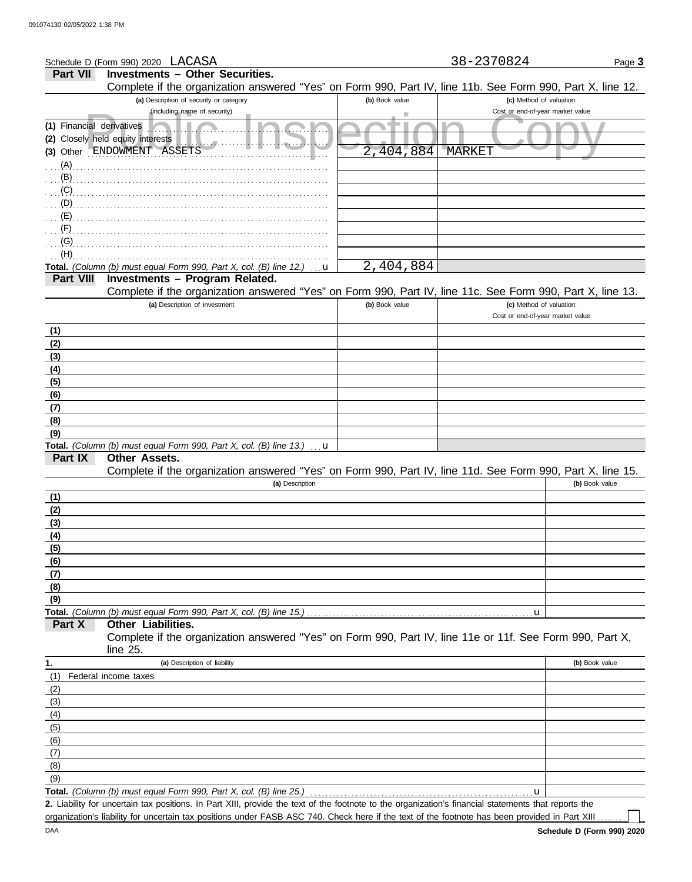| Schedule D (Form 990) 2020 LACASA                                                                                                        |                | 38-2370824                       | Page 3         |
|------------------------------------------------------------------------------------------------------------------------------------------|----------------|----------------------------------|----------------|
| <b>Part VII</b><br><b>Investments - Other Securities.</b>                                                                                |                |                                  |                |
| Complete if the organization answered "Yes" on Form 990, Part IV, line 11b. See Form 990, Part X, line 12.                               |                |                                  |                |
| (a) Description of security or category                                                                                                  | (b) Book value | (c) Method of valuation:         |                |
| (including name of security)                                                                                                             |                | Cost or end-of-year market value |                |
| (1) Financial derivatives                                                                                                                |                |                                  |                |
| Closely held equity interests<br>(2)                                                                                                     |                |                                  |                |
| Other ENDOWMENT<br>ASSETS<br>(3)                                                                                                         | 404,884        | <b>MARKET</b>                    |                |
| (A)                                                                                                                                      |                |                                  |                |
| (B)                                                                                                                                      |                |                                  |                |
| (C)                                                                                                                                      |                |                                  |                |
| (D)                                                                                                                                      |                |                                  |                |
| (E)                                                                                                                                      |                |                                  |                |
| (G)                                                                                                                                      |                |                                  |                |
| (H)                                                                                                                                      |                |                                  |                |
| Total. (Column (b) must equal Form 990, Part X, col. (B) line 12.)<br>u                                                                  | 2,404,884      |                                  |                |
| Investments - Program Related.<br><b>Part VIII</b>                                                                                       |                |                                  |                |
| Complete if the organization answered "Yes" on Form 990, Part IV, line 11c. See Form 990, Part X, line 13.                               |                |                                  |                |
| (a) Description of investment                                                                                                            | (b) Book value | (c) Method of valuation:         |                |
|                                                                                                                                          |                | Cost or end-of-year market value |                |
| (1)                                                                                                                                      |                |                                  |                |
| (2)                                                                                                                                      |                |                                  |                |
| (3)                                                                                                                                      |                |                                  |                |
| (4)                                                                                                                                      |                |                                  |                |
| (5)                                                                                                                                      |                |                                  |                |
| (6)                                                                                                                                      |                |                                  |                |
| (7)                                                                                                                                      |                |                                  |                |
| (8)                                                                                                                                      |                |                                  |                |
| (9)                                                                                                                                      |                |                                  |                |
| Total. (Column (b) must equal Form 990, Part X, col. (B) line 13.)<br>u<br>Part IX<br><b>Other Assets.</b>                               |                |                                  |                |
| Complete if the organization answered "Yes" on Form 990, Part IV, line 11d. See Form 990, Part X, line 15.                               |                |                                  |                |
| (a) Description                                                                                                                          |                |                                  | (b) Book value |
| (1)                                                                                                                                      |                |                                  |                |
| (2)                                                                                                                                      |                |                                  |                |
| (3)                                                                                                                                      |                |                                  |                |
| (4)                                                                                                                                      |                |                                  |                |
| (5)                                                                                                                                      |                |                                  |                |
| (6)                                                                                                                                      |                |                                  |                |
| (7)                                                                                                                                      |                |                                  |                |
| (8)                                                                                                                                      |                |                                  |                |
| (9)                                                                                                                                      |                |                                  |                |
| Total. (Column (b) must equal Form 990, Part X, col. (B) line 15.)                                                                       |                | u                                |                |
| Other Liabilities.<br>Part X<br>Complete if the organization answered "Yes" on Form 990, Part IV, line 11e or 11f. See Form 990, Part X, |                |                                  |                |
| line 25.                                                                                                                                 |                |                                  |                |
| (a) Description of liability                                                                                                             |                |                                  | (b) Book value |
| 1.<br>(1)<br>Federal income taxes                                                                                                        |                |                                  |                |
| (2)                                                                                                                                      |                |                                  |                |
| (3)                                                                                                                                      |                |                                  |                |
| (4)                                                                                                                                      |                |                                  |                |
| (5)                                                                                                                                      |                |                                  |                |
| (6)                                                                                                                                      |                |                                  |                |
| (7)                                                                                                                                      |                |                                  |                |
|                                                                                                                                          |                |                                  |                |

Total. *(Column (b) must equal Form 990, Part X, col. (B) line 25.)* (9)

Liability for uncertain tax positions. In Part XIII, provide the text of the footnote to the organization's financial statements that reports the **2.** organization's liability for uncertain tax positions under FASB ASC 740. Check here if the text of the footnote has been provided in Part XIII..

 $\mathbf{L}$ 

u

DAA

(8)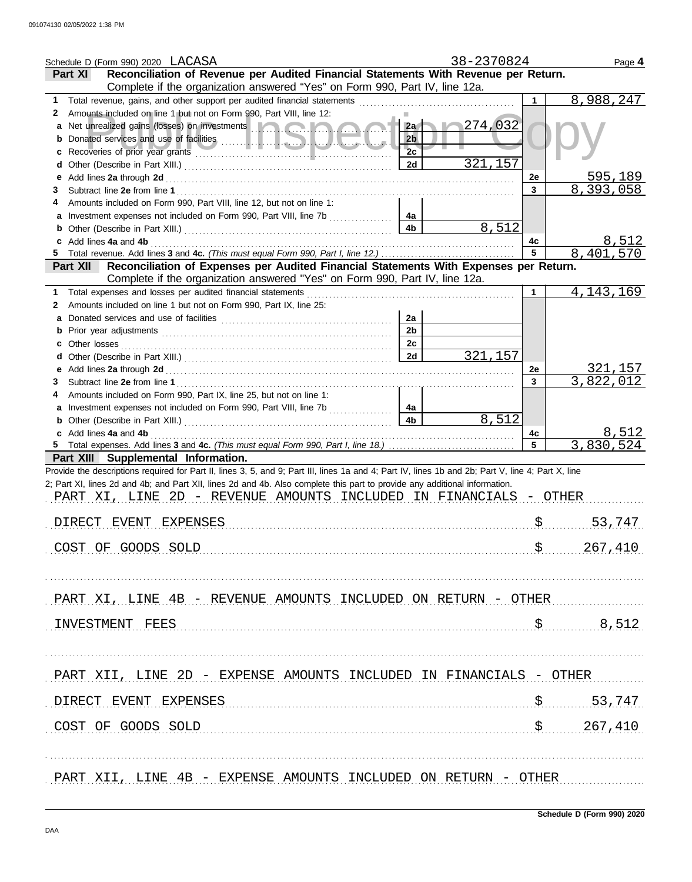| Schedule D (Form 990) 2020 LACASA                                                                                                                                                       |                      | 38-2370824     |                | Page 4                 |
|-----------------------------------------------------------------------------------------------------------------------------------------------------------------------------------------|----------------------|----------------|----------------|------------------------|
| Reconciliation of Revenue per Audited Financial Statements With Revenue per Return.<br><b>Part XI</b>                                                                                   |                      |                |                |                        |
| Complete if the organization answered "Yes" on Form 990, Part IV, line 12a.                                                                                                             |                      |                |                |                        |
| Total revenue, gains, and other support per audited financial statements [<br>1                                                                                                         |                      |                | 1.             | 8,988,247              |
| Amounts included on line 1 but not on Form 990, Part VIII, line 12:<br>2                                                                                                                |                      |                |                |                        |
| a                                                                                                                                                                                       | 2a                   | $\sim 274,032$ |                |                        |
|                                                                                                                                                                                         | 2 <sub>b</sub>       |                |                |                        |
|                                                                                                                                                                                         | 2c                   |                |                |                        |
|                                                                                                                                                                                         | 2d                   | 321,157        |                |                        |
| е                                                                                                                                                                                       |                      |                | 2e             | 595,189                |
| 3                                                                                                                                                                                       |                      |                | $\mathbf{3}$   | 8,393,058              |
| Amounts included on Form 990, Part VIII, line 12, but not on line 1:                                                                                                                    |                      |                |                |                        |
|                                                                                                                                                                                         | 4a                   |                |                |                        |
|                                                                                                                                                                                         | 4 <sub>b</sub>       | 8,512          |                |                        |
| Add lines 4a and 4b                                                                                                                                                                     |                      |                | 4с             | 8,512                  |
|                                                                                                                                                                                         |                      |                | 5              | 8,401,570              |
| Reconciliation of Expenses per Audited Financial Statements With Expenses per Return.<br><b>Part XII</b><br>Complete if the organization answered "Yes" on Form 990, Part IV, line 12a. |                      |                |                |                        |
|                                                                                                                                                                                         |                      |                |                |                        |
| Total expenses and losses per audited financial statements<br>1                                                                                                                         |                      |                | 1              | 4, 143, 169            |
| Amounts included on line 1 but not on Form 990, Part IX, line 25:<br>2                                                                                                                  |                      |                |                |                        |
| a                                                                                                                                                                                       | 2a<br>2 <sub>b</sub> |                |                |                        |
|                                                                                                                                                                                         | 2c                   |                |                |                        |
|                                                                                                                                                                                         | 2d                   | 321,157        |                |                        |
|                                                                                                                                                                                         |                      |                |                | 321,157                |
| е<br>3                                                                                                                                                                                  |                      |                | 2e<br>3        | 3,822,012              |
| Amounts included on Form 990, Part IX, line 25, but not on line 1:                                                                                                                      |                      |                |                |                        |
| Investment expenses not included on Form 990, Part VIII, line 7b                                                                                                                        | 4a                   |                |                |                        |
|                                                                                                                                                                                         | 4 <sub>b</sub>       | 8,512          |                |                        |
| c Add lines 4a and 4b                                                                                                                                                                   |                      |                | 4c             | 8,512                  |
|                                                                                                                                                                                         |                      |                | $5\phantom{1}$ | 3,830,524              |
| Part XIII Supplemental Information.                                                                                                                                                     |                      |                |                |                        |
| Provide the descriptions required for Part II, lines 3, 5, and 9; Part III, lines 1a and 4; Part IV, lines 1b and 2b; Part V, line 4; Part X, line                                      |                      |                |                |                        |
| 2; Part XI, lines 2d and 4b; and Part XII, lines 2d and 4b. Also complete this part to provide any additional information.                                                              |                      |                |                |                        |
| PART XI, LINE 2D - REVENUE AMOUNTS INCLUDED IN FINANCIALS - OTHER                                                                                                                       |                      |                |                |                        |
|                                                                                                                                                                                         |                      |                |                |                        |
| DIRECT EVENT EXPENSES                                                                                                                                                                   |                      |                |                | $S$<br>53,747          |
|                                                                                                                                                                                         |                      |                |                |                        |
| COST OF GOODS SOLD                                                                                                                                                                      |                      |                |                | \$267,410              |
|                                                                                                                                                                                         |                      |                |                |                        |
|                                                                                                                                                                                         |                      |                |                |                        |
|                                                                                                                                                                                         |                      |                |                |                        |
| PART XI, LINE 4B - REVENUE AMOUNTS INCLUDED ON RETURN - OTHER                                                                                                                           |                      |                |                |                        |
|                                                                                                                                                                                         |                      |                |                |                        |
| INVESTMENT FEES                                                                                                                                                                         |                      |                |                | 8,512                  |
|                                                                                                                                                                                         |                      |                |                |                        |
|                                                                                                                                                                                         |                      |                |                |                        |
|                                                                                                                                                                                         |                      |                |                |                        |
| PART XII, LINE 2D - EXPENSE AMOUNTS INCLUDED IN FINANCIALS - OTHER                                                                                                                      |                      |                |                |                        |
|                                                                                                                                                                                         |                      |                |                |                        |
| DIRECT EVENT EXPENSES                                                                                                                                                                   |                      |                |                | 53,747<br>$S_{\ldots}$ |
|                                                                                                                                                                                         |                      |                |                |                        |
| COST OF GOODS SOLD                                                                                                                                                                      |                      |                |                | \$ 267,410             |
|                                                                                                                                                                                         |                      |                |                |                        |
|                                                                                                                                                                                         |                      |                |                |                        |
|                                                                                                                                                                                         |                      |                |                |                        |
| PART XII, LINE 4B - EXPENSE AMOUNTS INCLUDED ON RETURN - OTHER                                                                                                                          |                      |                |                |                        |
|                                                                                                                                                                                         |                      |                |                |                        |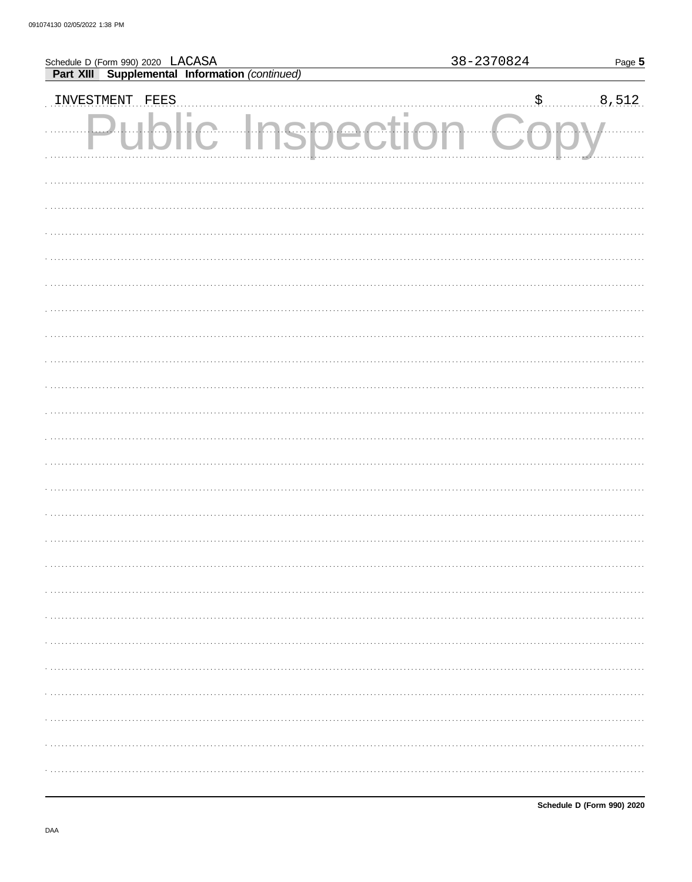| Schedule D (Form 990) 2020 LACASA<br>Part XIII Supplemental Information (continued) |      |               |  | Page 5 |   |    |       |
|-------------------------------------------------------------------------------------|------|---------------|--|--------|---|----|-------|
|                                                                                     |      |               |  |        |   |    |       |
| INVESTMENT                                                                          | FEES |               |  |        |   | \$ | 8,512 |
|                                                                                     | Puh  | ic Inspection |  |        | . |    |       |
|                                                                                     |      |               |  |        |   |    |       |
|                                                                                     |      |               |  |        |   |    |       |
|                                                                                     |      |               |  |        |   |    |       |
|                                                                                     |      |               |  |        |   |    |       |
|                                                                                     |      |               |  |        |   |    |       |
|                                                                                     |      |               |  |        |   |    |       |
|                                                                                     |      |               |  |        |   |    |       |
|                                                                                     |      |               |  |        |   |    |       |
|                                                                                     |      |               |  |        |   |    |       |
|                                                                                     |      |               |  |        |   |    |       |
|                                                                                     |      |               |  |        |   |    |       |
|                                                                                     |      |               |  |        |   |    |       |
|                                                                                     |      |               |  |        |   |    |       |
|                                                                                     |      |               |  |        |   |    |       |
|                                                                                     |      |               |  |        |   |    |       |
|                                                                                     |      |               |  |        |   |    | .     |
|                                                                                     |      |               |  |        |   |    |       |
|                                                                                     |      |               |  |        |   |    |       |
|                                                                                     |      |               |  |        |   |    |       |
|                                                                                     |      |               |  |        |   |    |       |
|                                                                                     |      |               |  |        |   |    | .     |
|                                                                                     |      |               |  |        |   |    |       |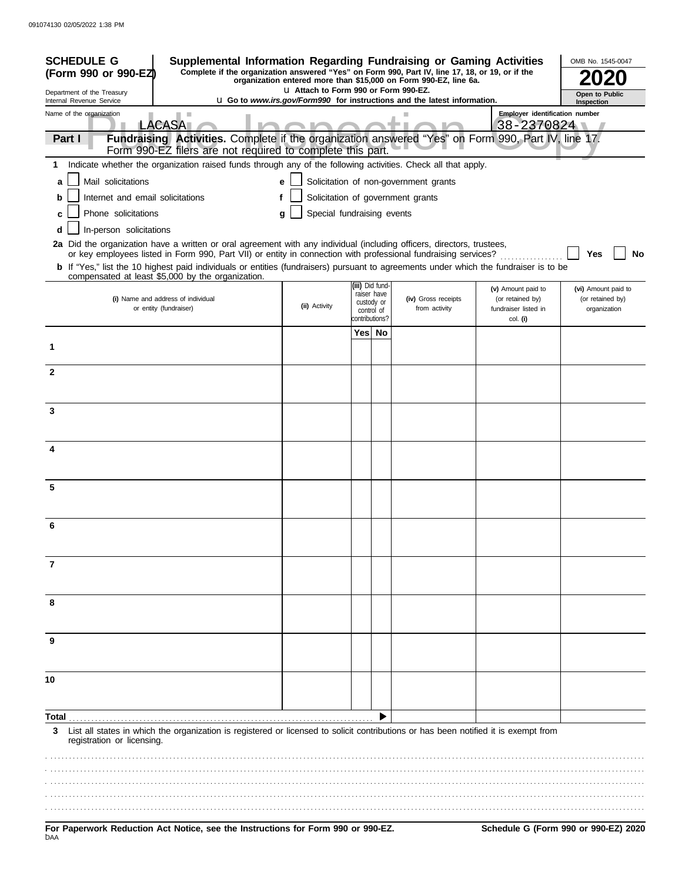| <b>SCHEDULE G</b><br>Supplemental Information Regarding Fundraising or Gaming Activities<br>Complete if the organization answered "Yes" on Form 990, Part IV, line 17, 18, or 19, or if the<br>(Form 990 or 990-EZ)                                                      |                                       |            |                                              | organization entered more than \$15,000 on Form 990-EZ, line 6a.                |                                                                | OMB No. 1545-0047                                       |  |  |
|--------------------------------------------------------------------------------------------------------------------------------------------------------------------------------------------------------------------------------------------------------------------------|---------------------------------------|------------|----------------------------------------------|---------------------------------------------------------------------------------|----------------------------------------------------------------|---------------------------------------------------------|--|--|
| Department of the Treasury                                                                                                                                                                                                                                               | LI Attach to Form 990 or Form 990-EZ. |            |                                              |                                                                                 |                                                                | Open to Public                                          |  |  |
| Internal Revenue Service<br>Name of the organization                                                                                                                                                                                                                     |                                       |            |                                              | <b>u</b> Go to www.irs.gov/Form990 for instructions and the latest information. | <b>Employer identification number</b>                          | Inspection                                              |  |  |
| ×<br><b>LACASA</b>                                                                                                                                                                                                                                                       |                                       |            |                                              |                                                                                 | 38-2370824                                                     |                                                         |  |  |
| Fundraising Activities. Complete if the organization answered "Yes" on Form 990, Part IV, line 17.<br>Part I<br>Form 990-EZ filers are not required to complete this part.                                                                                               |                                       |            |                                              |                                                                                 |                                                                |                                                         |  |  |
| Indicate whether the organization raised funds through any of the following activities. Check all that apply.<br>1.                                                                                                                                                      |                                       |            |                                              |                                                                                 |                                                                |                                                         |  |  |
| Mail solicitations<br>a                                                                                                                                                                                                                                                  | е                                     |            |                                              | Solicitation of non-government grants                                           |                                                                |                                                         |  |  |
| Internet and email solicitations<br>b                                                                                                                                                                                                                                    |                                       |            |                                              | Solicitation of government grants                                               |                                                                |                                                         |  |  |
| Phone solicitations<br>c                                                                                                                                                                                                                                                 | Special fundraising events<br>g       |            |                                              |                                                                                 |                                                                |                                                         |  |  |
| In-person solicitations<br>d<br>2a Did the organization have a written or oral agreement with any individual (including officers, directors, trustees,<br>or key employees listed in Form 990, Part VII) or entity in connection with professional fundraising services? |                                       |            |                                              |                                                                                 |                                                                | Yes<br>No                                               |  |  |
| b If "Yes," list the 10 highest paid individuals or entities (fundraisers) pursuant to agreements under which the fundraiser is to be<br>compensated at least \$5,000 by the organization.                                                                               |                                       |            |                                              |                                                                                 |                                                                |                                                         |  |  |
| (i) Name and address of individual<br>or entity (fundraiser)                                                                                                                                                                                                             | (ii) Activity                         | control of | (iii) Did fund-<br>raiser have<br>custody or | (iv) Gross receipts<br>from activity                                            | (v) Amount paid to<br>(or retained by)<br>fundraiser listed in | (vi) Amount paid to<br>(or retained by)<br>organization |  |  |
|                                                                                                                                                                                                                                                                          |                                       |            | contributions?                               |                                                                                 | col. (i)                                                       |                                                         |  |  |
| 1                                                                                                                                                                                                                                                                        |                                       |            | Yes  No                                      |                                                                                 |                                                                |                                                         |  |  |
| $\overline{2}$                                                                                                                                                                                                                                                           |                                       |            |                                              |                                                                                 |                                                                |                                                         |  |  |
| 3                                                                                                                                                                                                                                                                        |                                       |            |                                              |                                                                                 |                                                                |                                                         |  |  |
|                                                                                                                                                                                                                                                                          |                                       |            |                                              |                                                                                 |                                                                |                                                         |  |  |
| 4                                                                                                                                                                                                                                                                        |                                       |            |                                              |                                                                                 |                                                                |                                                         |  |  |
| 5                                                                                                                                                                                                                                                                        |                                       |            |                                              |                                                                                 |                                                                |                                                         |  |  |
| 6                                                                                                                                                                                                                                                                        |                                       |            |                                              |                                                                                 |                                                                |                                                         |  |  |
|                                                                                                                                                                                                                                                                          |                                       |            |                                              |                                                                                 |                                                                |                                                         |  |  |
| 7                                                                                                                                                                                                                                                                        |                                       |            |                                              |                                                                                 |                                                                |                                                         |  |  |
| 8                                                                                                                                                                                                                                                                        |                                       |            |                                              |                                                                                 |                                                                |                                                         |  |  |
| 9                                                                                                                                                                                                                                                                        |                                       |            |                                              |                                                                                 |                                                                |                                                         |  |  |
|                                                                                                                                                                                                                                                                          |                                       |            |                                              |                                                                                 |                                                                |                                                         |  |  |
| 10                                                                                                                                                                                                                                                                       |                                       |            |                                              |                                                                                 |                                                                |                                                         |  |  |
|                                                                                                                                                                                                                                                                          |                                       |            |                                              |                                                                                 |                                                                |                                                         |  |  |
| Total<br>List all states in which the organization is registered or licensed to solicit contributions or has been notified it is exempt from<br>3<br>registration or licensing.                                                                                          |                                       |            |                                              |                                                                                 |                                                                |                                                         |  |  |
|                                                                                                                                                                                                                                                                          |                                       |            |                                              |                                                                                 |                                                                |                                                         |  |  |
|                                                                                                                                                                                                                                                                          |                                       |            |                                              |                                                                                 |                                                                |                                                         |  |  |
|                                                                                                                                                                                                                                                                          |                                       |            |                                              |                                                                                 |                                                                |                                                         |  |  |
| For Paperwork Reduction Act Notice, see the Instructions for Form 990 or 990-EZ.<br>DAA                                                                                                                                                                                  |                                       |            |                                              |                                                                                 |                                                                | Schedule G (Form 990 or 990-EZ) 2020                    |  |  |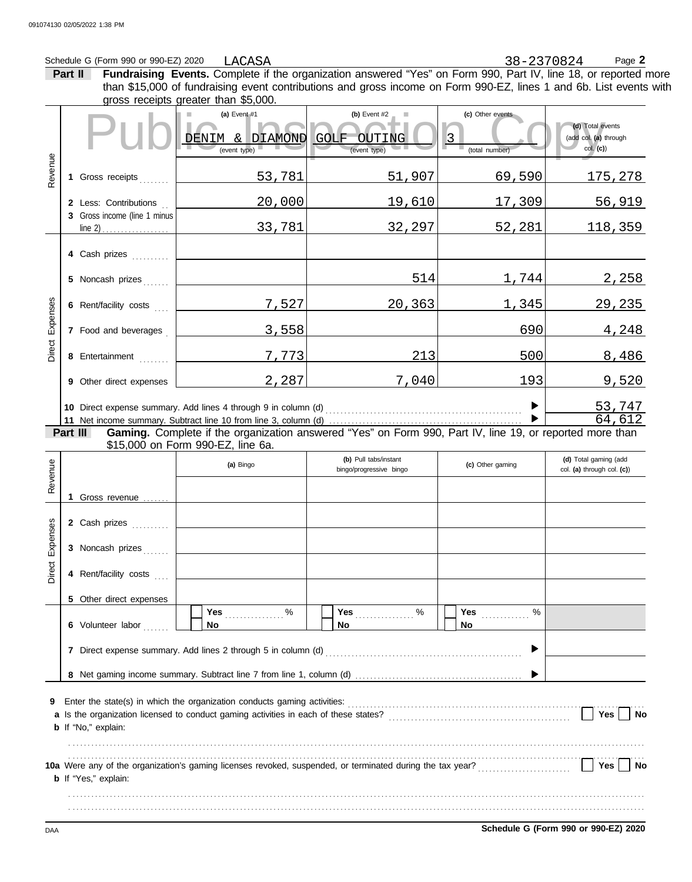## Schedule G (Form 990 or 990-EZ) 2020 LACASA 2020 Page 2

LACASA 38-2370824

**Part II Fundraising Events.** Complete if the organization answered "Yes" on Form 990, Part IV, line 18, or reported more gross receipts greater than \$5,000. **(a)** Event #1 **(b)** Event #2 **(c)** Other events than \$15,000 of fundraising event contributions and gross income on Form 990-EZ, lines 1 and 6b. List events with

|                                                            |                                                                                                                                |                              | (a) Event #1<br>ш<br>$\alpha$<br>DIAMOND<br>DENIM<br>(event type) | (b) Event $#2$<br><b>GOLF</b><br>OUTING<br>(event type) | (c) Other events<br>$\vert$ 3<br>(total number) | (d) Total events<br>(add col. (a) through<br>col. (c) |  |  |  |  |  |  |  |  |
|------------------------------------------------------------|--------------------------------------------------------------------------------------------------------------------------------|------------------------------|-------------------------------------------------------------------|---------------------------------------------------------|-------------------------------------------------|-------------------------------------------------------|--|--|--|--|--|--|--|--|
| Revenue                                                    |                                                                                                                                | 1 Gross receipts             | 53,781                                                            | 51,907                                                  | 69,590                                          | <u> 175,278 </u>                                      |  |  |  |  |  |  |  |  |
|                                                            |                                                                                                                                | 2 Less: Contributions        | 20,000                                                            | 19,610                                                  | 17,309                                          | 56,919                                                |  |  |  |  |  |  |  |  |
|                                                            |                                                                                                                                | 3 Gross income (line 1 minus | 33,781                                                            | 32,297                                                  | 52,281                                          | 118,359                                               |  |  |  |  |  |  |  |  |
|                                                            |                                                                                                                                | 4 Cash prizes                |                                                                   |                                                         |                                                 |                                                       |  |  |  |  |  |  |  |  |
|                                                            |                                                                                                                                | 5 Noncash prizes             |                                                                   | 514                                                     | 1,744                                           | 2,258                                                 |  |  |  |  |  |  |  |  |
|                                                            |                                                                                                                                | 6 Rent/facility costs        | 7,527                                                             | 20,363                                                  | 1,345                                           | <u>29,235</u>                                         |  |  |  |  |  |  |  |  |
| Expenses                                                   |                                                                                                                                | 7 Food and beverages         | 3,558                                                             |                                                         | 690                                             | 4,248                                                 |  |  |  |  |  |  |  |  |
| Direct                                                     |                                                                                                                                | 8 Entertainment              | 7,773                                                             | 213                                                     | 500                                             | 8,486                                                 |  |  |  |  |  |  |  |  |
|                                                            |                                                                                                                                | 9 Other direct expenses      | 2,287                                                             | 7,040                                                   | 193                                             | 9,520                                                 |  |  |  |  |  |  |  |  |
|                                                            |                                                                                                                                |                              | 10 Direct expense summary. Add lines 4 through 9 in column (d)    |                                                         |                                                 | 53,747                                                |  |  |  |  |  |  |  |  |
|                                                            | 64,612<br>Gaming. Complete if the organization answered "Yes" on Form 990, Part IV, line 19, or reported more than<br>Part III |                              |                                                                   |                                                         |                                                 |                                                       |  |  |  |  |  |  |  |  |
| \$15,000 on Form 990-EZ, line 6a.<br>(b) Pull tabs/instant |                                                                                                                                |                              |                                                                   |                                                         |                                                 |                                                       |  |  |  |  |  |  |  |  |
| Revenue                                                    |                                                                                                                                |                              | (a) Bingo                                                         | bingo/progressive bingo                                 | (c) Other gaming                                | (d) Total gaming (add<br>col. (a) through col. (c))   |  |  |  |  |  |  |  |  |
|                                                            |                                                                                                                                | 1 Gross revenue              |                                                                   |                                                         |                                                 |                                                       |  |  |  |  |  |  |  |  |
|                                                            |                                                                                                                                | 2 Cash prizes                |                                                                   |                                                         |                                                 |                                                       |  |  |  |  |  |  |  |  |
| Expenses                                                   |                                                                                                                                | 3 Noncash prizes             |                                                                   |                                                         |                                                 |                                                       |  |  |  |  |  |  |  |  |
| Direct                                                     |                                                                                                                                | 4 Rent/facility costs        |                                                                   |                                                         |                                                 |                                                       |  |  |  |  |  |  |  |  |
|                                                            |                                                                                                                                | 5 Other direct expenses      |                                                                   |                                                         |                                                 |                                                       |  |  |  |  |  |  |  |  |
|                                                            |                                                                                                                                | 6 Volunteer labor            | Yes 2000<br>No                                                    | %<br>No                                                 | Yes<br>%<br>No                                  |                                                       |  |  |  |  |  |  |  |  |
|                                                            |                                                                                                                                |                              | 7 Direct expense summary. Add lines 2 through 5 in column (d)     |                                                         |                                                 |                                                       |  |  |  |  |  |  |  |  |
|                                                            |                                                                                                                                |                              |                                                                   |                                                         |                                                 |                                                       |  |  |  |  |  |  |  |  |
| 9                                                          |                                                                                                                                | <b>b</b> If "No," explain:   |                                                                   |                                                         |                                                 | Yes<br>No                                             |  |  |  |  |  |  |  |  |
|                                                            |                                                                                                                                |                              |                                                                   |                                                         |                                                 |                                                       |  |  |  |  |  |  |  |  |
|                                                            |                                                                                                                                | <b>b</b> If "Yes," explain:  |                                                                   |                                                         |                                                 | Yes<br>No                                             |  |  |  |  |  |  |  |  |
|                                                            |                                                                                                                                |                              |                                                                   |                                                         |                                                 |                                                       |  |  |  |  |  |  |  |  |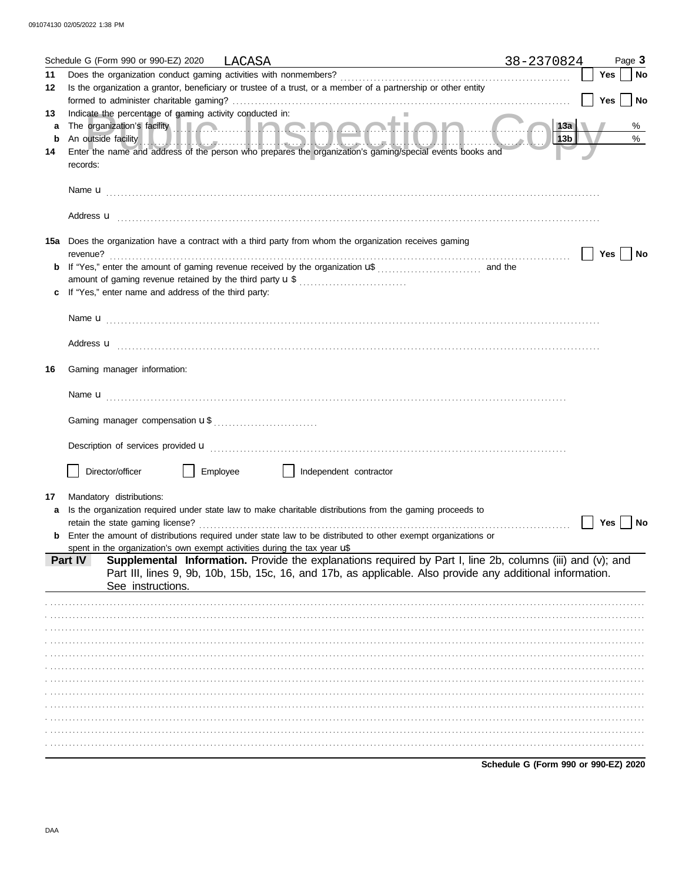|    | Schedule G (Form 990 or 990-EZ) 2020<br>LACASA<br><u> 1989 - Johann Barbara, martin da kasar shekarar 1989 - André a Santa Barbara a shekara tsa na shekara tsa 19</u>                                                               | 38-2370824                           |     | Page 3    |
|----|--------------------------------------------------------------------------------------------------------------------------------------------------------------------------------------------------------------------------------------|--------------------------------------|-----|-----------|
| 11 |                                                                                                                                                                                                                                      |                                      | Yes | <b>No</b> |
| 12 | Is the organization a grantor, beneficiary or trustee of a trust, or a member of a partnership or other entity                                                                                                                       |                                      |     |           |
|    |                                                                                                                                                                                                                                      |                                      | Yes | <b>No</b> |
| 13 | Indicate the percentage of gaming activity conducted in:                                                                                                                                                                             |                                      |     |           |
| a  | The organization's facility <b>the contract of the contract of the contract of the contract of the contract of the contract of the contract of the contract of the contract of the contract of the contract of the contract of t</b> | 13a                                  |     | %         |
| b  | An outside facility <b>And the Contract of the Contract of the Contract of Andrew Contract of Andrew Contract of Andrew Contract of Andrew Contract of Andrew Contract of Andrew Contract of Andrew Contract of Andrew Contract </b> | 13b                                  |     | $\%$      |
| 14 | Enter the name and address of the person who prepares the organization's gaming/special events books and                                                                                                                             |                                      |     |           |
|    | records:                                                                                                                                                                                                                             |                                      |     |           |
|    |                                                                                                                                                                                                                                      |                                      |     |           |
|    |                                                                                                                                                                                                                                      |                                      |     |           |
|    |                                                                                                                                                                                                                                      |                                      |     |           |
|    |                                                                                                                                                                                                                                      |                                      |     |           |
|    | 15a Does the organization have a contract with a third party from whom the organization receives gaming                                                                                                                              |                                      |     |           |
|    | revenue?                                                                                                                                                                                                                             |                                      | Yes | No        |
|    |                                                                                                                                                                                                                                      |                                      |     |           |
|    | amount of gaming revenue retained by the third party <b>u</b> \$                                                                                                                                                                     |                                      |     |           |
|    | If "Yes," enter name and address of the third party:                                                                                                                                                                                 |                                      |     |           |
|    |                                                                                                                                                                                                                                      |                                      |     |           |
|    |                                                                                                                                                                                                                                      |                                      |     |           |
|    |                                                                                                                                                                                                                                      |                                      |     |           |
|    |                                                                                                                                                                                                                                      |                                      |     |           |
|    |                                                                                                                                                                                                                                      |                                      |     |           |
| 16 | Gaming manager information:                                                                                                                                                                                                          |                                      |     |           |
|    |                                                                                                                                                                                                                                      |                                      |     |           |
|    |                                                                                                                                                                                                                                      |                                      |     |           |
|    |                                                                                                                                                                                                                                      |                                      |     |           |
|    |                                                                                                                                                                                                                                      |                                      |     |           |
|    |                                                                                                                                                                                                                                      |                                      |     |           |
|    |                                                                                                                                                                                                                                      |                                      |     |           |
|    | Director/officer<br>Employee<br>Independent contractor                                                                                                                                                                               |                                      |     |           |
|    |                                                                                                                                                                                                                                      |                                      |     |           |
| 17 | Mandatory distributions:                                                                                                                                                                                                             |                                      |     |           |
| a  | Is the organization required under state law to make charitable distributions from the gaming proceeds to                                                                                                                            |                                      |     |           |
|    | retain the state gaming license?                                                                                                                                                                                                     |                                      | Yes | No        |
|    | Enter the amount of distributions required under state law to be distributed to other exempt organizations or                                                                                                                        |                                      |     |           |
|    | spent in the organization's own exempt activities during the tax year uf<br>Part IV                                                                                                                                                  |                                      |     |           |
|    | Supplemental Information. Provide the explanations required by Part I, line 2b, columns (iii) and (v); and<br>Part III, lines 9, 9b, 10b, 15b, 15c, 16, and 17b, as applicable. Also provide any additional information.             |                                      |     |           |
|    | See instructions.                                                                                                                                                                                                                    |                                      |     |           |
|    |                                                                                                                                                                                                                                      |                                      |     |           |
|    |                                                                                                                                                                                                                                      |                                      |     |           |
|    |                                                                                                                                                                                                                                      |                                      |     |           |
|    |                                                                                                                                                                                                                                      |                                      |     |           |
|    |                                                                                                                                                                                                                                      |                                      |     |           |
|    |                                                                                                                                                                                                                                      |                                      |     |           |
|    |                                                                                                                                                                                                                                      |                                      |     |           |
|    |                                                                                                                                                                                                                                      |                                      |     |           |
|    |                                                                                                                                                                                                                                      |                                      |     |           |
|    |                                                                                                                                                                                                                                      |                                      |     |           |
|    |                                                                                                                                                                                                                                      |                                      |     |           |
|    |                                                                                                                                                                                                                                      |                                      |     |           |
|    |                                                                                                                                                                                                                                      |                                      |     |           |
|    |                                                                                                                                                                                                                                      | Schedule G (Form 990 or 990-EZ) 2020 |     |           |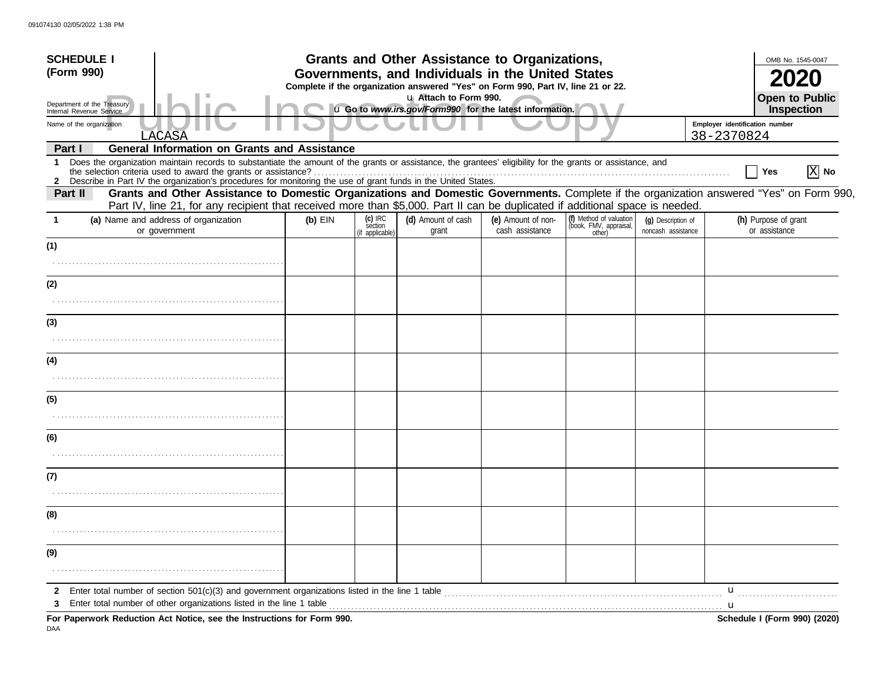| <b>SCHEDULE I</b>                                                                                                                                                                                                                                                                                            |                                                                                                                                                                                                                                                                           | Grants and Other Assistance to Organizations, |                                                                                                                                       |                                       |                                                             |                                          |            |                                       |  |  |
|--------------------------------------------------------------------------------------------------------------------------------------------------------------------------------------------------------------------------------------------------------------------------------------------------------------|---------------------------------------------------------------------------------------------------------------------------------------------------------------------------------------------------------------------------------------------------------------------------|-----------------------------------------------|---------------------------------------------------------------------------------------------------------------------------------------|---------------------------------------|-------------------------------------------------------------|------------------------------------------|------------|---------------------------------------|--|--|
| (Form 990)                                                                                                                                                                                                                                                                                                   |                                                                                                                                                                                                                                                                           |                                               | Governments, and Individuals in the United States<br>Complete if the organization answered "Yes" on Form 990, Part IV, line 21 or 22. |                                       |                                                             |                                          |            |                                       |  |  |
| Department of the Treasury<br>Internal Revenue Service                                                                                                                                                                                                                                                       |                                                                                                                                                                                                                                                                           |                                               | u Attach to Form 990.<br>u Go to www.irs.gov/Form990 for the latest information.                                                      |                                       |                                                             |                                          |            | Open to Public<br>Inspection          |  |  |
| Name of the organization                                                                                                                                                                                                                                                                                     |                                                                                                                                                                                                                                                                           |                                               |                                                                                                                                       |                                       |                                                             |                                          |            | Employer identification number        |  |  |
| LACASA                                                                                                                                                                                                                                                                                                       |                                                                                                                                                                                                                                                                           |                                               |                                                                                                                                       |                                       |                                                             |                                          | 38-2370824 |                                       |  |  |
| Part I<br>Does the organization maintain records to substantiate the amount of the grants or assistance, the grantees' eligibility for the grants or assistance, and<br>1                                                                                                                                    | <b>General Information on Grants and Assistance</b>                                                                                                                                                                                                                       |                                               |                                                                                                                                       |                                       |                                                             |                                          |            | $ X $ No<br>Yes                       |  |  |
| Describe in Part IV the organization's procedures for monitoring the use of grant funds in the United States.<br>$\mathbf{2}$<br>Part II                                                                                                                                                                     | Grants and Other Assistance to Domestic Organizations and Domestic Governments. Complete if the organization answered "Yes" on Form 990,<br>Part IV, line 21, for any recipient that received more than \$5,000. Part II can be duplicated if additional space is needed. |                                               |                                                                                                                                       |                                       |                                                             |                                          |            |                                       |  |  |
| (a) Name and address of organization<br>or government                                                                                                                                                                                                                                                        | $(b)$ EIN                                                                                                                                                                                                                                                                 | $(c)$ IRC<br>séction<br>(if applicable)       | (d) Amount of cash<br>grant                                                                                                           | (e) Amount of non-<br>cash assistance | (f) Method of valuation<br>(book, FMV, appraisal,<br>other) | (g) Description of<br>noncash assistance |            | (h) Purpose of grant<br>or assistance |  |  |
| (1)                                                                                                                                                                                                                                                                                                          |                                                                                                                                                                                                                                                                           |                                               |                                                                                                                                       |                                       |                                                             |                                          |            |                                       |  |  |
| (2)                                                                                                                                                                                                                                                                                                          |                                                                                                                                                                                                                                                                           |                                               |                                                                                                                                       |                                       |                                                             |                                          |            |                                       |  |  |
|                                                                                                                                                                                                                                                                                                              |                                                                                                                                                                                                                                                                           |                                               |                                                                                                                                       |                                       |                                                             |                                          |            |                                       |  |  |
| (3)                                                                                                                                                                                                                                                                                                          |                                                                                                                                                                                                                                                                           |                                               |                                                                                                                                       |                                       |                                                             |                                          |            |                                       |  |  |
|                                                                                                                                                                                                                                                                                                              |                                                                                                                                                                                                                                                                           |                                               |                                                                                                                                       |                                       |                                                             |                                          |            |                                       |  |  |
| (4)                                                                                                                                                                                                                                                                                                          |                                                                                                                                                                                                                                                                           |                                               |                                                                                                                                       |                                       |                                                             |                                          |            |                                       |  |  |
|                                                                                                                                                                                                                                                                                                              |                                                                                                                                                                                                                                                                           |                                               |                                                                                                                                       |                                       |                                                             |                                          |            |                                       |  |  |
| (5)                                                                                                                                                                                                                                                                                                          |                                                                                                                                                                                                                                                                           |                                               |                                                                                                                                       |                                       |                                                             |                                          |            |                                       |  |  |
|                                                                                                                                                                                                                                                                                                              |                                                                                                                                                                                                                                                                           |                                               |                                                                                                                                       |                                       |                                                             |                                          |            |                                       |  |  |
| (6)                                                                                                                                                                                                                                                                                                          |                                                                                                                                                                                                                                                                           |                                               |                                                                                                                                       |                                       |                                                             |                                          |            |                                       |  |  |
|                                                                                                                                                                                                                                                                                                              |                                                                                                                                                                                                                                                                           |                                               |                                                                                                                                       |                                       |                                                             |                                          |            |                                       |  |  |
| (7)                                                                                                                                                                                                                                                                                                          |                                                                                                                                                                                                                                                                           |                                               |                                                                                                                                       |                                       |                                                             |                                          |            |                                       |  |  |
|                                                                                                                                                                                                                                                                                                              |                                                                                                                                                                                                                                                                           |                                               |                                                                                                                                       |                                       |                                                             |                                          |            |                                       |  |  |
| (8)                                                                                                                                                                                                                                                                                                          |                                                                                                                                                                                                                                                                           |                                               |                                                                                                                                       |                                       |                                                             |                                          |            |                                       |  |  |
|                                                                                                                                                                                                                                                                                                              |                                                                                                                                                                                                                                                                           |                                               |                                                                                                                                       |                                       |                                                             |                                          |            |                                       |  |  |
| (9)                                                                                                                                                                                                                                                                                                          |                                                                                                                                                                                                                                                                           |                                               |                                                                                                                                       |                                       |                                                             |                                          |            |                                       |  |  |
|                                                                                                                                                                                                                                                                                                              |                                                                                                                                                                                                                                                                           |                                               |                                                                                                                                       |                                       |                                                             |                                          |            |                                       |  |  |
| $\mathbf{2}$<br>3                                                                                                                                                                                                                                                                                            |                                                                                                                                                                                                                                                                           |                                               |                                                                                                                                       |                                       |                                                             |                                          | u          |                                       |  |  |
| Enter total number of other organizations listed in the line 1 table <i>manufacture in the content of table</i> manufacture in the line 1 table manufacture in the content of the line 1 table manufacture in the line of the line<br>For Paperwork Reduction Act Notice, see the Instructions for Form 990. |                                                                                                                                                                                                                                                                           |                                               |                                                                                                                                       |                                       |                                                             |                                          |            | Schedule I (Form 990) (2020)          |  |  |

DAA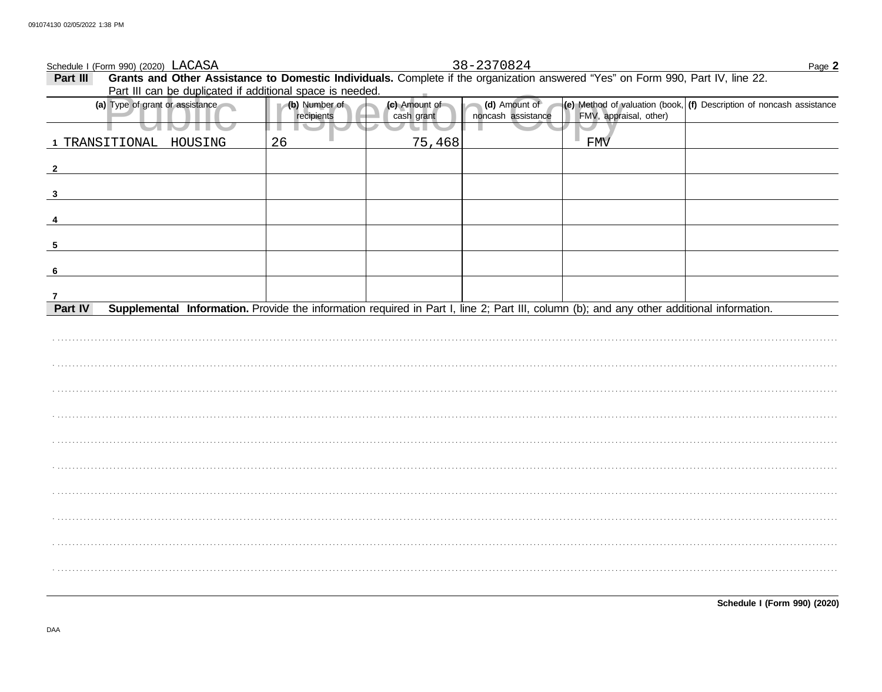| Schedule I (Form 990) (2020) LACASA | Page 2                                                                                                                                    |                             |                             |                                     |                        |                                                                                                                          |
|-------------------------------------|-------------------------------------------------------------------------------------------------------------------------------------------|-----------------------------|-----------------------------|-------------------------------------|------------------------|--------------------------------------------------------------------------------------------------------------------------|
| Part III                            | Grants and Other Assistance to Domestic Individuals. Complete if the organization answered "Yes" on Form 990, Part IV, line 22.           |                             |                             | 38-2370824                          |                        |                                                                                                                          |
|                                     | Part III can be duplicated if additional space is needed.                                                                                 |                             |                             |                                     |                        |                                                                                                                          |
|                                     | (a) Type of grant or assistance                                                                                                           | (b) Number of<br>recipients | (c) Amount of<br>cash grant | (d) Amount of<br>noncash assistance | FMV, appraisal, other) | $\left  \textbf{(e)} \right $ Method of valuation (book, $\left  \textbf{(f)} \right $ Description of noncash assistance |
|                                     |                                                                                                                                           |                             |                             |                                     |                        |                                                                                                                          |
|                                     | 1 TRANSITIONAL HOUSING                                                                                                                    | 26                          | 75,468                      |                                     | ٠<br><b>FMV</b>        |                                                                                                                          |
| $\overline{\mathbf{2}}$             |                                                                                                                                           |                             |                             |                                     |                        |                                                                                                                          |
| 3                                   |                                                                                                                                           |                             |                             |                                     |                        |                                                                                                                          |
|                                     |                                                                                                                                           |                             |                             |                                     |                        |                                                                                                                          |
| 5                                   |                                                                                                                                           |                             |                             |                                     |                        |                                                                                                                          |
| -6                                  |                                                                                                                                           |                             |                             |                                     |                        |                                                                                                                          |
| $\mathbf{7}$                        |                                                                                                                                           |                             |                             |                                     |                        |                                                                                                                          |
| Part IV                             | Supplemental Information. Provide the information required in Part I, line 2; Part III, column (b); and any other additional information. |                             |                             |                                     |                        |                                                                                                                          |
|                                     |                                                                                                                                           |                             |                             |                                     |                        |                                                                                                                          |
|                                     |                                                                                                                                           |                             |                             |                                     |                        |                                                                                                                          |
|                                     |                                                                                                                                           |                             |                             |                                     |                        |                                                                                                                          |
|                                     |                                                                                                                                           |                             |                             |                                     |                        |                                                                                                                          |
|                                     |                                                                                                                                           |                             |                             |                                     |                        |                                                                                                                          |
|                                     |                                                                                                                                           |                             |                             |                                     |                        |                                                                                                                          |
|                                     |                                                                                                                                           |                             |                             |                                     |                        |                                                                                                                          |
|                                     |                                                                                                                                           |                             |                             |                                     |                        |                                                                                                                          |
|                                     |                                                                                                                                           |                             |                             |                                     |                        |                                                                                                                          |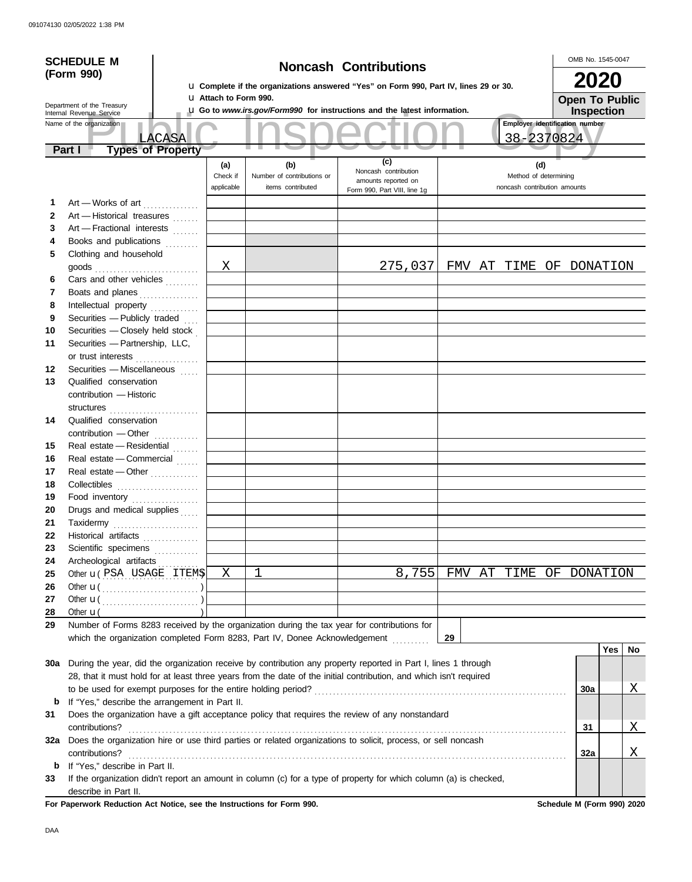|          | <b>SCHEDULE M</b>                                                                           |                              |                                                 |                                                                                                                    |    |                                                       | OMB No. 1545-0047     |     |          |
|----------|---------------------------------------------------------------------------------------------|------------------------------|-------------------------------------------------|--------------------------------------------------------------------------------------------------------------------|----|-------------------------------------------------------|-----------------------|-----|----------|
|          | (Form 990)                                                                                  |                              |                                                 | <b>Noncash Contributions</b>                                                                                       |    |                                                       |                       |     |          |
|          |                                                                                             |                              |                                                 | <b>u</b> Complete if the organizations answered "Yes" on Form 990, Part IV, lines 29 or 30.                        |    |                                                       | 2020                  |     |          |
|          |                                                                                             | <b>u</b> Attach to Form 990. |                                                 |                                                                                                                    |    |                                                       | <b>Open To Public</b> |     |          |
|          | Department of the Treasury<br>Internal Revenue Service                                      |                              |                                                 | <b>La Go to www.irs.gov/Form990 for instructions and the latest information.</b>                                   |    |                                                       | <b>Inspection</b>     |     |          |
|          | Name of the organization                                                                    |                              |                                                 |                                                                                                                    |    | Employer identification number                        |                       |     |          |
|          | LACASA                                                                                      |                              |                                                 |                                                                                                                    |    | 38-2370824                                            |                       |     |          |
|          | <b>Types of Property</b><br>Part I                                                          |                              |                                                 |                                                                                                                    |    |                                                       |                       |     |          |
|          |                                                                                             | (a)                          | (b)                                             | (c)<br>Noncash contribution                                                                                        |    | (d)                                                   |                       |     |          |
|          |                                                                                             | Check if<br>applicable       | Number of contributions or<br>items contributed | amounts reported on                                                                                                |    | Method of determining<br>noncash contribution amounts |                       |     |          |
|          |                                                                                             |                              |                                                 | Form 990, Part VIII, line 1g                                                                                       |    |                                                       |                       |     |          |
| 1        | Art - Works of art                                                                          |                              |                                                 |                                                                                                                    |    |                                                       |                       |     |          |
| 2<br>3   | Art - Historical treasures<br>Art - Fractional interests                                    |                              |                                                 |                                                                                                                    |    |                                                       |                       |     |          |
| 4        | Books and publications                                                                      |                              |                                                 |                                                                                                                    |    |                                                       |                       |     |          |
| 5        | Clothing and household                                                                      |                              |                                                 |                                                                                                                    |    |                                                       |                       |     |          |
|          | goods                                                                                       | Χ                            |                                                 | 275,037 FMV AT TIME OF DONATION                                                                                    |    |                                                       |                       |     |          |
| 6        | Cars and other vehicles                                                                     |                              |                                                 |                                                                                                                    |    |                                                       |                       |     |          |
| 7        | Boats and planes                                                                            |                              |                                                 |                                                                                                                    |    |                                                       |                       |     |          |
| 8        | Intellectual property                                                                       |                              |                                                 |                                                                                                                    |    |                                                       |                       |     |          |
| 9        | Securities - Publicly traded                                                                |                              |                                                 |                                                                                                                    |    |                                                       |                       |     |          |
| 10       | Securities - Closely held stock                                                             |                              |                                                 |                                                                                                                    |    |                                                       |                       |     |          |
| 11       | Securities - Partnership, LLC,                                                              |                              |                                                 |                                                                                                                    |    |                                                       |                       |     |          |
|          | or trust interests                                                                          |                              |                                                 |                                                                                                                    |    |                                                       |                       |     |          |
| 12       | Securities - Miscellaneous                                                                  |                              |                                                 |                                                                                                                    |    |                                                       |                       |     |          |
| 13       | Qualified conservation                                                                      |                              |                                                 |                                                                                                                    |    |                                                       |                       |     |          |
|          | contribution - Historic                                                                     |                              |                                                 |                                                                                                                    |    |                                                       |                       |     |          |
|          | structures                                                                                  |                              |                                                 |                                                                                                                    |    |                                                       |                       |     |          |
| 14       | Qualified conservation                                                                      |                              |                                                 |                                                                                                                    |    |                                                       |                       |     |          |
|          | contribution - Other                                                                        |                              |                                                 |                                                                                                                    |    |                                                       |                       |     |          |
| 15       | Real estate - Residential                                                                   |                              |                                                 |                                                                                                                    |    |                                                       |                       |     |          |
| 16       | Real estate - Commercial                                                                    |                              |                                                 |                                                                                                                    |    |                                                       |                       |     |          |
| 17       | Real estate - Other                                                                         |                              |                                                 |                                                                                                                    |    |                                                       |                       |     |          |
| 18       |                                                                                             |                              |                                                 |                                                                                                                    |    |                                                       |                       |     |          |
| 19       | Food inventory                                                                              |                              |                                                 |                                                                                                                    |    |                                                       |                       |     |          |
| 20       | Drugs and medical supplies                                                                  |                              |                                                 |                                                                                                                    |    |                                                       |                       |     |          |
| 21       | Taxidermy                                                                                   |                              |                                                 |                                                                                                                    |    |                                                       |                       |     |          |
| 22       | Historical artifacts <b>Microsoft</b>                                                       |                              |                                                 |                                                                                                                    |    |                                                       |                       |     |          |
| 23       | Scientific specimens                                                                        |                              |                                                 |                                                                                                                    |    |                                                       |                       |     |          |
| 24<br>25 | Archeological artifacts<br>Other <b>u</b> (PSA USAGE ITEMS)                                 | X                            | $\mathbf{1}$                                    | 8,755                                                                                                              |    | FMV AT TIME OF DONATION                               |                       |     |          |
| 26       |                                                                                             |                              |                                                 |                                                                                                                    |    |                                                       |                       |     |          |
| 27       |                                                                                             |                              |                                                 |                                                                                                                    |    |                                                       |                       |     |          |
| 28       | Other $\mathbf{u}$                                                                          |                              |                                                 |                                                                                                                    |    |                                                       |                       |     |          |
| 29       | Number of Forms 8283 received by the organization during the tax year for contributions for |                              |                                                 |                                                                                                                    |    |                                                       |                       |     |          |
|          | which the organization completed Form 8283, Part IV, Donee Acknowledgement                  |                              |                                                 |                                                                                                                    | 29 |                                                       |                       |     |          |
|          |                                                                                             |                              |                                                 |                                                                                                                    |    |                                                       |                       | Yes | No       |
| 30a      |                                                                                             |                              |                                                 | During the year, did the organization receive by contribution any property reported in Part I, lines 1 through     |    |                                                       |                       |     |          |
|          |                                                                                             |                              |                                                 | 28, that it must hold for at least three years from the date of the initial contribution, and which isn't required |    |                                                       |                       |     |          |
|          |                                                                                             |                              |                                                 |                                                                                                                    |    |                                                       | 30a                   |     | <u>X</u> |
| b        | If "Yes," describe the arrangement in Part II.                                              |                              |                                                 |                                                                                                                    |    |                                                       |                       |     |          |
| 31       |                                                                                             |                              |                                                 | Does the organization have a gift acceptance policy that requires the review of any nonstandard                    |    |                                                       |                       |     |          |
|          | contributions?                                                                              |                              |                                                 |                                                                                                                    |    |                                                       | 31                    |     | X        |
| 32a      |                                                                                             |                              |                                                 | Does the organization hire or use third parties or related organizations to solicit, process, or sell noncash      |    |                                                       |                       |     |          |
|          | contributions?                                                                              |                              |                                                 |                                                                                                                    |    |                                                       | 32a                   |     | Χ        |
| b        | If "Yes," describe in Part II.                                                              |                              |                                                 |                                                                                                                    |    |                                                       |                       |     |          |
| 33       |                                                                                             |                              |                                                 | If the organization didn't report an amount in column (c) for a type of property for which column (a) is checked,  |    |                                                       |                       |     |          |
|          | describe in Part II.                                                                        |                              |                                                 |                                                                                                                    |    |                                                       |                       |     |          |

For Paperwork Reduction Act Notice, see the Instructions for Form 990. Schedule M (Form 990) 2020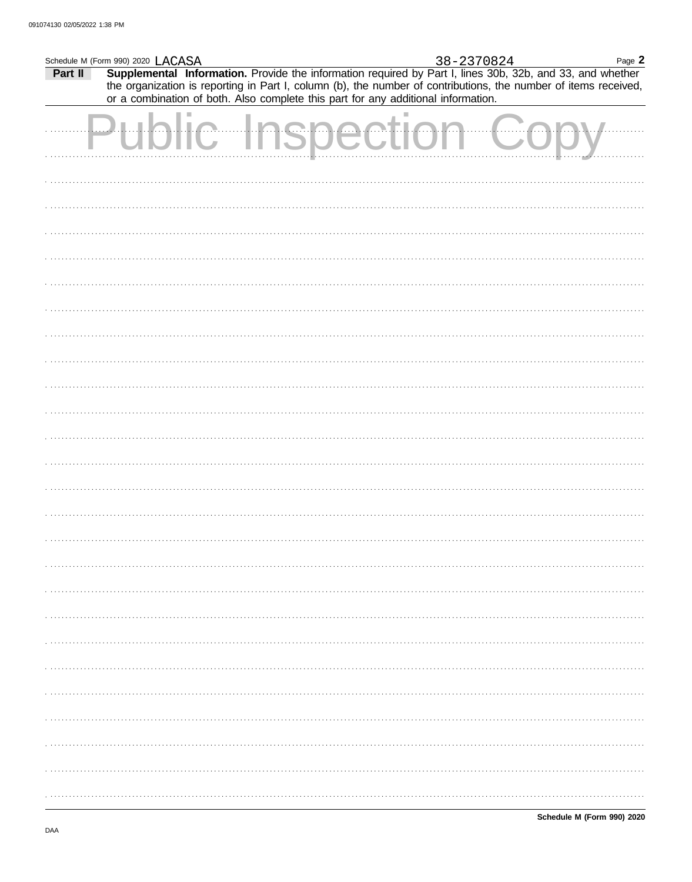|         | Schedule M (Form 990) 2020 LACASA                                                 |                    |  | 38-2370824 | Page 2                                                                                                                                                                                                                       |
|---------|-----------------------------------------------------------------------------------|--------------------|--|------------|------------------------------------------------------------------------------------------------------------------------------------------------------------------------------------------------------------------------------|
| Part II | or a combination of both. Also complete this part for any additional information. |                    |  |            | Supplemental Information. Provide the information required by Part I, lines 30b, 32b, and 33, and whether<br>the organization is reporting in Part I, column (b), the number of contributions, the number of items received, |
|         | $$                                                                                | blic Inspection Co |  |            |                                                                                                                                                                                                                              |
|         |                                                                                   |                    |  |            |                                                                                                                                                                                                                              |
|         |                                                                                   |                    |  |            |                                                                                                                                                                                                                              |
|         |                                                                                   |                    |  |            |                                                                                                                                                                                                                              |
|         |                                                                                   |                    |  |            |                                                                                                                                                                                                                              |
|         |                                                                                   |                    |  |            |                                                                                                                                                                                                                              |
|         |                                                                                   |                    |  |            |                                                                                                                                                                                                                              |
|         |                                                                                   |                    |  |            |                                                                                                                                                                                                                              |
|         |                                                                                   |                    |  |            |                                                                                                                                                                                                                              |
|         |                                                                                   |                    |  |            |                                                                                                                                                                                                                              |
|         |                                                                                   |                    |  |            |                                                                                                                                                                                                                              |
|         |                                                                                   |                    |  |            |                                                                                                                                                                                                                              |
|         |                                                                                   |                    |  |            |                                                                                                                                                                                                                              |
|         |                                                                                   |                    |  |            |                                                                                                                                                                                                                              |
|         |                                                                                   |                    |  |            |                                                                                                                                                                                                                              |
|         |                                                                                   |                    |  |            |                                                                                                                                                                                                                              |
|         |                                                                                   |                    |  |            |                                                                                                                                                                                                                              |
|         |                                                                                   |                    |  |            |                                                                                                                                                                                                                              |
|         |                                                                                   |                    |  |            |                                                                                                                                                                                                                              |
|         |                                                                                   |                    |  |            |                                                                                                                                                                                                                              |
|         |                                                                                   |                    |  |            |                                                                                                                                                                                                                              |
|         |                                                                                   |                    |  |            |                                                                                                                                                                                                                              |
|         |                                                                                   |                    |  |            |                                                                                                                                                                                                                              |
|         |                                                                                   |                    |  |            |                                                                                                                                                                                                                              |
|         |                                                                                   |                    |  |            |                                                                                                                                                                                                                              |
|         |                                                                                   |                    |  |            |                                                                                                                                                                                                                              |
|         |                                                                                   |                    |  |            |                                                                                                                                                                                                                              |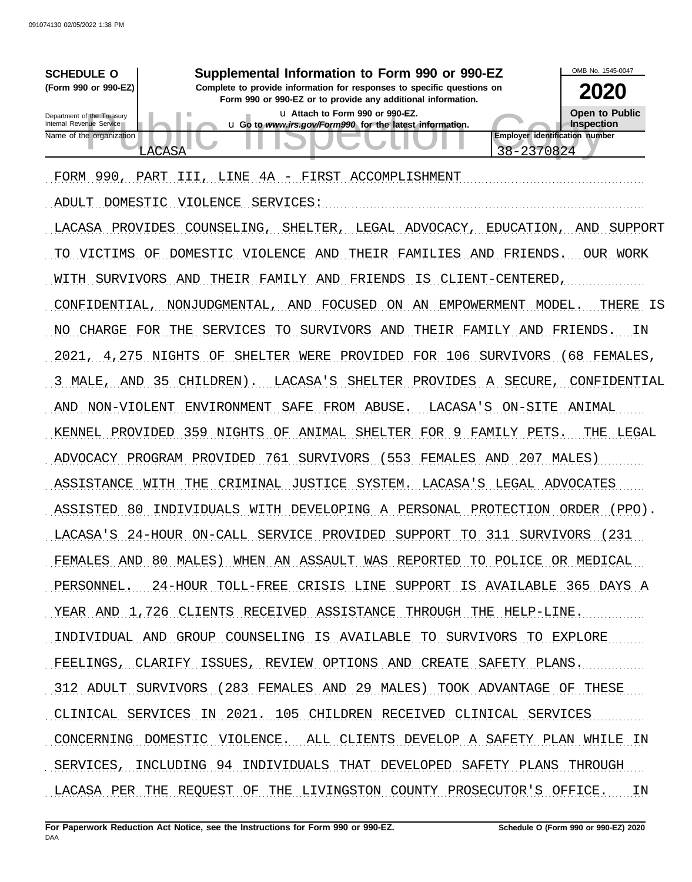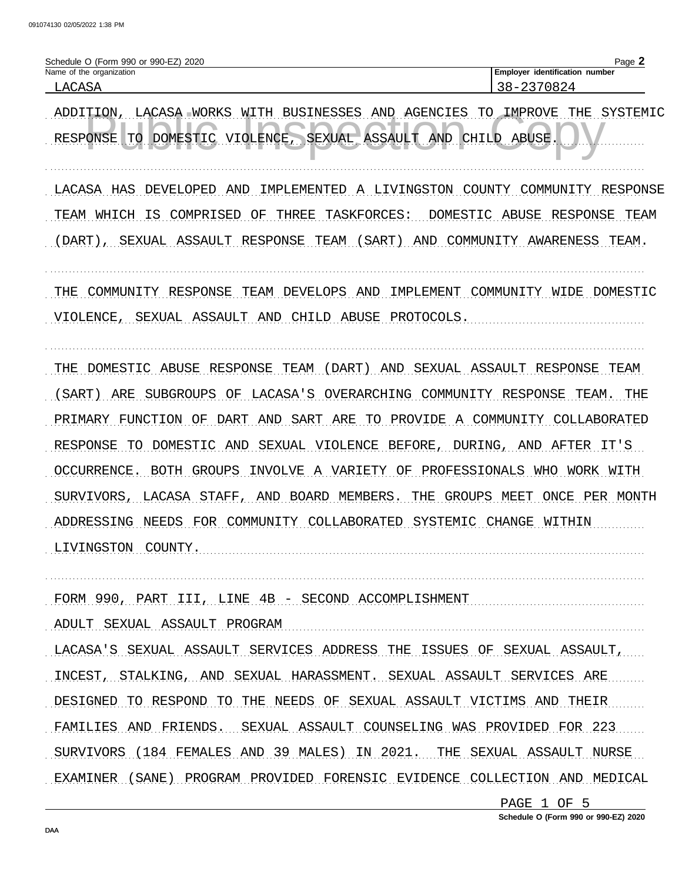| Schedule O (Form 990 or 990-EZ)<br>2020 | $P$ ade $\blacktriangle$          |
|-----------------------------------------|-----------------------------------|
| Name of the organization                | identification number<br>Emplover |
| T.ACASA                                 | 237082<br>$\lambda -$             |

ADDITION, LACASA WORKS WITH BUSINESSES AND AGENCIES TO IMPROVE THE SYSTEMIC RESPONSE TO DOMESTIC VIOLENCE, SEXUAL ASSAULT AND CHILD ABUSE

LACASA HAS DEVELOPED AND IMPLEMENTED A LIVINGSTON COUNTY COMMUNITY RESPONSE TEAM WHICH IS COMPRISED OF THREE TASKFORCES: DOMESTIC ABUSE RESPONSE TEAM (DART), SEXUAL ASSAULT RESPONSE TEAM (SART) AND COMMUNITY AWARENESS TEAM.

THE COMMUNITY RESPONSE TEAM DEVELOPS AND IMPLEMENT COMMUNITY WIDE DOMESTIC

VIOLENCE, SEXUAL ASSAULT AND CHILD ABUSE PROTOCOLS.

THE DOMESTIC ABUSE RESPONSE TEAM (DART) AND SEXUAL ASSAULT RESPONSE TEAM

(SART) ARE SUBGROUPS OF LACASA'S OVERARCHING COMMUNITY RESPONSE TEAM. THE PRIMARY FUNCTION OF DART AND SART ARE TO PROVIDE A COMMUNITY COLLABORATED RESPONSE TO DOMESTIC AND SEXUAL VIOLENCE BEFORE, DURING, AND AFTER IT'S OCCURRENCE. BOTH GROUPS INVOLVE A VARIETY OF PROFESSIONALS WHO WORK WITH SURVIVORS, LACASA STAFF, AND BOARD MEMBERS. THE GROUPS MEET ONCE PER MONTH ADDRESSING NEEDS FOR COMMUNITY COLLABORATED SYSTEMIC CHANGE WITHIN LIVINGSTON COUNTY.

FORM 990, PART III, LINE 4B - SECOND ACCOMPLISHMENT

ADULT SEXUAL ASSAULT PROGRAM

LACASA'S SEXUAL ASSAULT SERVICES ADDRESS THE ISSUES OF SEXUAL ASSAULT, INCEST, STALKING, AND SEXUAL HARASSMENT. SEXUAL ASSAULT SERVICES ARE DESIGNED TO RESPOND TO THE NEEDS OF SEXUAL ASSAULT VICTIMS AND THEIR FAMILIES AND FRIENDS. SEXUAL ASSAULT COUNSELING WAS PROVIDED FOR 223 SURVIVORS (184 FEMALES AND 39 MALES) IN 2021. THE SEXUAL ASSAULT NURSE EXAMINER (SANE) PROGRAM PROVIDED FORENSIC EVIDENCE COLLECTION AND MEDICAL

> PAGE 1 OF 5 Schedule O (Form 990 or 990-EZ) 2020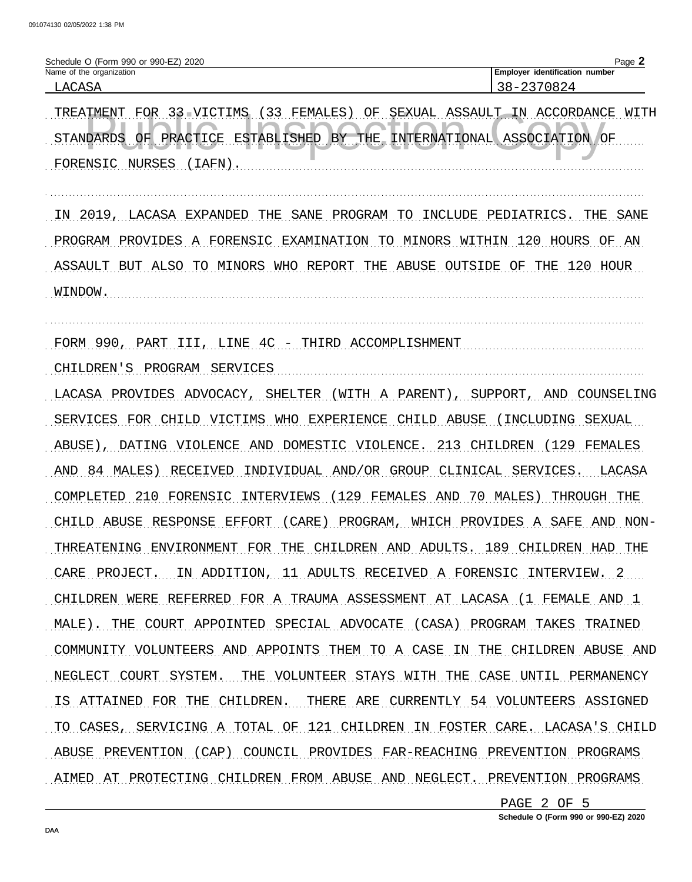#### Schedule O (Form 990 or 990-EZ) 2020 Page 2 Name of the organization Employer identification number LACASA 38-2370824

TREATMENT FOR 33 VICTIMS (33 FEMALES) OF SEXUAL ASSAULT IN ACCORDANCE WITH PRACTICE ESTABLISHED BY THE INTERNATIONAL **STANDARDS**  $OF$ ASSOCIATION  $\bigcap$ F FORENSIC NURSES (IAFN).

IN 2019, LACASA EXPANDED THE SANE PROGRAM TO INCLUDE PEDIATRICS. THE SANE PROGRAM PROVIDES A FORENSIC EXAMINATION TO MINORS WITHIN 120 HOURS OF AN ASSAULT BUT ALSO TO MINORS WHO REPORT THE ABUSE OUTSIDE OF THE 120 HOUR WINDOW.

FORM 990, PART III, LINE 4C - THIRD ACCOMPLISHMENT

CHILDREN'S PROGRAM SERVICES

LACASA PROVIDES ADVOCACY, SHELTER (WITH A PARENT), SUPPORT, AND COUNSELING SERVICES FOR CHILD VICTIMS WHO EXPERIENCE CHILD ABUSE (INCLUDING SEXUAL ABUSE), DATING VIOLENCE AND DOMESTIC VIOLENCE. 213 CHILDREN (129 FEMALES AND 84 MALES) RECEIVED INDIVIDUAL AND/OR GROUP CLINICAL SERVICES. LACASA COMPLETED 210 FORENSIC INTERVIEWS (129 FEMALES AND 70 MALES) THROUGH THE CHILD ABUSE RESPONSE EFFORT (CARE) PROGRAM, WHICH PROVIDES A SAFE AND NON-THREATENING ENVIRONMENT FOR THE CHILDREN AND ADULTS. 189 CHILDREN HAD THE CARE PROJECT. IN ADDITION, 11 ADULTS RECEIVED A FORENSIC INTERVIEW. 2 CHILDREN WERE REFERRED FOR A TRAUMA ASSESSMENT AT LACASA (1 FEMALE AND 1 MALE). THE COURT APPOINTED SPECIAL ADVOCATE (CASA) PROGRAM TAKES TRAINED COMMUNITY VOLUNTEERS AND APPOINTS THEM TO A CASE IN THE CHILDREN ABUSE AND NEGLECT COURT SYSTEM. THE VOLUNTEER STAYS WITH THE CASE UNTIL PERMANENCY IS ATTAINED FOR THE CHILDREN. THERE ARE CURRENTLY 54 VOLUNTEERS ASSIGNED TO CASES, SERVICING A TOTAL OF 121 CHILDREN IN FOSTER CARE. LACASA'S CHILD ABUSE PREVENTION (CAP) COUNCIL PROVIDES FAR-REACHING PREVENTION PROGRAMS AIMED AT PROTECTING CHILDREN FROM ABUSE AND NEGLECT. PREVENTION PROGRAMS

> PAGE 2 OF 5 Schedule O (Form 990 or 990-EZ) 2020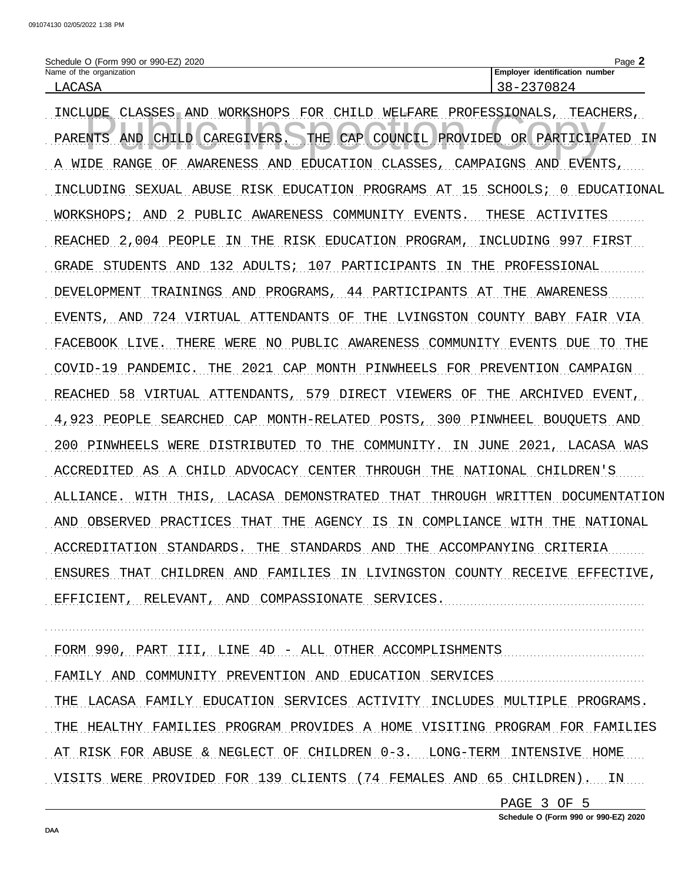| Schedule O (Form 990 or 990-EZ) 2020 | Page                               |
|--------------------------------------|------------------------------------|
| Name of the organization             | identification number<br>∟Emplover |
| T.ACASA                              | 2370824<br>$\lambda -$             |

INCLUDE CLASSES AND WORKSHOPS FOR CHILD WELFARE PROFESSIONALS, TEACHERS, PARENTS AND CHILD CAREGIVERS. THE CAP COUNCIL PROVIDED OR PARTICIPATED IN A WIDE RANGE OF AWARENESS AND EDUCATION CLASSES, CAMPAIGNS AND EVENTS, INCLUDING SEXUAL ABUSE RISK EDUCATION PROGRAMS AT 15 SCHOOLS; 0 EDUCATIONAL WORKSHOPS; AND 2 PUBLIC AWARENESS COMMUNITY EVENTS. THESE ACTIVITES REACHED 2,004 PEOPLE IN THE RISK EDUCATION PROGRAM, INCLUDING 997 FIRST GRADE STUDENTS AND 132 ADULTS; 107 PARTICIPANTS IN THE PROFESSIONAL DEVELOPMENT TRAININGS AND PROGRAMS, 44 PARTICIPANTS AT THE AWARENESS EVENTS, AND 724 VIRTUAL ATTENDANTS OF THE LVINGSTON COUNTY BABY FAIR VIA FACEBOOK LIVE. THERE WERE NO PUBLIC AWARENESS COMMUNITY EVENTS DUE TO THE COVID-19 PANDEMIC. THE 2021 CAP MONTH PINWHEELS FOR PREVENTION CAMPAIGN REACHED 58 VIRTUAL ATTENDANTS, 579 DIRECT VIEWERS OF THE ARCHIVED EVENT, 4,923 PEOPLE SEARCHED CAP MONTH-RELATED POSTS, 300 PINWHEEL BOUQUETS AND 200 PINWHEELS WERE DISTRIBUTED TO THE COMMUNITY. IN JUNE 2021, LACASA WAS ACCREDITED AS A CHILD ADVOCACY CENTER THROUGH THE NATIONAL CHILDREN'S ALLIANCE. WITH THIS, LACASA DEMONSTRATED THAT THROUGH WRITTEN DOCUMENTATION AND OBSERVED PRACTICES THAT THE AGENCY IS IN COMPLIANCE WITH THE NATIONAL ACCREDITATION STANDARDS. THE STANDARDS AND THE ACCOMPANYING CRITERIA ENSURES THAT CHILDREN AND FAMILIES IN LIVINGSTON COUNTY RECEIVE EFFECTIVE, EFFICIENT, RELEVANT, AND COMPASSIONATE SERVICES.

FORM 990, PART III, LINE 4D - ALL OTHER ACCOMPLISHMENTS

FAMILY AND COMMUNITY PREVENTION AND EDUCATION SERVICES

THE LACASA FAMILY EDUCATION SERVICES ACTIVITY INCLUDES MULTIPLE PROGRAMS. THE HEALTHY FAMILIES PROGRAM PROVIDES A HOME VISITING PROGRAM FOR FAMILIES AT RISK FOR ABUSE & NEGLECT OF CHILDREN 0-3. LONG-TERM INTENSIVE HOME VISITS WERE PROVIDED FOR 139 CLIENTS (74 FEMALES AND 65 CHILDREN). IN

PAGE 3 OF 5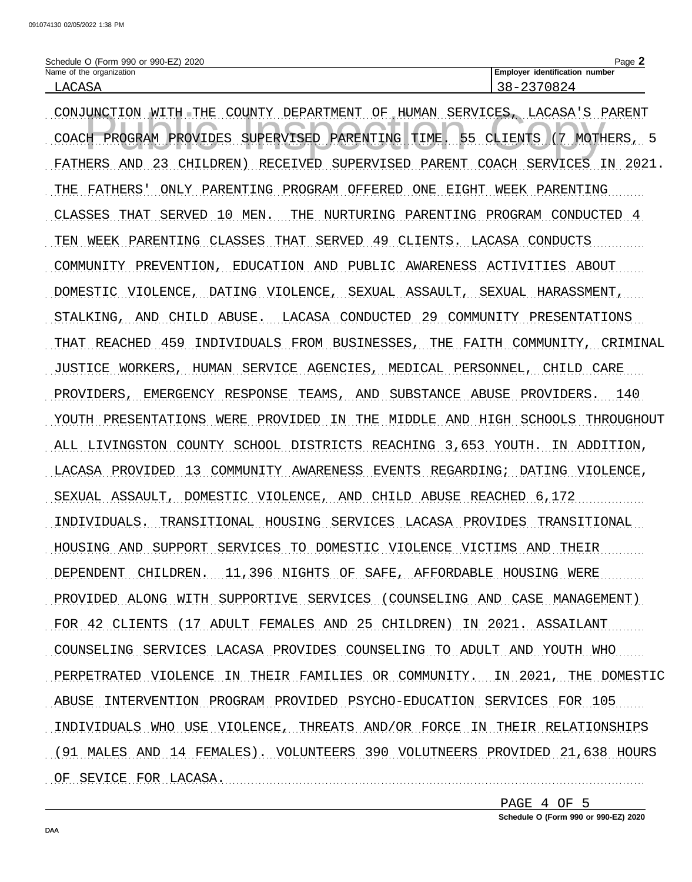| Schedule O (Form 990 or 990-EZ) 2020 | Page ∠                                |
|--------------------------------------|---------------------------------------|
| Name of the organization             | <b>Employer identification number</b> |
| LACASA                               | ιд<br>ು ರ –<br>، بے بے                |

CONJUNCTION WITH THE COUNTY DEPARTMENT OF HUMAN SERVICES, LACASA'S PARENT COACH PROGRAM PROVIDES SUPERVISED PARENTING TIME. 55 CLIENTS (7 MOTHERS, 5 FATHERS AND 23 CHILDREN) RECEIVED SUPERVISED PARENT COACH SERVICES IN 2021. THE FATHERS' ONLY PARENTING PROGRAM OFFERED ONE EIGHT WEEK PARENTING CLASSES THAT SERVED 10 MEN. THE NURTURING PARENTING PROGRAM CONDUCTED 4 TEN WEEK PARENTING CLASSES THAT SERVED 49 CLIENTS. LACASA CONDUCTS COMMUNITY PREVENTION, EDUCATION AND PUBLIC AWARENESS ACTIVITIES ABOUT DOMESTIC VIOLENCE, DATING VIOLENCE, SEXUAL ASSAULT, SEXUAL HARASSMENT, STALKING, AND CHILD ABUSE. LACASA CONDUCTED 29 COMMUNITY PRESENTATIONS THAT REACHED 459 INDIVIDUALS FROM BUSINESSES, THE FAITH COMMUNITY, CRIMINAL JUSTICE WORKERS, HUMAN SERVICE AGENCIES, MEDICAL PERSONNEL, CHILD CARE PROVIDERS, EMERGENCY RESPONSE TEAMS, AND SUBSTANCE ABUSE PROVIDERS. 140 YOUTH PRESENTATIONS WERE PROVIDED IN THE MIDDLE AND HIGH SCHOOLS THROUGHOUT ALL LIVINGSTON COUNTY SCHOOL DISTRICTS REACHING 3,653 YOUTH. IN ADDITION, LACASA PROVIDED 13 COMMUNITY AWARENESS EVENTS REGARDING; DATING VIOLENCE, SEXUAL ASSAULT, DOMESTIC VIOLENCE, AND CHILD ABUSE REACHED 6,172 INDIVIDUALS. TRANSITIONAL HOUSING SERVICES LACASA PROVIDES TRANSITIONAL HOUSING AND SUPPORT SERVICES TO DOMESTIC VIOLENCE VICTIMS AND THEIR DEPENDENT CHILDREN. 11,396 NIGHTS OF SAFE, AFFORDABLE HOUSING WERE PROVIDED ALONG WITH SUPPORTIVE SERVICES (COUNSELING AND CASE MANAGEMENT) FOR 42 CLIENTS (17 ADULT FEMALES AND 25 CHILDREN) IN 2021. ASSAILANT COUNSELING SERVICES LACASA PROVIDES COUNSELING TO ADULT AND YOUTH WHO PERPETRATED VIOLENCE IN THEIR FAMILIES OR COMMUNITY. IN 2021, THE DOMESTIC ABUSE INTERVENTION PROGRAM PROVIDED PSYCHO-EDUCATION SERVICES FOR 105 INDIVIDUALS WHO USE VIOLENCE, THREATS AND/OR FORCE IN THEIR RELATIONSHIPS (91 MALES AND 14 FEMALES). VOLUNTEERS 390 VOLUTNEERS PROVIDED 21,638 HOURS OF SEVICE FOR LACASA.